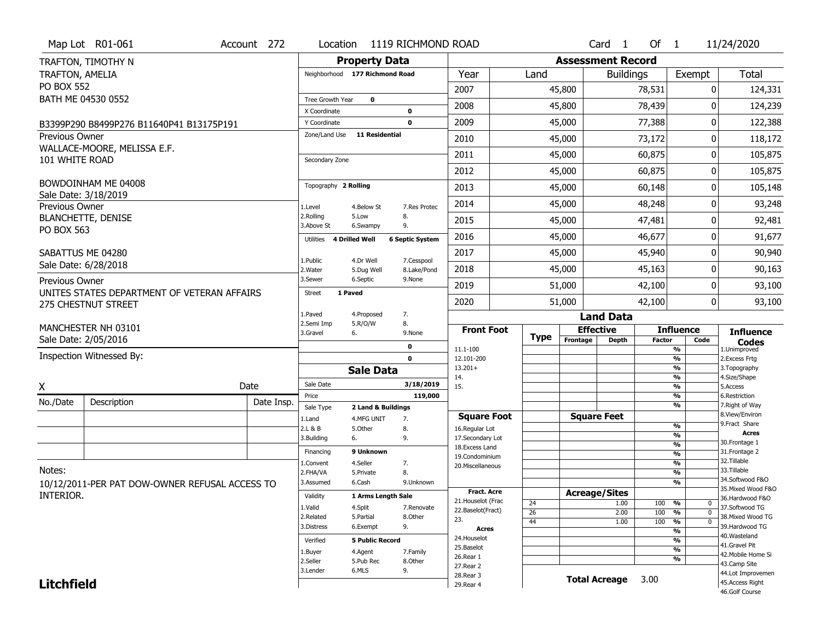|                        | Map Lot R01-061                                                           | Account 272 | Location                       |                                  | 1119 RICHMOND ROAD     |                                         |                       |                          | Card <sub>1</sub> | Of $1$        |                                           | 11/24/2020                            |
|------------------------|---------------------------------------------------------------------------|-------------|--------------------------------|----------------------------------|------------------------|-----------------------------------------|-----------------------|--------------------------|-------------------|---------------|-------------------------------------------|---------------------------------------|
|                        | TRAFTON, TIMOTHY N                                                        |             |                                | <b>Property Data</b>             |                        |                                         |                       | <b>Assessment Record</b> |                   |               |                                           |                                       |
| <b>TRAFTON, AMELIA</b> |                                                                           |             | Neighborhood 177 Richmond Road |                                  |                        | Year                                    | Land                  |                          | <b>Buildings</b>  |               | Exempt                                    | Total                                 |
| <b>PO BOX 552</b>      |                                                                           |             |                                |                                  |                        | 2007                                    |                       | 45,800                   |                   | 78,531        | $\Omega$                                  | 124,331                               |
|                        | BATH ME 04530 0552                                                        |             | Tree Growth Year               | $\mathbf 0$                      |                        | 2008                                    |                       | 45,800                   |                   | 78,439        | ŋ                                         | 124,239                               |
|                        |                                                                           |             | X Coordinate                   |                                  | $\mathbf 0$            |                                         |                       |                          |                   |               | $\Omega$                                  |                                       |
|                        | B3399P290 B8499P276 B11640P41 B13175P191                                  |             | Y Coordinate<br>Zone/Land Use  | <b>11 Residential</b>            | $\mathbf 0$            | 2009                                    |                       | 45,000                   |                   | 77,388        |                                           | 122,388                               |
| <b>Previous Owner</b>  | WALLACE-MOORE, MELISSA E.F.                                               |             |                                |                                  |                        | 2010                                    |                       | 45,000                   |                   | 73,172        | 0                                         | 118,172                               |
| 101 WHITE ROAD         |                                                                           |             | Secondary Zone                 |                                  |                        | 2011                                    |                       | 45,000                   |                   | 60,875        | 0                                         | 105,875                               |
|                        |                                                                           |             |                                |                                  |                        | 2012                                    |                       | 45,000                   |                   | 60,875        | 0                                         | 105,875                               |
|                        | BOWDOINHAM ME 04008                                                       |             | Topography 2 Rolling           |                                  |                        | 2013                                    |                       | 45,000                   |                   | 60,148        | 0                                         | 105,148                               |
| Previous Owner         | Sale Date: 3/18/2019                                                      |             | 1.Level                        | 4.Below St                       | 7.Res Protec           | 2014                                    |                       | 45,000                   |                   | 48,248        | 0                                         | 93,248                                |
|                        | <b>BLANCHETTE, DENISE</b>                                                 |             | 2.Rolling                      | 5.Low                            | 8.                     | 2015                                    |                       | 45,000                   |                   | 47,481        | O                                         | 92,481                                |
| PO BOX 563             |                                                                           |             | 3.Above St                     | 6.Swampy                         | 9.                     |                                         |                       |                          |                   |               |                                           |                                       |
|                        |                                                                           |             | 4 Drilled Well<br>Utilities    |                                  | <b>6 Septic System</b> | 2016                                    |                       | 45,000                   |                   | 46,677        | 0                                         | 91,677                                |
|                        | SABATTUS ME 04280                                                         |             | 1.Public                       | 4.Dr Well                        | 7.Cesspool             | 2017                                    |                       | 45,000                   |                   | 45,940        | 0                                         | 90,940                                |
|                        | Sale Date: 6/28/2018                                                      |             | 2. Water                       | 5.Dug Well                       | 8.Lake/Pond            | 2018                                    |                       | 45,000                   |                   | 45,163        | O                                         | 90,163                                |
| Previous Owner         |                                                                           |             | 3.Sewer                        | 6.Septic                         | 9.None                 | 2019                                    |                       | 51,000                   |                   | 42,100        | 0                                         | 93,100                                |
|                        | UNITES STATES DEPARTMENT OF VETERAN AFFAIRS<br><b>275 CHESTNUT STREET</b> |             | <b>Street</b><br>1 Paved       |                                  |                        | 2020                                    |                       | 51,000                   |                   | 42,100        | 0                                         | 93,100                                |
|                        |                                                                           |             | 1.Paved                        | 4.Proposed                       | 7.                     |                                         |                       |                          | <b>Land Data</b>  |               |                                           |                                       |
|                        | MANCHESTER NH 03101                                                       |             | 2.Semi Imp<br>3.Gravel         | 5.R/O/W<br>6.                    | 8.<br>9.None           | <b>Front Foot</b>                       |                       | <b>Effective</b>         |                   |               | <b>Influence</b>                          | <b>Influence</b>                      |
|                        | Sale Date: 2/05/2016                                                      |             |                                |                                  | 0                      | 11.1-100                                | <b>Type</b>           | Frontage                 | <b>Depth</b>      | <b>Factor</b> | Code<br>$\overline{\frac{9}{6}}$          | <b>Codes</b><br>1.Unimproved          |
|                        | Inspection Witnessed By:                                                  |             |                                |                                  | $\mathbf 0$            | 12.101-200                              |                       |                          |                   |               | $\overline{\frac{9}{6}}$                  | 2. Excess Frtg                        |
|                        |                                                                           |             |                                | <b>Sale Data</b>                 |                        | $13.201+$<br>14.                        |                       |                          |                   |               | $\frac{9}{6}$<br>$\overline{\frac{9}{6}}$ | 3. Topography<br>4.Size/Shape         |
| X                      |                                                                           | Date        | Sale Date                      |                                  | 3/18/2019              | 15.                                     |                       |                          |                   |               | $\overline{\frac{9}{6}}$                  | 5.Access                              |
| No./Date               | Description                                                               | Date Insp.  | Price                          |                                  | 119,000                |                                         |                       |                          |                   |               | $\frac{9}{6}$<br>%                        | 6.Restriction<br>7. Right of Way      |
|                        |                                                                           |             | Sale Type<br>1.Land            | 2 Land & Buildings<br>4.MFG UNIT | 7.                     | <b>Square Foot</b>                      |                       | <b>Square Feet</b>       |                   |               |                                           | 8.View/Environ                        |
|                        |                                                                           |             | 2.L & B                        | 5.Other                          | 8.                     | 16.Regular Lot                          |                       |                          |                   |               | $\frac{9}{6}$                             | 9.Fract Share<br><b>Acres</b>         |
|                        |                                                                           |             | 3.Building                     | 6.                               | 9.                     | 17.Secondary Lot<br>18. Excess Land     |                       |                          |                   |               | $\frac{9}{6}$<br>$\overline{\frac{9}{6}}$ | 30. Frontage 1                        |
|                        |                                                                           |             | Financing                      | 9 Unknown                        |                        | 19.Condominium                          |                       |                          |                   |               | $\frac{9}{6}$                             | 31. Frontage 2<br>32.Tillable         |
| Notes:                 |                                                                           |             | 1.Convent<br>2.FHA/VA          | 4.Seller<br>5.Private            | 7.<br>8.               | 20. Miscellaneous                       |                       |                          |                   |               | $\frac{9}{6}$<br>$\frac{9}{6}$            | 33.Tillable                           |
|                        | 10/12/2011-PER PAT DOW-OWNER REFUSAL ACCESS TO                            |             | 3.Assumed                      | 6.Cash                           | 9.Unknown              |                                         |                       |                          |                   |               | $\overline{\frac{9}{6}}$                  | 34.Softwood F&O                       |
| INTERIOR.              |                                                                           |             | Validity                       | 1 Arms Length Sale               |                        | <b>Fract. Acre</b>                      |                       | <b>Acreage/Sites</b>     |                   |               |                                           | 35. Mixed Wood F&O<br>36.Hardwood F&O |
|                        |                                                                           |             | 1.Valid                        | 4.Split                          | 7.Renovate             | 21. Houselot (Frac<br>22.Baselot(Fract) | 24<br>$\overline{26}$ |                          | 1.00<br>2.00      | 100<br>100    | %<br>0<br>$\overline{0}$<br>%             | 37.Softwood TG                        |
|                        |                                                                           |             | 2.Related                      | 5.Partial                        | 8.Other                | 23.                                     | 44                    |                          | 1.00              | 100           | $\frac{9}{6}$<br>$\mathbf 0$              | 38. Mixed Wood TG                     |
|                        |                                                                           |             | 3.Distress                     | 6.Exempt                         | 9.                     | <b>Acres</b>                            |                       |                          |                   |               | $\frac{9}{6}$                             | 39.Hardwood TG<br>40.Wasteland        |
|                        |                                                                           |             | Verified                       | <b>5 Public Record</b>           |                        | 24. Houselot<br>25.Baselot              |                       |                          |                   |               | %                                         | 41.Gravel Pit                         |
|                        |                                                                           |             | 1.Buyer<br>2.Seller            | 4.Agent<br>5.Pub Rec             | 7.Family               | 26.Rear 1                               |                       |                          |                   |               | $\frac{9}{6}$<br>%                        | 42. Mobile Home Si                    |
|                        |                                                                           |             |                                |                                  | 8.Other                |                                         |                       |                          |                   |               |                                           | 43.Camp Site                          |
|                        |                                                                           |             |                                |                                  |                        | 27.Rear 2                               |                       |                          |                   |               |                                           |                                       |
| <b>Litchfield</b>      |                                                                           |             | 3.Lender                       | 6.MLS                            | 9.                     | 28. Rear 3<br>29. Rear 4                |                       | <b>Total Acreage</b>     |                   | 3.00          |                                           | 44.Lot Improvemen<br>45.Access Right  |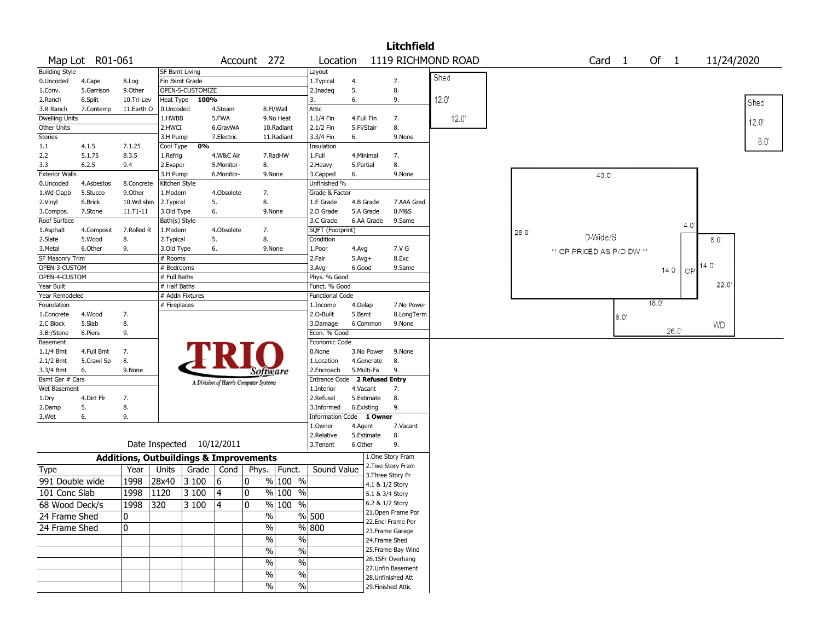|                         |                        |                                                   |                           |                           |            |                                       |                     |                                |            |                                    | <b>Litchfield</b>  |                    |      |                           |                   |                    |      |               |      |
|-------------------------|------------------------|---------------------------------------------------|---------------------------|---------------------------|------------|---------------------------------------|---------------------|--------------------------------|------------|------------------------------------|--------------------|--------------------|------|---------------------------|-------------------|--------------------|------|---------------|------|
|                         | Map Lot R01-061        |                                                   |                           |                           |            | Account 272                           |                     | Location                       |            |                                    |                    | 1119 RICHMOND ROAD |      |                           | Card <sub>1</sub> | Of<br>$\mathbf{1}$ |      | 11/24/2020    |      |
| <b>Building Style</b>   |                        |                                                   | SF Bsmt Living            |                           |            |                                       |                     | Layout                         |            |                                    |                    |                    |      |                           |                   |                    |      |               |      |
| 0.Uncoded               | 4.Cape                 | 8.Log                                             | Fin Bsmt Grade            |                           |            |                                       |                     | 1.Typical                      | 4.         |                                    | 7.                 | Shed               |      |                           |                   |                    |      |               |      |
| 1.Conv.                 | 5.Garrison             | 9.0ther                                           |                           | OPEN-5-CUSTOMIZE          |            |                                       |                     | 2.Inadeq                       | 5.         |                                    | 8.                 |                    |      |                           |                   |                    |      |               |      |
| 2.Ranch                 | 6.Split                | 10.Tri-Lev                                        | Heat Type                 | 100%                      |            |                                       |                     | 3.                             | 6.         |                                    | 9.                 | 12.0'              |      |                           |                   |                    |      |               | Shed |
| 3.R Ranch               | 7.Contemp              | 11.Earth O                                        | 0.Uncoded                 |                           | 4.Steam    |                                       | 8.Fl/Wall           | Attic                          |            |                                    |                    |                    |      |                           |                   |                    |      |               |      |
| <b>Dwelling Units</b>   |                        |                                                   | 1.HWBB                    |                           | 5.FWA      |                                       | 9.No Heat           | 1.1/4 Fin                      |            | 4.Full Fin                         | 7.                 | 12.0               |      |                           |                   |                    |      |               | 12.0 |
| Other Units             |                        |                                                   | 2.HWCI                    |                           | 6.GravWA   |                                       | 10.Radiant          | 2.1/2 Fin                      | 5.Fl/Stair |                                    | 8.                 |                    |      |                           |                   |                    |      |               |      |
| <b>Stories</b>          |                        |                                                   | 3.H Pump                  |                           | 7.Electric |                                       | 11.Radiant          | 3.3/4 Fin                      | 6.         |                                    | 9.None             |                    |      |                           |                   |                    |      |               | 8.0  |
| 1.1                     | 4.1.5                  | 7.1.25                                            | Cool Type                 | 0%                        |            |                                       |                     | Insulation                     |            |                                    |                    |                    |      |                           |                   |                    |      |               |      |
| 2.2                     | 5.1.75                 | 8.3.5                                             | 1.Refrig                  |                           | 4.W&C Air  |                                       | 7.RadHW             | 1.Full                         |            | 4.Minimal                          | 7.                 |                    |      |                           |                   |                    |      |               |      |
| 3.3                     | 6.2.5                  | 9.4                                               | 2.Evapor                  |                           | 5.Monitor- | 8.                                    |                     | 2.Heavy                        | 5.Partial  |                                    | 8.                 |                    |      |                           |                   |                    |      |               |      |
| <b>Exterior Walls</b>   |                        |                                                   | 3.H Pump                  |                           | 6.Monitor- | 9.None                                |                     | 3.Capped                       | 6.         |                                    | 9.None             |                    |      | 40.0'                     |                   |                    |      |               |      |
| 0.Uncoded<br>1.Wd Clapb | 4.Asbestos<br>5.Stucco | 8.Concrete<br>9.Other                             | Kitchen Style<br>1.Modern |                           | 4.Obsolete | 7.                                    |                     | Unfinished %<br>Grade & Factor |            |                                    |                    |                    |      |                           |                   |                    |      |               |      |
| 2.Vinyl                 | 6.Brick                | 10.Wd shin                                        | 2. Typical                |                           | 5.         | 8.                                    |                     | 1.E Grade                      |            | 4.B Grade                          | 7.AAA Grad         |                    |      |                           |                   |                    |      |               |      |
| 3.Compos.               | 7.Stone                | $11.71 - 11$                                      | 3.Old Type                |                           | 6.         | 9.None                                |                     | 2.D Grade                      |            | 5.A Grade                          | 8.M&S              |                    |      |                           |                   |                    |      |               |      |
| Roof Surface            |                        |                                                   | Bath(s) Style             |                           |            |                                       |                     | 3.C Grade                      |            | 6.AA Grade                         | 9.Same             |                    |      |                           |                   |                    |      |               |      |
| 1.Asphalt               | 4.Composit             | 7.Rolled R                                        | 1.Modern                  |                           | 4.Obsolete | 7.                                    |                     | SQFT (Footprint)               |            |                                    |                    |                    | 28.0 |                           |                   |                    | 4.0' |               |      |
| 2.Slate                 | 5.Wood                 | 8.                                                | 2. Typical                |                           | 5.         | 8.                                    |                     | Condition                      |            |                                    |                    |                    |      | D-Wide/S                  |                   |                    |      | $8.0^{\circ}$ |      |
| 3.Metal                 | 6.Other                | 9.                                                | 3.Old Type                |                           | 6.         | 9.None                                |                     | 1.Poor                         | 4.Avg      |                                    | 7.V G              |                    |      | ** OP PRICED AS P/O DW ** |                   |                    |      |               |      |
| SF Masonry Trim         |                        |                                                   | # Rooms                   |                           |            |                                       |                     | 2.Fair                         | $5.Avg+$   |                                    | 8.Exc              |                    |      |                           |                   |                    |      |               |      |
| OPEN-3-CUSTOM           |                        |                                                   | # Bedrooms                |                           |            |                                       |                     | 3.Avg-                         | 6.Good     |                                    | 9.Same             |                    |      |                           |                   | 14.0               | OP   | 14.0'         |      |
| OPEN-4-CUSTOM           |                        |                                                   | # Full Baths              |                           |            |                                       |                     | Phys. % Good                   |            |                                    |                    |                    |      |                           |                   |                    |      |               |      |
| Year Built              |                        |                                                   | # Half Baths              |                           |            |                                       |                     | Funct. % Good                  |            |                                    |                    |                    |      |                           |                   |                    |      | 22.0'         |      |
| Year Remodeled          |                        |                                                   |                           | # Addn Fixtures           |            |                                       |                     | <b>Functional Code</b>         |            |                                    |                    |                    |      |                           |                   |                    |      |               |      |
| Foundation              |                        |                                                   | # Fireplaces              |                           |            |                                       |                     | 1.Incomp                       | 4.Delap    |                                    | 7.No Power         |                    |      |                           |                   | 18.0'              |      |               |      |
| 1.Concrete              | 4.Wood                 | 7.                                                |                           |                           |            |                                       |                     | 2.O-Built                      | 5.Bsmt     |                                    | 8.LongTerm         |                    |      |                           | 8.0'              |                    |      |               |      |
| 2.C Block               | 5.Slab                 | 8.                                                |                           |                           |            |                                       |                     | 3.Damage                       |            | 6.Common                           | 9.None             |                    |      |                           |                   |                    |      | <b>WD</b>     |      |
| 3.Br/Stone              | 6.Piers                | 9.                                                |                           |                           |            |                                       |                     | Econ. % Good                   |            |                                    |                    |                    |      |                           |                   | 26.0               |      |               |      |
| Basement                |                        |                                                   |                           |                           |            |                                       |                     | Economic Code                  |            |                                    |                    |                    |      |                           |                   |                    |      |               |      |
| 1.1/4 Bmt               | 4.Full Bmt             | 7.                                                |                           |                           |            |                                       |                     | 0.None                         |            | 3.No Power                         | 9.None             |                    |      |                           |                   |                    |      |               |      |
| 2.1/2 Bmt<br>3.3/4 Bmt  | 5.Crawl Sp<br>6.       | 8.<br>9.None                                      |                           |                           |            |                                       |                     | 1.Location<br>2.Encroach       |            | 4.Generate<br>5.Multi-Fa           | 8.<br>9.           |                    |      |                           |                   |                    |      |               |      |
| Bsmt Gar # Cars         |                        |                                                   |                           |                           |            | Software                              |                     | Entrance Code 2 Refused Entry  |            |                                    |                    |                    |      |                           |                   |                    |      |               |      |
| Wet Basement            |                        |                                                   |                           |                           |            | A Division of Harris Computer Systems |                     | 1.Interior                     | 4.Vacant   |                                    | 7.                 |                    |      |                           |                   |                    |      |               |      |
| 1.Dry                   | 4.Dirt Flr             | 7.                                                |                           |                           |            |                                       |                     | 2.Refusal                      |            | 5.Estimate                         | 8.                 |                    |      |                           |                   |                    |      |               |      |
| 2.Damp                  | 5.                     | 8.                                                |                           |                           |            |                                       |                     | 3.Informed                     |            | 6.Existing                         | 9.                 |                    |      |                           |                   |                    |      |               |      |
| 3.Wet                   | 6.                     | 9.                                                |                           |                           |            |                                       |                     | Information Code 1 Owner       |            |                                    |                    |                    |      |                           |                   |                    |      |               |      |
|                         |                        |                                                   |                           |                           |            |                                       |                     | 1.Owner                        | 4.Agent    |                                    | 7.Vacant           |                    |      |                           |                   |                    |      |               |      |
|                         |                        |                                                   |                           |                           |            |                                       |                     | 2.Relative                     |            | 5.Estimate                         | 8.                 |                    |      |                           |                   |                    |      |               |      |
|                         |                        |                                                   |                           | Date Inspected 10/12/2011 |            |                                       |                     | 3.Tenant                       | 6.Other    |                                    | 9.                 |                    |      |                           |                   |                    |      |               |      |
|                         |                        | <b>Additions, Outbuildings &amp; Improvements</b> |                           |                           |            |                                       |                     |                                |            |                                    | 1.One Story Fram   |                    |      |                           |                   |                    |      |               |      |
| Type                    |                        | Year                                              | Units                     | Grade                     | Cond       |                                       | Phys. Funct.        | Sound Value                    |            |                                    | 2.Two Story Fram   |                    |      |                           |                   |                    |      |               |      |
| 991 Double wide         |                        | 1998                                              | 28x40                     | 3 100                     | 6          | 0                                     | % 100 %             |                                |            |                                    | 3. Three Story Fr  |                    |      |                           |                   |                    |      |               |      |
| 101 Conc Slab           |                        | 1998                                              | 1120                      | 3 100                     | 4          | 0                                     | $%100$ %            |                                |            | 4.1 & 1/2 Story                    |                    |                    |      |                           |                   |                    |      |               |      |
|                         |                        |                                                   |                           |                           |            |                                       |                     |                                |            | 5.1 & 3/4 Story<br>6.2 & 1/2 Story |                    |                    |      |                           |                   |                    |      |               |      |
| 68 Wood Deck/s          |                        | 1998 320                                          |                           | 3100                      | 4          | 0                                     | $\frac{9}{6}$ 100 % |                                |            |                                    | 21. Open Frame Por |                    |      |                           |                   |                    |      |               |      |
| 24 Frame Shed           |                        | 0                                                 |                           |                           |            | $\%$                                  |                     | % 500                          |            |                                    | 22.Encl Frame Por  |                    |      |                           |                   |                    |      |               |      |
| 24 Frame Shed           |                        | 0                                                 |                           |                           |            | $\sqrt{0}$                            |                     | % 800                          |            |                                    | 23. Frame Garage   |                    |      |                           |                   |                    |      |               |      |
|                         |                        |                                                   |                           |                           |            | $\%$                                  | $\sqrt{6}$          |                                |            | 24.Frame Shed                      |                    |                    |      |                           |                   |                    |      |               |      |
|                         |                        |                                                   |                           |                           |            | $\%$                                  | $\%$                |                                |            |                                    | 25.Frame Bay Wind  |                    |      |                           |                   |                    |      |               |      |
|                         |                        |                                                   |                           |                           |            |                                       |                     |                                |            |                                    | 26.1SFr Overhang   |                    |      |                           |                   |                    |      |               |      |
|                         |                        |                                                   |                           |                           |            | $\%$                                  | $\frac{1}{2}$       |                                |            |                                    | 27.Unfin Basement  |                    |      |                           |                   |                    |      |               |      |
|                         |                        |                                                   |                           |                           |            | $\%$                                  | $\%$                |                                |            |                                    | 28. Unfinished Att |                    |      |                           |                   |                    |      |               |      |
|                         |                        |                                                   |                           |                           |            | $\%$                                  | $\sqrt{6}$          |                                |            |                                    | 29. Finished Attic |                    |      |                           |                   |                    |      |               |      |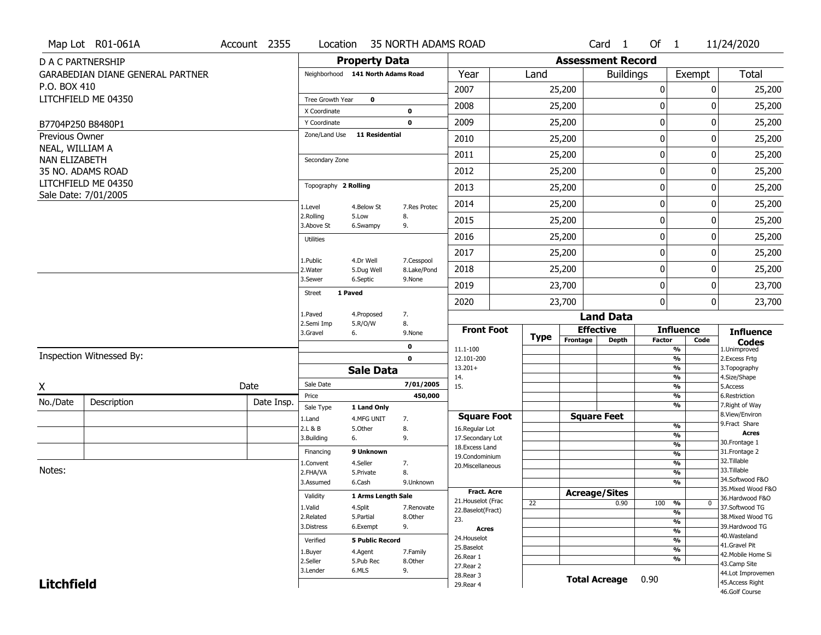|                       | Map Lot R01-061A                        | Account 2355 |                               | Location                          | 35 NORTH ADAMS ROAD       |                                    |             |                          | Card 1           | Of $1$           |                                           | 11/24/2020                          |
|-----------------------|-----------------------------------------|--------------|-------------------------------|-----------------------------------|---------------------------|------------------------------------|-------------|--------------------------|------------------|------------------|-------------------------------------------|-------------------------------------|
|                       | D A C PARTNERSHIP                       |              |                               | <b>Property Data</b>              |                           |                                    |             | <b>Assessment Record</b> |                  |                  |                                           |                                     |
|                       | <b>GARABEDIAN DIANE GENERAL PARTNER</b> |              |                               | Neighborhood 141 North Adams Road |                           | Year                               | Land        |                          | <b>Buildings</b> |                  | Exempt                                    | Total                               |
| P.O. BOX 410          |                                         |              |                               |                                   |                           | 2007                               |             | 25,200                   |                  | $\boldsymbol{0}$ | 0                                         | 25,200                              |
|                       | LITCHFIELD ME 04350                     |              | Tree Growth Year              | $\mathbf 0$                       |                           | 2008                               |             | 25,200                   |                  | 0                | O                                         | 25,200                              |
|                       |                                         |              | X Coordinate                  |                                   | 0<br>$\mathbf 0$          | 2009                               |             |                          |                  | $\boldsymbol{0}$ | 0                                         |                                     |
| <b>Previous Owner</b> | B7704P250 B8480P1                       |              | Y Coordinate<br>Zone/Land Use | <b>11 Residential</b>             |                           |                                    |             | 25,200                   |                  |                  |                                           | 25,200                              |
| NEAL, WILLIAM A       |                                         |              |                               |                                   |                           | 2010                               |             | 25,200                   |                  | 0                | 0                                         | 25,200                              |
| NAN ELIZABETH         |                                         |              | Secondary Zone                |                                   |                           | 2011                               |             | 25,200                   |                  | 0                | 0                                         | 25,200                              |
|                       | 35 NO. ADAMS ROAD                       |              |                               |                                   |                           | 2012                               |             | 25,200                   |                  | 0                | 0                                         | 25,200                              |
|                       | LITCHFIELD ME 04350                     |              | Topography 2 Rolling          |                                   |                           | 2013                               |             | 25,200                   |                  | $\mathbf 0$      | 0                                         | 25,200                              |
|                       | Sale Date: 7/01/2005                    |              | 1.Level                       | 4.Below St                        | 7.Res Protec              | 2014                               |             | 25,200                   |                  | 0                | 0                                         | 25,200                              |
|                       |                                         |              | 2.Rolling<br>3.Above St       | 5.Low<br>6.Swampy                 | 8.<br>9.                  | 2015                               |             | 25,200                   |                  | 0                | 0                                         | 25,200                              |
|                       |                                         |              | <b>Utilities</b>              |                                   |                           | 2016                               |             | 25,200                   |                  | 0                | 0                                         | 25,200                              |
|                       |                                         |              |                               |                                   |                           | 2017                               |             | 25,200                   |                  | $\boldsymbol{0}$ | 0                                         | 25,200                              |
|                       |                                         |              | 1.Public<br>2. Water          | 4.Dr Well<br>5.Dug Well           | 7.Cesspool<br>8.Lake/Pond | 2018                               |             | 25,200                   |                  | 0                | 0                                         | 25,200                              |
|                       |                                         |              | 3.Sewer                       | 6.Septic                          | 9.None                    | 2019                               |             | 23,700                   |                  | 0                | 0                                         | 23,700                              |
|                       |                                         |              | <b>Street</b>                 | 1 Paved                           |                           | 2020                               |             | 23,700                   |                  | $\mathbf{0}$     | 0                                         | 23,700                              |
|                       |                                         |              | 1.Paved<br>2.Semi Imp         | 4.Proposed                        | 7.<br>8.                  |                                    |             |                          | <b>Land Data</b> |                  |                                           |                                     |
|                       |                                         |              | 3.Gravel                      | 5.R/O/W<br>6.                     | 9.None                    | <b>Front Foot</b>                  | <b>Type</b> | <b>Effective</b>         |                  |                  | <b>Influence</b>                          | <b>Influence</b>                    |
|                       |                                         |              |                               |                                   | $\mathbf 0$               | 11.1-100                           |             | Frontage                 | <b>Depth</b>     | <b>Factor</b>    | Code<br>%                                 | <b>Codes</b><br>1.Unimproved        |
|                       | Inspection Witnessed By:                |              |                               |                                   | $\mathbf 0$               | 12.101-200                         |             |                          |                  |                  | $\frac{9}{6}$                             | 2. Excess Frtg                      |
|                       |                                         |              |                               | <b>Sale Data</b>                  |                           | $13.201+$<br>14.                   |             |                          |                  |                  | $\overline{\frac{9}{6}}$<br>$\frac{9}{6}$ | 3. Topography<br>4.Size/Shape       |
| X                     |                                         | Date         | Sale Date                     |                                   | 7/01/2005                 | 15.                                |             |                          |                  |                  | $\overline{\frac{9}{6}}$                  | 5.Access                            |
| No./Date              | Description                             | Date Insp.   | Price<br>Sale Type            | 1 Land Only                       | 450,000                   |                                    |             |                          |                  |                  | %<br>%                                    | 6.Restriction<br>7. Right of Way    |
|                       |                                         |              | 1.Land                        | 4.MFG UNIT                        | 7.                        | <b>Square Foot</b>                 |             | <b>Square Feet</b>       |                  |                  |                                           | 8.View/Environ                      |
|                       |                                         |              | 2.L & B                       | 5.0ther                           | 8.                        | 16.Regular Lot                     |             |                          |                  |                  | $\frac{9}{6}$<br>%                        | 9.Fract Share<br>Acres              |
|                       |                                         |              | 3.Building                    | 6.                                | 9.                        | 17.Secondary Lot<br>18.Excess Land |             |                          |                  |                  | $\frac{9}{6}$                             | 30. Frontage 1                      |
|                       |                                         |              | Financing                     | 9 Unknown                         |                           | 19.Condominium                     |             |                          |                  |                  | $\frac{9}{6}$                             | 31. Frontage 2                      |
| Notes:                |                                         |              | 1.Convent                     | 4.Seller                          | 7.                        | 20.Miscellaneous                   |             |                          |                  |                  | $\frac{9}{6}$                             | 32.Tillable<br>33.Tillable          |
|                       |                                         |              | 2.FHA/VA<br>3.Assumed         | 5.Private<br>6.Cash               | 8.<br>9.Unknown           |                                    |             |                          |                  |                  | $\frac{9}{6}$<br>$\overline{\frac{9}{6}}$ | 34.Softwood F&O                     |
|                       |                                         |              |                               |                                   |                           | <b>Fract. Acre</b>                 |             | <b>Acreage/Sites</b>     |                  |                  |                                           | 35. Mixed Wood F&O                  |
|                       |                                         |              | Validity                      | 1 Arms Length Sale                |                           | 21. Houselot (Frac                 | 22          |                          | 0.90             | 100              | %<br>0                                    | 36.Hardwood F&O                     |
|                       |                                         |              | 1.Valid                       | 4.Split                           | 7.Renovate                | 22.Baselot(Fract)                  |             |                          |                  |                  | $\frac{9}{6}$                             | 37.Softwood TG                      |
|                       |                                         |              | 2.Related<br>3.Distress       | 5.Partial<br>6.Exempt             | 8.Other<br>9.             | 23.                                |             |                          |                  |                  | $\overline{\frac{9}{6}}$                  | 38. Mixed Wood TG<br>39.Hardwood TG |
|                       |                                         |              |                               |                                   |                           | <b>Acres</b><br>24. Houselot       |             |                          |                  |                  | $\overline{\frac{9}{6}}$                  | 40. Wasteland                       |
|                       |                                         |              | Verified                      | <b>5 Public Record</b>            |                           | 25.Baselot                         |             |                          |                  |                  | $\frac{9}{6}$                             | 41.Gravel Pit                       |
|                       |                                         |              | 1.Buyer                       | 4.Agent                           | 7.Family                  | 26.Rear 1                          |             |                          |                  |                  | $\overline{\frac{9}{6}}$<br>$\frac{9}{6}$ | 42. Mobile Home Si                  |
|                       |                                         |              | 2.Seller                      | 5.Pub Rec<br>6.MLS                | 8.Other                   | 27.Rear 2                          |             |                          |                  |                  |                                           | 43.Camp Site                        |
| <b>Litchfield</b>     |                                         |              | 3.Lender                      |                                   | 9.                        | 28. Rear 3                         |             | <b>Total Acreage</b>     |                  | 0.90             |                                           | 44.Lot Improvemen                   |
|                       |                                         |              |                               |                                   |                           | 29. Rear 4                         |             |                          |                  |                  |                                           | 45.Access Right<br>46.Golf Course   |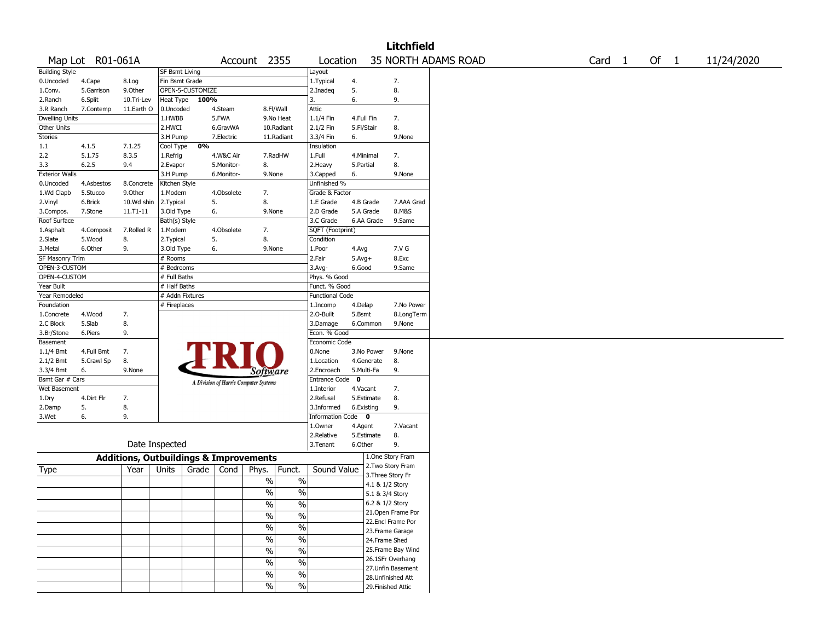|                       |                  |                                                   |                       |                  |            |                                       |               |                        |            |            | <b>Litchfield</b>  |                     |        |        |            |
|-----------------------|------------------|---------------------------------------------------|-----------------------|------------------|------------|---------------------------------------|---------------|------------------------|------------|------------|--------------------|---------------------|--------|--------|------------|
|                       | Map Lot R01-061A |                                                   |                       |                  |            | Account 2355                          |               | Location               |            |            |                    | 35 NORTH ADAMS ROAD | Card 1 | Of $1$ | 11/24/2020 |
| <b>Building Style</b> |                  |                                                   | <b>SF Bsmt Living</b> |                  |            |                                       |               | Layout                 |            |            |                    |                     |        |        |            |
| 0.Uncoded             | 4.Cape           | 8.Log                                             | Fin Bsmt Grade        |                  |            |                                       |               | 1. Typical             | 4.         |            | 7.                 |                     |        |        |            |
| 1.Conv.               | 5.Garrison       | 9.Other                                           |                       | OPEN-5-CUSTOMIZE |            |                                       |               | 2.Inadeg               | 5.         |            | 8.                 |                     |        |        |            |
| 2.Ranch               | 6.Split          | 10.Tri-Lev                                        | Heat Type             | 100%             |            |                                       |               | 3.                     | 6.         |            | 9.                 |                     |        |        |            |
| 3.R Ranch             | 7.Contemp        | 11.Earth O                                        | 0.Uncoded             |                  | 4.Steam    |                                       | 8.Fl/Wall     | <b>Attic</b>           |            |            |                    |                     |        |        |            |
| <b>Dwelling Units</b> |                  |                                                   | 1.HWBB                |                  | 5.FWA      |                                       | 9.No Heat     | $1.1/4$ Fin            | 4.Full Fin |            | 7.                 |                     |        |        |            |
| Other Units           |                  |                                                   | 2.HWCI                |                  | 6.GravWA   |                                       | 10.Radiant    | 2.1/2 Fin              | 5.Fl/Stair |            | 8.                 |                     |        |        |            |
| Stories               |                  |                                                   | 3.H Pump              |                  | 7.Electric |                                       | 11.Radiant    | 3.3/4 Fin              | 6.         |            | 9.None             |                     |        |        |            |
| 1.1                   | 4.1.5            | 7.1.25                                            | Cool Type             | 0%               |            |                                       |               | Insulation             |            |            |                    |                     |        |        |            |
| 2.2                   | 5.1.75           | 8.3.5                                             | 1.Refrig              |                  | 4.W&C Air  |                                       | 7.RadHW       | 1.Full                 | 4.Minimal  |            | 7.                 |                     |        |        |            |
| 3.3                   | 6.2.5            | 9.4                                               | 2.Evapor              |                  | 5.Monitor- | 8.                                    |               | 2.Heavy                | 5.Partial  |            | 8.                 |                     |        |        |            |
| <b>Exterior Walls</b> |                  |                                                   | 3.H Pump              |                  | 6.Monitor- | 9.None                                |               | 3.Capped               | 6.         |            | 9.None             |                     |        |        |            |
| 0.Uncoded             | 4.Asbestos       | 8.Concrete                                        | Kitchen Style         |                  |            |                                       |               | Unfinished %           |            |            |                    |                     |        |        |            |
| 1.Wd Clapb            | 5.Stucco         | 9.0ther                                           | 1.Modern              |                  | 4.Obsolete | 7.                                    |               | Grade & Factor         |            |            |                    |                     |        |        |            |
| 2.Vinyl               | 6.Brick          | 10.Wd shin                                        | 2.Typical             | 5.               |            | 8.                                    |               | 1.E Grade              |            | 4.B Grade  | 7.AAA Grad         |                     |        |        |            |
| 3.Compos.             | 7.Stone          | 11.T1-11                                          | 3.Old Type            | 6.               |            | 9.None                                |               | 2.D Grade              |            | 5.A Grade  | 8.M&S              |                     |        |        |            |
| Roof Surface          |                  |                                                   | Bath(s) Style         |                  |            |                                       |               | 3.C Grade              |            | 6.AA Grade | 9.Same             |                     |        |        |            |
| 1.Asphalt             | 4.Composit       | 7.Rolled R                                        | 1.Modern              |                  | 4.Obsolete | 7.                                    |               | SQFT (Footprint)       |            |            |                    |                     |        |        |            |
| 2.Slate               | 5.Wood           | 8.                                                | 2. Typical            | 5.               |            | 8.                                    |               | Condition              |            |            |                    |                     |        |        |            |
| 3.Metal               | 6.Other          | 9.                                                | 3.Old Type            | 6.               |            | 9.None                                |               | 1.Poor                 | 4.Avg      |            | 7.V G              |                     |        |        |            |
| SF Masonry Trim       |                  |                                                   | # Rooms               |                  |            |                                       |               | 2.Fair                 | $5.Avg+$   |            | 8.Exc              |                     |        |        |            |
| OPEN-3-CUSTOM         |                  |                                                   | # Bedrooms            |                  |            |                                       |               | $3.$ Avg-              | 6.Good     |            | 9.Same             |                     |        |        |            |
| OPEN-4-CUSTOM         |                  |                                                   | # Full Baths          |                  |            |                                       |               | Phys. % Good           |            |            |                    |                     |        |        |            |
| Year Built            |                  |                                                   | # Half Baths          |                  |            |                                       |               | Funct. % Good          |            |            |                    |                     |        |        |            |
| Year Remodeled        |                  |                                                   | # Addn Fixtures       |                  |            |                                       |               | <b>Functional Code</b> |            |            |                    |                     |        |        |            |
| Foundation            |                  |                                                   | # Fireplaces          |                  |            |                                       |               | 1.Incomp               | 4.Delap    |            | 7.No Power         |                     |        |        |            |
| 1.Concrete            | 4.Wood           | 7.                                                |                       |                  |            |                                       |               | 2.0-Built              | 5.Bsmt     |            | 8.LongTerm         |                     |        |        |            |
| 2.C Block             | 5.Slab           | 8.                                                |                       |                  |            |                                       |               | 3.Damage               |            | 6.Common   | 9.None             |                     |        |        |            |
| 3.Br/Stone            | 6.Piers          | 9.                                                |                       |                  |            |                                       |               | Econ. % Good           |            |            |                    |                     |        |        |            |
| Basement              |                  |                                                   |                       |                  |            |                                       |               | Economic Code          |            |            |                    |                     |        |        |            |
| $1.1/4$ Bmt           | 4.Full Bmt       | 7.                                                |                       |                  |            |                                       |               | 0.None                 |            | 3.No Power | 9.None             |                     |        |        |            |
| 2.1/2 Bmt             | 5.Crawl Sp       | 8.                                                |                       |                  |            |                                       |               | 1.Location             |            | 4.Generate | 8.                 |                     |        |        |            |
| 3.3/4 Bmt             | 6.               | 9.None                                            |                       |                  |            | Software                              |               | 2.Encroach             |            | 5.Multi-Fa | 9.                 |                     |        |        |            |
| Bsmt Gar # Cars       |                  |                                                   |                       |                  |            |                                       |               | Entrance Code          | 0          |            |                    |                     |        |        |            |
| Wet Basement          |                  |                                                   |                       |                  |            | A Division of Harris Computer Systems |               | 1.Interior             | 4.Vacant   |            | 7.                 |                     |        |        |            |
| 1.Dry                 | 4.Dirt Flr       | 7.                                                |                       |                  |            |                                       |               | 2.Refusal              |            | 5.Estimate | 8.                 |                     |        |        |            |
| 2.Damp                | 5.               | 8.                                                |                       |                  |            |                                       |               | 3.Informed             | 6.Existing |            | 9.                 |                     |        |        |            |
| 3.Wet                 | 6.               | 9.                                                |                       |                  |            |                                       |               | Information Code 0     |            |            |                    |                     |        |        |            |
|                       |                  |                                                   |                       |                  |            |                                       |               | 1.0wner                | 4.Agent    |            | 7.Vacant           |                     |        |        |            |
|                       |                  |                                                   |                       |                  |            |                                       |               | 2.Relative             |            | 5.Estimate | 8.                 |                     |        |        |            |
|                       |                  |                                                   | Date Inspected        |                  |            |                                       |               | 3.Tenant               | 6.Other    |            | 9.                 |                     |        |        |            |
|                       |                  | <b>Additions, Outbuildings &amp; Improvements</b> |                       |                  |            |                                       |               |                        |            |            | 1.One Story Fram   |                     |        |        |            |
|                       |                  | Year                                              | Units                 | Grade            | Cond       | Phys.                                 | Funct.        | Sound Value            |            |            | 2. Two Story Fram  |                     |        |        |            |
| Type                  |                  |                                                   |                       |                  |            |                                       |               |                        |            |            | 3. Three Story Fr  |                     |        |        |            |
|                       |                  |                                                   |                       |                  |            | $\%$                                  | $\%$          |                        |            |            | 4.1 & 1/2 Story    |                     |        |        |            |
|                       |                  |                                                   |                       |                  |            | $\%$                                  | $\%$          |                        |            |            | 5.1 & 3/4 Story    |                     |        |        |            |
|                       |                  |                                                   |                       |                  |            | $\sqrt{6}$                            | $\%$          |                        |            |            | 6.2 & 1/2 Story    |                     |        |        |            |
|                       |                  |                                                   |                       |                  |            |                                       |               |                        |            |            | 21. Open Frame Por |                     |        |        |            |
|                       |                  |                                                   |                       |                  |            | $\sqrt{6}$                            | $\%$          |                        |            |            | 22.Encl Frame Por  |                     |        |        |            |
|                       |                  |                                                   |                       |                  |            | $\frac{1}{2}$                         | $\frac{9}{6}$ |                        |            |            | 23. Frame Garage   |                     |        |        |            |
|                       |                  |                                                   |                       |                  |            | $\sqrt{6}$                            | $\%$          |                        |            |            | 24.Frame Shed      |                     |        |        |            |
|                       |                  |                                                   |                       |                  |            | $\sqrt{6}$                            | $\frac{9}{6}$ |                        |            |            | 25. Frame Bay Wind |                     |        |        |            |
|                       |                  |                                                   |                       |                  |            |                                       |               |                        |            |            | 26.1SFr Overhang   |                     |        |        |            |
|                       |                  |                                                   |                       |                  |            | $\sqrt{6}$                            | $\%$          |                        |            |            | 27.Unfin Basement  |                     |        |        |            |
|                       |                  |                                                   |                       |                  |            | $\%$                                  | $\%$          |                        |            |            | 28. Unfinished Att |                     |        |        |            |
|                       |                  |                                                   |                       |                  |            | $\%$                                  | $\sqrt{6}$    |                        |            |            | 29. Finished Attic |                     |        |        |            |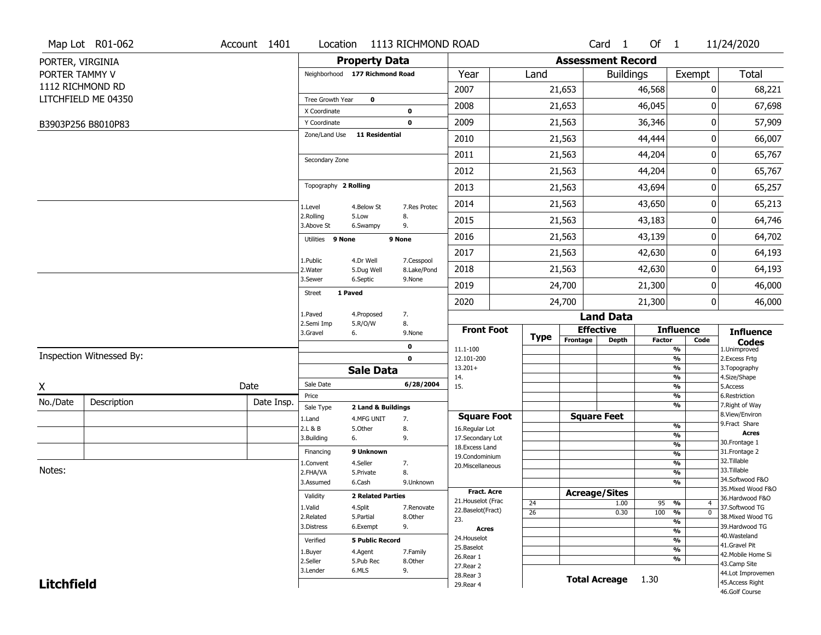|                   | Map Lot R01-062          | Account 1401 | Location                |                                | 1113 RICHMOND ROAD        |                         |                 |                          | Card <sub>1</sub>    | Of 1   |                                | 11/24/2020                        |
|-------------------|--------------------------|--------------|-------------------------|--------------------------------|---------------------------|-------------------------|-----------------|--------------------------|----------------------|--------|--------------------------------|-----------------------------------|
| PORTER, VIRGINIA  |                          |              |                         | <b>Property Data</b>           |                           |                         |                 | <b>Assessment Record</b> |                      |        |                                |                                   |
| PORTER TAMMY V    |                          |              |                         | Neighborhood 177 Richmond Road |                           | Year                    | Land            |                          | <b>Buildings</b>     |        | Exempt                         | <b>Total</b>                      |
|                   | 1112 RICHMOND RD         |              |                         |                                |                           | 2007                    |                 | 21,653                   |                      | 46,568 | 0                              | 68,221                            |
|                   | LITCHFIELD ME 04350      |              | Tree Growth Year        | $\mathbf 0$                    |                           | 2008                    |                 |                          |                      | 46,045 | 0                              | 67,698                            |
|                   |                          |              | X Coordinate            |                                | 0                         |                         |                 | 21,653                   |                      |        |                                |                                   |
|                   | B3903P256 B8010P83       |              | Y Coordinate            |                                | $\mathbf 0$               | 2009                    |                 | 21,563                   |                      | 36,346 | 0                              | 57,909                            |
|                   |                          |              |                         | Zone/Land Use 11 Residential   |                           | 2010                    |                 | 21,563                   |                      | 44,444 | 0                              | 66,007                            |
|                   |                          |              | Secondary Zone          |                                |                           | 2011                    |                 | 21,563                   |                      | 44,204 | 0                              | 65,767                            |
|                   |                          |              |                         |                                |                           | 2012                    |                 | 21,563                   |                      | 44,204 | 0                              | 65,767                            |
|                   |                          |              | Topography 2 Rolling    |                                |                           | 2013                    |                 | 21,563                   |                      | 43,694 | 0                              | 65,257                            |
|                   |                          |              | 1.Level                 | 4.Below St                     | 7.Res Protec              | 2014                    |                 | 21,563                   |                      | 43,650 | 0                              | 65,213                            |
|                   |                          |              | 2.Rolling<br>3.Above St | 5.Low<br>6.Swampy              | 8.<br>9.                  | 2015                    |                 | 21,563                   |                      | 43,183 | 0                              | 64,746                            |
|                   |                          |              | Utilities 9 None        |                                | 9 None                    | 2016                    |                 | 21,563                   |                      | 43,139 | 0                              | 64,702                            |
|                   |                          |              |                         |                                |                           | 2017                    |                 | 21,563                   |                      | 42,630 | 0                              | 64,193                            |
|                   |                          |              | 1.Public<br>2. Water    | 4.Dr Well<br>5.Dug Well        | 7.Cesspool<br>8.Lake/Pond | 2018                    |                 | 21,563                   |                      | 42,630 | 0                              | 64,193                            |
|                   |                          |              | 3.Sewer                 | 6.Septic                       | 9.None                    | 2019                    |                 | 24,700                   |                      | 21,300 | 0                              | 46,000                            |
|                   |                          |              | <b>Street</b>           | 1 Paved                        |                           | 2020                    |                 | 24,700                   |                      | 21,300 | $\overline{0}$                 | 46,000                            |
|                   |                          |              | 1.Paved                 | 4.Proposed                     | 7.                        |                         |                 |                          | <b>Land Data</b>     |        |                                |                                   |
|                   |                          |              | 2.Semi Imp<br>3.Gravel  | 5.R/O/W<br>6.                  | 8.<br>9.None              | <b>Front Foot</b>       | <b>Type</b>     |                          | <b>Effective</b>     |        | <b>Influence</b>               | <b>Influence</b>                  |
|                   |                          |              |                         |                                | 0                         | 11.1-100                |                 | Frontage                 | <b>Depth</b>         | Factor | Code<br>%                      | <b>Codes</b><br>1.Unimproved      |
|                   | Inspection Witnessed By: |              |                         |                                | $\mathbf 0$               | 12.101-200              |                 |                          |                      |        | $\overline{\frac{9}{6}}$       | 2. Excess Frtg                    |
|                   |                          |              |                         | <b>Sale Data</b>               |                           | $13.201+$<br>14.        |                 |                          |                      |        | %<br>%                         | 3. Topography<br>4.Size/Shape     |
| X                 |                          | Date         | Sale Date               |                                | 6/28/2004                 | 15.                     |                 |                          |                      |        | $\frac{9}{6}$                  | 5.Access                          |
| No./Date          | Description              | Date Insp.   | Price                   |                                |                           |                         |                 |                          |                      |        | %                              | 6.Restriction                     |
|                   |                          |              | Sale Type               | 2 Land & Buildings             |                           | <b>Square Foot</b>      |                 |                          | <b>Square Feet</b>   |        | %                              | 7. Right of Way<br>8.View/Environ |
|                   |                          |              | 1.Land<br>2.L & B       | 4.MFG UNIT<br>5.Other          | 7.<br>8.                  | 16.Regular Lot          |                 |                          |                      |        | $\frac{9}{6}$                  | 9. Fract Share                    |
|                   |                          |              | 3.Building              | 6.                             | 9.                        | 17.Secondary Lot        |                 |                          |                      |        | $\overline{\frac{9}{6}}$       | <b>Acres</b>                      |
|                   |                          |              | Financing               | 9 Unknown                      |                           | 18. Excess Land         |                 |                          |                      |        | $\frac{9}{6}$                  | 30.Frontage 1<br>31. Frontage 2   |
|                   |                          |              |                         | 4.Seller                       |                           | 19.Condominium          |                 |                          |                      |        | $\frac{9}{6}$<br>$\frac{9}{6}$ | 32.Tillable                       |
| Notes:            |                          |              | 1.Convent<br>2.FHA/VA   | 5.Private                      | 7.<br>8.                  | 20.Miscellaneous        |                 |                          |                      |        | $\overline{\frac{9}{6}}$       | 33.Tillable                       |
|                   |                          |              | 3.Assumed               | 6.Cash                         | 9.Unknown                 |                         |                 |                          |                      |        | %                              | 34.Softwood F&O                   |
|                   |                          |              |                         |                                |                           | Fract. Acre             |                 |                          | <b>Acreage/Sites</b> |        |                                | 35. Mixed Wood F&O                |
|                   |                          |              | Validity                | <b>2 Related Parties</b>       |                           | 21. Houselot (Frac      | 24              |                          | 1.00                 | 95     | %<br>$\overline{4}$            | 36.Hardwood F&O                   |
|                   |                          |              | 1.Valid                 | 4.Split                        | 7.Renovate                | 22.Baselot(Fract)       | $\overline{26}$ |                          | 0.30                 | 100    | $\frac{9}{6}$<br>$\mathbf 0$   | 37.Softwood TG                    |
|                   |                          |              | 2.Related               | 5.Partial                      | 8.Other                   | 23.                     |                 |                          |                      |        | %                              | 38. Mixed Wood TG                 |
|                   |                          |              | 3.Distress              | 6.Exempt                       | 9.                        | <b>Acres</b>            |                 |                          |                      |        | $\frac{9}{6}$                  | 39.Hardwood TG<br>40. Wasteland   |
|                   |                          |              | Verified                | <b>5 Public Record</b>         |                           | 24. Houselot            |                 |                          |                      |        | %                              | 41.Gravel Pit                     |
|                   |                          |              | 1.Buyer                 | 4.Agent                        | 7.Family                  | 25.Baselot<br>26.Rear 1 |                 |                          |                      |        | $\frac{9}{6}$                  | 42. Mobile Home Si                |
|                   |                          |              | 2.Seller                | 5.Pub Rec                      | 8.Other                   | 27.Rear 2               |                 |                          |                      |        | %                              | 43.Camp Site                      |
|                   |                          |              | 3.Lender                | 6.MLS                          | 9.                        | 28.Rear 3               |                 |                          |                      |        |                                | 44.Lot Improvemen                 |
| <b>Litchfield</b> |                          |              |                         |                                |                           | 29. Rear 4              |                 |                          | <b>Total Acreage</b> | 1.30   |                                | 45.Access Right<br>46.Golf Course |
|                   |                          |              |                         |                                |                           |                         |                 |                          |                      |        |                                |                                   |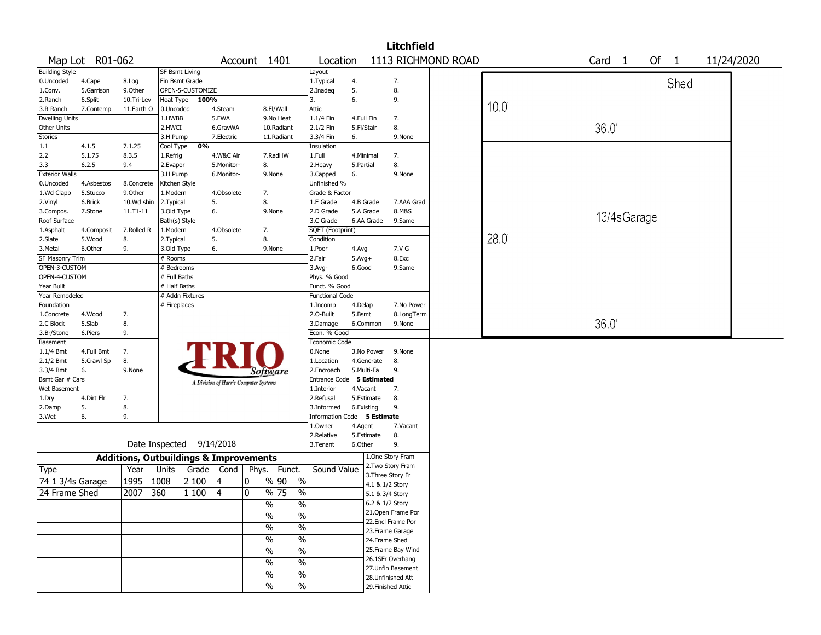|                       |                 |                                                   |                |                  |                                       |       |                                           |                             |            |                 | <b>Litchfield</b>  |                    |                |                   |        |            |  |
|-----------------------|-----------------|---------------------------------------------------|----------------|------------------|---------------------------------------|-------|-------------------------------------------|-----------------------------|------------|-----------------|--------------------|--------------------|----------------|-------------------|--------|------------|--|
|                       | Map Lot R01-062 |                                                   |                |                  |                                       |       | Account 1401                              | Location                    |            |                 |                    | 1113 RICHMOND ROAD |                | Card <sub>1</sub> | Of $1$ | 11/24/2020 |  |
| <b>Building Style</b> |                 |                                                   | SF Bsmt Living |                  |                                       |       |                                           | Layout                      |            |                 |                    |                    |                |                   |        |            |  |
| 0.Uncoded             | 4.Cape          | 8.Log                                             | Fin Bsmt Grade |                  |                                       |       |                                           | 1. Typical                  | 4.         |                 | 7.                 |                    |                |                   | Shed   |            |  |
| 1.Conv.               | 5.Garrison      | 9.Other                                           |                | OPEN-5-CUSTOMIZE |                                       |       |                                           | 2.Inadeq                    | 5.         |                 | 8.                 |                    |                |                   |        |            |  |
| 2.Ranch               | 6.Split         | 10.Tri-Lev                                        | Heat Type      | 100%             |                                       |       |                                           | 3.                          | 6.         |                 | 9.                 |                    |                |                   |        |            |  |
| 3.R Ranch             | 7.Contemp       | 11.Earth O                                        | 0.Uncoded      |                  | 4.Steam                               |       | 8.Fl/Wall                                 | Attic                       |            |                 |                    |                    | $10.0^{\circ}$ |                   |        |            |  |
| <b>Dwelling Units</b> |                 |                                                   | 1.HWBB         |                  | 5.FWA                                 |       | 9.No Heat                                 | 1.1/4 Fin                   | 4.Full Fin |                 | 7.                 |                    |                |                   |        |            |  |
| Other Units           |                 |                                                   | 2.HWCI         |                  | 6.GravWA                              |       | 10.Radiant                                | 2.1/2 Fin                   | 5.Fl/Stair |                 | 8.                 |                    |                | 36.0              |        |            |  |
| Stories               |                 |                                                   | 3.H Pump       |                  | 7.Electric                            |       | 11.Radiant                                | 3.3/4 Fin                   | 6.         |                 | 9.None             |                    |                |                   |        |            |  |
| 1.1                   | 4.1.5           | 7.1.25                                            | Cool Type      | 0%               |                                       |       |                                           | Insulation                  |            |                 |                    |                    |                |                   |        |            |  |
| 2.2                   | 5.1.75          | 8.3.5                                             | 1.Refrig       |                  | 4.W&C Air                             |       | 7.RadHW                                   | 1.Full                      | 4.Minimal  |                 | 7.                 |                    |                |                   |        |            |  |
| 3.3                   | 6.2.5           | 9.4                                               | 2.Evapor       |                  | 5.Monitor-                            |       | 8.                                        | 2. Heavy                    | 5.Partial  |                 | 8.                 |                    |                |                   |        |            |  |
| <b>Exterior Walls</b> |                 |                                                   | 3.H Pump       |                  | 6.Monitor-                            |       | 9.None                                    | 3.Capped                    | 6.         |                 | 9.None             |                    |                |                   |        |            |  |
| 0.Uncoded             | 4.Asbestos      | 8.Concrete                                        | Kitchen Style  |                  |                                       |       |                                           | Unfinished %                |            |                 |                    |                    |                |                   |        |            |  |
| 1.Wd Clapb            | 5.Stucco        | 9.Other                                           | 1.Modern       |                  | 4.Obsolete                            |       | 7.                                        | Grade & Factor              |            |                 |                    |                    |                |                   |        |            |  |
| 2.Vinyl               | 6.Brick         | 10.Wd shin                                        | 2. Typical     |                  | 5.                                    |       | 8.                                        | 1.E Grade                   | 4.B Grade  |                 | 7.AAA Grad         |                    |                |                   |        |            |  |
| 3.Compos.             | 7.Stone         | $11.71 - 11$                                      | 3.Old Type     |                  | 6.                                    |       | 9.None                                    | 2.D Grade                   | 5.A Grade  |                 | 8.M&S              |                    |                |                   |        |            |  |
| Roof Surface          |                 |                                                   | Bath(s) Style  |                  |                                       |       |                                           | 3.C Grade                   | 6.AA Grade |                 | 9.Same             |                    |                | 13/4sGarage       |        |            |  |
| 1.Asphalt             | 4.Composit      | 7.Rolled R                                        | 1.Modern       |                  | 4.Obsolete                            |       | 7.                                        | SQFT (Footprint)            |            |                 |                    |                    |                |                   |        |            |  |
| 2.Slate               | 5.Wood          | 8.                                                | 2. Typical     |                  | 5.                                    |       | 8.                                        | Condition                   |            |                 |                    |                    | 28.0           |                   |        |            |  |
| 3.Metal               | 6.Other         | 9.                                                | 3.Old Type     |                  | 6.                                    |       | 9.None                                    | 1.Poor                      | 4.Avg      |                 | 7.V G              |                    |                |                   |        |            |  |
| SF Masonry Trim       |                 |                                                   | # Rooms        |                  |                                       |       |                                           | 2.Fair                      | $5.Avg+$   |                 | 8.Exc              |                    |                |                   |        |            |  |
| OPEN-3-CUSTOM         |                 |                                                   | # Bedrooms     |                  |                                       |       |                                           | $3.$ Avg-                   | 6.Good     |                 | 9.Same             |                    |                |                   |        |            |  |
| OPEN-4-CUSTOM         |                 |                                                   | # Full Baths   |                  |                                       |       |                                           | Phys. % Good                |            |                 |                    |                    |                |                   |        |            |  |
| Year Built            |                 |                                                   | # Half Baths   |                  |                                       |       |                                           | Funct. % Good               |            |                 |                    |                    |                |                   |        |            |  |
| Year Remodeled        |                 |                                                   |                | # Addn Fixtures  |                                       |       |                                           | <b>Functional Code</b>      |            |                 |                    |                    |                |                   |        |            |  |
| Foundation            |                 |                                                   | # Fireplaces   |                  |                                       |       |                                           | 1.Incomp                    | 4.Delap    |                 | 7.No Power         |                    |                |                   |        |            |  |
| 1.Concrete            | 4.Wood          | 7.                                                |                |                  |                                       |       |                                           | 2.0-Built                   | 5.Bsmt     |                 | 8.LongTerm         |                    |                |                   |        |            |  |
| 2.C Block             | 5.Slab          | 8.                                                |                |                  |                                       |       |                                           | 3.Damage                    | 6.Common   |                 | 9.None             |                    |                | 36.0              |        |            |  |
| 3.Br/Stone            | 6.Piers         | 9.                                                |                |                  |                                       |       |                                           | Econ. % Good                |            |                 |                    |                    |                |                   |        |            |  |
| Basement              |                 |                                                   |                |                  |                                       |       |                                           | Economic Code               |            |                 |                    |                    |                |                   |        |            |  |
| $1.1/4$ Bmt           | 4.Full Bmt      | 7.                                                |                |                  |                                       |       |                                           | 0.None                      | 3.No Power |                 | 9.None             |                    |                |                   |        |            |  |
| 2.1/2 Bmt             | 5.Crawl Sp      | 8.                                                |                |                  |                                       |       |                                           | 1.Location                  | 4.Generate |                 | 8.                 |                    |                |                   |        |            |  |
| 3.3/4 Bmt             | 6.              | 9.None                                            |                |                  |                                       |       | Software                                  | 2.Encroach                  | 5.Multi-Fa |                 | 9.                 |                    |                |                   |        |            |  |
| Bsmt Gar # Cars       |                 |                                                   |                |                  | A Division of Harris Computer Systems |       |                                           | Entrance Code 5 Estimated   |            |                 |                    |                    |                |                   |        |            |  |
| Wet Basement          |                 |                                                   |                |                  |                                       |       |                                           | 1.Interior                  | 4.Vacant   |                 | 7.                 |                    |                |                   |        |            |  |
| 1.Dry                 | 4.Dirt Flr      | 7.                                                |                |                  |                                       |       |                                           | 2.Refusal                   | 5.Estimate |                 | 8.                 |                    |                |                   |        |            |  |
| 2.Damp                | 5.              | 8.                                                |                |                  |                                       |       |                                           | 3.Informed                  | 6.Existing |                 | 9.                 |                    |                |                   |        |            |  |
| 3.Wet                 | 6.              | 9.                                                |                |                  |                                       |       |                                           | Information Code 5 Estimate |            |                 |                    |                    |                |                   |        |            |  |
|                       |                 |                                                   |                |                  |                                       |       |                                           | 1.Owner                     | 4.Agent    |                 | 7.Vacant           |                    |                |                   |        |            |  |
|                       |                 |                                                   |                |                  |                                       |       |                                           | 2.Relative                  | 5.Estimate |                 | 8.                 |                    |                |                   |        |            |  |
|                       |                 |                                                   | Date Inspected |                  | 9/14/2018                             |       |                                           | 3.Tenant                    | 6.Other    |                 | 9.                 |                    |                |                   |        |            |  |
|                       |                 | <b>Additions, Outbuildings &amp; Improvements</b> |                |                  |                                       |       |                                           |                             |            |                 | 1.One Story Fram   |                    |                |                   |        |            |  |
| Type                  |                 | Year                                              | Units          |                  | Grade   Cond                          | Phys. | Funct.                                    | Sound Value                 |            |                 | 2. Two Story Fram  |                    |                |                   |        |            |  |
| 74 1 3/4s Garage      |                 | 1995                                              | 1008           | 2 100            | 4                                     | 0     | % 90<br>$\frac{0}{0}$                     |                             |            | 4.1 & 1/2 Story | 3. Three Story Fr  |                    |                |                   |        |            |  |
| 24 Frame Shed         |                 | 2007                                              | 360            | 1 100            | 4                                     | 0     | % 75<br>$\%$                              |                             |            | 5.1 & 3/4 Story |                    |                    |                |                   |        |            |  |
|                       |                 |                                                   |                |                  |                                       |       | %<br>%                                    |                             |            | 6.2 & 1/2 Story |                    |                    |                |                   |        |            |  |
|                       |                 |                                                   |                |                  |                                       |       |                                           |                             |            |                 | 21. Open Frame Por |                    |                |                   |        |            |  |
|                       |                 |                                                   |                |                  |                                       |       | $\frac{0}{0}$<br>$\%$                     |                             |            |                 | 22.Encl Frame Por  |                    |                |                   |        |            |  |
|                       |                 |                                                   |                |                  |                                       |       | $\frac{1}{2}$<br>$\overline{\frac{0}{6}}$ |                             |            |                 | 23. Frame Garage   |                    |                |                   |        |            |  |
|                       |                 |                                                   |                |                  |                                       |       | $\overline{\frac{0}{6}}$<br>%             |                             |            | 24.Frame Shed   |                    |                    |                |                   |        |            |  |
|                       |                 |                                                   |                |                  |                                       |       | $\overline{\frac{0}{6}}$<br>$\sqrt{6}$    |                             |            |                 | 25. Frame Bay Wind |                    |                |                   |        |            |  |
|                       |                 |                                                   |                |                  |                                       |       |                                           |                             |            |                 | 26.1SFr Overhang   |                    |                |                   |        |            |  |
|                       |                 |                                                   |                |                  |                                       |       | $\sqrt{6}$<br>$\%$                        |                             |            |                 | 27.Unfin Basement  |                    |                |                   |        |            |  |
|                       |                 |                                                   |                |                  |                                       |       | $\frac{0}{0}$<br>$\%$                     |                             |            |                 | 28.Unfinished Att  |                    |                |                   |        |            |  |
|                       |                 |                                                   |                |                  |                                       |       | $\%$<br>$\frac{0}{0}$                     |                             |            |                 | 29. Finished Attic |                    |                |                   |        |            |  |
|                       |                 |                                                   |                |                  |                                       |       |                                           |                             |            |                 |                    |                    |                |                   |        |            |  |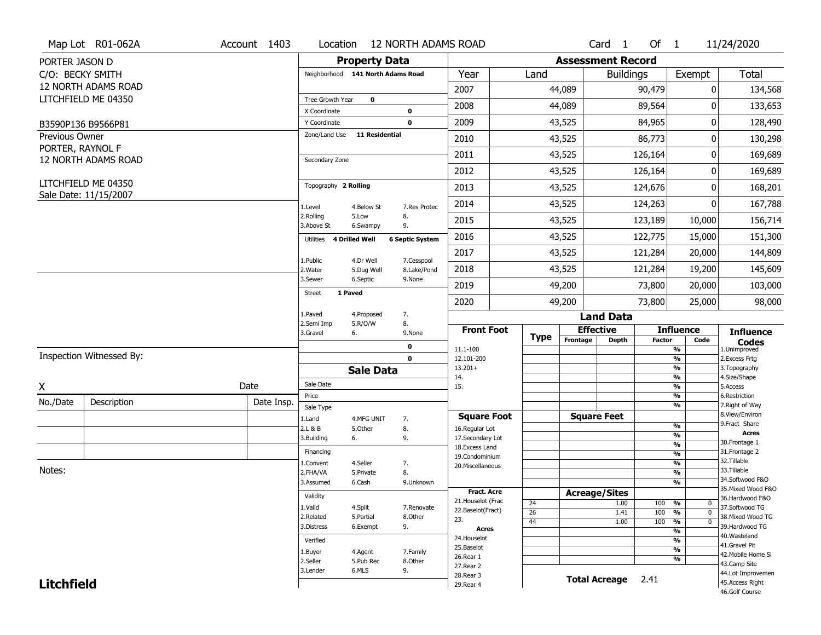| <b>Property Data</b><br><b>Assessment Record</b><br>PORTER JASON D<br><b>Total</b><br>Year<br>Exempt<br>C/O: BECKY SMITH<br>Neighborhood 141 North Adams Road<br>Land<br><b>Buildings</b><br>12 NORTH ADAMS ROAD<br>2007<br>44,089<br>90,479<br>0<br>LITCHFIELD ME 04350<br>Tree Growth Year<br>$\mathbf 0$<br>2008<br>44,089<br>89,564<br>133,653<br>0<br>X Coordinate<br>0<br>2009<br>43,525<br>84,965<br>0<br>128,490<br>Y Coordinate<br>$\mathbf 0$<br>B3590P136 B9566P81<br>Zone/Land Use<br><b>11 Residential</b><br>Previous Owner<br>86,773<br>2010<br>43,525<br>0<br>PORTER, RAYNOL F<br>2011<br>43,525<br>126,164<br>0<br>12 NORTH ADAMS ROAD<br>Secondary Zone<br>2012<br>43,525<br>126,164<br>0<br>LITCHFIELD ME 04350<br>Topography 2 Rolling<br>2013<br>43,525<br>124,676<br>0<br>Sale Date: 11/15/2007<br>2014<br>43,525<br>0<br>124,263<br>1.Level<br>7.Res Protec<br>4.Below St<br>2.Rolling<br>8.<br>5.Low<br>2015<br>43,525<br>123,189<br>10,000<br>3.Above St<br>9.<br>6.Swampy<br>2016<br>43,525<br>122,775<br>15,000<br><b>4 Drilled Well</b><br><b>6 Septic System</b><br>Utilities<br>2017<br>43,525<br>121,284<br>20,000<br>4.Dr Well<br>7.Cesspool<br>1.Public<br>43,525 | Map Lot R01-062A<br>Account 1403 | Location |            | <b>12 NORTH ADAMS ROAD</b> |      |  | Card 1 | Of $1$  |        | 11/24/2020         |
|----------------------------------------------------------------------------------------------------------------------------------------------------------------------------------------------------------------------------------------------------------------------------------------------------------------------------------------------------------------------------------------------------------------------------------------------------------------------------------------------------------------------------------------------------------------------------------------------------------------------------------------------------------------------------------------------------------------------------------------------------------------------------------------------------------------------------------------------------------------------------------------------------------------------------------------------------------------------------------------------------------------------------------------------------------------------------------------------------------------------------------------------------------------------------------------------------|----------------------------------|----------|------------|----------------------------|------|--|--------|---------|--------|--------------------|
|                                                                                                                                                                                                                                                                                                                                                                                                                                                                                                                                                                                                                                                                                                                                                                                                                                                                                                                                                                                                                                                                                                                                                                                                    |                                  |          |            |                            |      |  |        |         |        |                    |
|                                                                                                                                                                                                                                                                                                                                                                                                                                                                                                                                                                                                                                                                                                                                                                                                                                                                                                                                                                                                                                                                                                                                                                                                    |                                  |          |            |                            |      |  |        |         |        |                    |
|                                                                                                                                                                                                                                                                                                                                                                                                                                                                                                                                                                                                                                                                                                                                                                                                                                                                                                                                                                                                                                                                                                                                                                                                    |                                  |          |            |                            |      |  |        |         |        | 134,568            |
|                                                                                                                                                                                                                                                                                                                                                                                                                                                                                                                                                                                                                                                                                                                                                                                                                                                                                                                                                                                                                                                                                                                                                                                                    |                                  |          |            |                            |      |  |        |         |        |                    |
|                                                                                                                                                                                                                                                                                                                                                                                                                                                                                                                                                                                                                                                                                                                                                                                                                                                                                                                                                                                                                                                                                                                                                                                                    |                                  |          |            |                            |      |  |        |         |        |                    |
|                                                                                                                                                                                                                                                                                                                                                                                                                                                                                                                                                                                                                                                                                                                                                                                                                                                                                                                                                                                                                                                                                                                                                                                                    |                                  |          |            |                            |      |  |        |         |        |                    |
|                                                                                                                                                                                                                                                                                                                                                                                                                                                                                                                                                                                                                                                                                                                                                                                                                                                                                                                                                                                                                                                                                                                                                                                                    |                                  |          |            |                            |      |  |        |         |        | 130,298            |
|                                                                                                                                                                                                                                                                                                                                                                                                                                                                                                                                                                                                                                                                                                                                                                                                                                                                                                                                                                                                                                                                                                                                                                                                    |                                  |          |            |                            |      |  |        |         |        | 169,689            |
|                                                                                                                                                                                                                                                                                                                                                                                                                                                                                                                                                                                                                                                                                                                                                                                                                                                                                                                                                                                                                                                                                                                                                                                                    |                                  |          |            |                            |      |  |        |         |        | 169,689            |
|                                                                                                                                                                                                                                                                                                                                                                                                                                                                                                                                                                                                                                                                                                                                                                                                                                                                                                                                                                                                                                                                                                                                                                                                    |                                  |          |            |                            |      |  |        |         |        | 168,201            |
|                                                                                                                                                                                                                                                                                                                                                                                                                                                                                                                                                                                                                                                                                                                                                                                                                                                                                                                                                                                                                                                                                                                                                                                                    |                                  |          |            |                            |      |  |        |         |        | 167,788            |
|                                                                                                                                                                                                                                                                                                                                                                                                                                                                                                                                                                                                                                                                                                                                                                                                                                                                                                                                                                                                                                                                                                                                                                                                    |                                  |          |            |                            |      |  |        |         |        | 156,714            |
|                                                                                                                                                                                                                                                                                                                                                                                                                                                                                                                                                                                                                                                                                                                                                                                                                                                                                                                                                                                                                                                                                                                                                                                                    |                                  |          |            |                            |      |  |        |         |        | 151,300            |
|                                                                                                                                                                                                                                                                                                                                                                                                                                                                                                                                                                                                                                                                                                                                                                                                                                                                                                                                                                                                                                                                                                                                                                                                    |                                  |          |            |                            |      |  |        |         |        | 144,809            |
|                                                                                                                                                                                                                                                                                                                                                                                                                                                                                                                                                                                                                                                                                                                                                                                                                                                                                                                                                                                                                                                                                                                                                                                                    |                                  | 2. Water | 5.Dug Well | 8.Lake/Pond                | 2018 |  |        | 121,284 | 19,200 | 145,609            |
| 3.Sewer<br>6.Septic<br>9.None<br>2019<br>49,200<br>73,800<br>20,000                                                                                                                                                                                                                                                                                                                                                                                                                                                                                                                                                                                                                                                                                                                                                                                                                                                                                                                                                                                                                                                                                                                                |                                  |          |            |                            |      |  |        |         |        | 103,000            |
| 1 Paved<br>Street<br>2020<br>49,200<br>73,800<br>25,000                                                                                                                                                                                                                                                                                                                                                                                                                                                                                                                                                                                                                                                                                                                                                                                                                                                                                                                                                                                                                                                                                                                                            |                                  |          |            |                            |      |  |        |         |        | 98,000             |
| 1.Paved<br>7.<br>4.Proposed<br><b>Land Data</b>                                                                                                                                                                                                                                                                                                                                                                                                                                                                                                                                                                                                                                                                                                                                                                                                                                                                                                                                                                                                                                                                                                                                                    |                                  |          |            |                            |      |  |        |         |        |                    |
| 8.<br>2.Semi Imp<br>5.R/O/W<br><b>Front Foot</b><br><b>Effective</b><br><b>Influence</b><br><b>Influence</b><br>3.Gravel<br>6.<br>9.None<br><b>Type</b>                                                                                                                                                                                                                                                                                                                                                                                                                                                                                                                                                                                                                                                                                                                                                                                                                                                                                                                                                                                                                                            |                                  |          |            |                            |      |  |        |         |        |                    |
| Frontage<br><b>Depth</b><br><b>Factor</b><br>Code<br><b>Codes</b><br>0<br>11.1-100<br>%<br>1.Unimproved                                                                                                                                                                                                                                                                                                                                                                                                                                                                                                                                                                                                                                                                                                                                                                                                                                                                                                                                                                                                                                                                                            |                                  |          |            |                            |      |  |        |         |        |                    |
| Inspection Witnessed By:<br>$\frac{9}{6}$<br>$\mathbf 0$<br>12.101-200<br>2.Excess Frtg                                                                                                                                                                                                                                                                                                                                                                                                                                                                                                                                                                                                                                                                                                                                                                                                                                                                                                                                                                                                                                                                                                            |                                  |          |            |                            |      |  |        |         |        |                    |
| $13.201+$<br>%<br>3. Topography<br><b>Sale Data</b><br>%<br>4.Size/Shape<br>14.                                                                                                                                                                                                                                                                                                                                                                                                                                                                                                                                                                                                                                                                                                                                                                                                                                                                                                                                                                                                                                                                                                                    |                                  |          |            |                            |      |  |        |         |        |                    |
| Sale Date<br>Date<br>$\frac{9}{6}$<br>X<br>15.<br>5.Access                                                                                                                                                                                                                                                                                                                                                                                                                                                                                                                                                                                                                                                                                                                                                                                                                                                                                                                                                                                                                                                                                                                                         |                                  |          |            |                            |      |  |        |         |        |                    |
| Price<br>$\frac{9}{6}$<br>6.Restriction<br>No./Date<br>Description<br>Date Insp.<br>%<br>7. Right of Way                                                                                                                                                                                                                                                                                                                                                                                                                                                                                                                                                                                                                                                                                                                                                                                                                                                                                                                                                                                                                                                                                           |                                  |          |            |                            |      |  |        |         |        |                    |
| Sale Type<br>8.View/Environ<br><b>Square Feet</b><br><b>Square Foot</b><br>1.Land<br>4.MFG UNIT<br>7.                                                                                                                                                                                                                                                                                                                                                                                                                                                                                                                                                                                                                                                                                                                                                                                                                                                                                                                                                                                                                                                                                              |                                  |          |            |                            |      |  |        |         |        |                    |
| 9. Fract Share<br>$\frac{9}{6}$<br>8.<br>2.L & B<br>5.Other<br>16.Regular Lot<br><b>Acres</b>                                                                                                                                                                                                                                                                                                                                                                                                                                                                                                                                                                                                                                                                                                                                                                                                                                                                                                                                                                                                                                                                                                      |                                  |          |            |                            |      |  |        |         |        |                    |
| $\frac{9}{6}$<br>3.Building<br>9.<br>17.Secondary Lot<br>6.<br>30. Frontage 1<br>$\frac{9}{6}$                                                                                                                                                                                                                                                                                                                                                                                                                                                                                                                                                                                                                                                                                                                                                                                                                                                                                                                                                                                                                                                                                                     |                                  |          |            |                            |      |  |        |         |        |                    |
| 18.Excess Land<br>31. Frontage 2<br>Financing<br>$\frac{9}{6}$<br>19.Condominium                                                                                                                                                                                                                                                                                                                                                                                                                                                                                                                                                                                                                                                                                                                                                                                                                                                                                                                                                                                                                                                                                                                   |                                  |          |            |                            |      |  |        |         |        |                    |
| 32. Tillable<br>$\frac{9}{6}$<br>4.Seller<br>7.<br>1.Convent<br>20.Miscellaneous                                                                                                                                                                                                                                                                                                                                                                                                                                                                                                                                                                                                                                                                                                                                                                                                                                                                                                                                                                                                                                                                                                                   |                                  |          |            |                            |      |  |        |         |        |                    |
| Notes:<br>33.Tillable<br>8.<br>$\frac{9}{6}$<br>2.FHA/VA<br>5.Private<br>34.Softwood F&O                                                                                                                                                                                                                                                                                                                                                                                                                                                                                                                                                                                                                                                                                                                                                                                                                                                                                                                                                                                                                                                                                                           |                                  |          |            |                            |      |  |        |         |        |                    |
| $\overline{\frac{9}{6}}$<br>3.Assumed<br>6.Cash<br>9.Unknown                                                                                                                                                                                                                                                                                                                                                                                                                                                                                                                                                                                                                                                                                                                                                                                                                                                                                                                                                                                                                                                                                                                                       |                                  |          |            |                            |      |  |        |         |        | 35. Mixed Wood F&O |
| <b>Fract. Acre</b><br><b>Acreage/Sites</b><br>Validity<br>36.Hardwood F&O<br>21. Houselot (Frac                                                                                                                                                                                                                                                                                                                                                                                                                                                                                                                                                                                                                                                                                                                                                                                                                                                                                                                                                                                                                                                                                                    |                                  |          |            |                            |      |  |        |         |        |                    |
| 24<br>1.00<br>100<br>%<br>0<br>1.Valid<br>4.Split<br>37.Softwood TG<br>7.Renovate<br>22.Baselot(Fract)<br>26<br>1.41<br>100<br>%<br>$\mathbf 0$                                                                                                                                                                                                                                                                                                                                                                                                                                                                                                                                                                                                                                                                                                                                                                                                                                                                                                                                                                                                                                                    |                                  |          |            |                            |      |  |        |         |        |                    |
| 38. Mixed Wood TG<br>2.Related<br>5.Partial<br>8.Other<br>23.<br>100<br>44<br>1.00<br>%<br>$\mathbf 0$                                                                                                                                                                                                                                                                                                                                                                                                                                                                                                                                                                                                                                                                                                                                                                                                                                                                                                                                                                                                                                                                                             |                                  |          |            |                            |      |  |        |         |        |                    |
| 39.Hardwood TG<br>3.Distress<br>9.<br>6.Exempt<br><b>Acres</b><br>$\frac{9}{6}$                                                                                                                                                                                                                                                                                                                                                                                                                                                                                                                                                                                                                                                                                                                                                                                                                                                                                                                                                                                                                                                                                                                    |                                  |          |            |                            |      |  |        |         |        |                    |
| 40. Wasteland<br>24. Houselot<br>$\frac{9}{6}$<br>Verified<br>41.Gravel Pit                                                                                                                                                                                                                                                                                                                                                                                                                                                                                                                                                                                                                                                                                                                                                                                                                                                                                                                                                                                                                                                                                                                        |                                  |          |            |                            |      |  |        |         |        |                    |
| 25.Baselot<br>$\frac{9}{6}$<br>1.Buyer<br>4.Agent<br>7.Family<br>42. Mobile Home Si<br>26.Rear 1                                                                                                                                                                                                                                                                                                                                                                                                                                                                                                                                                                                                                                                                                                                                                                                                                                                                                                                                                                                                                                                                                                   |                                  |          |            |                            |      |  |        |         |        |                    |
| %<br>2.Seller<br>5.Pub Rec<br>8.Other<br>43.Camp Site<br>27.Rear 2                                                                                                                                                                                                                                                                                                                                                                                                                                                                                                                                                                                                                                                                                                                                                                                                                                                                                                                                                                                                                                                                                                                                 |                                  |          |            |                            |      |  |        |         |        |                    |
| 9.<br>3.Lender<br>6.MLS<br>28. Rear 3                                                                                                                                                                                                                                                                                                                                                                                                                                                                                                                                                                                                                                                                                                                                                                                                                                                                                                                                                                                                                                                                                                                                                              |                                  |          |            |                            |      |  |        |         |        | 44.Lot Improvemen  |
| <b>Total Acreage</b><br>2.41<br><b>Litchfield</b><br>45.Access Right<br>29. Rear 4<br>46.Golf Course                                                                                                                                                                                                                                                                                                                                                                                                                                                                                                                                                                                                                                                                                                                                                                                                                                                                                                                                                                                                                                                                                               |                                  |          |            |                            |      |  |        |         |        |                    |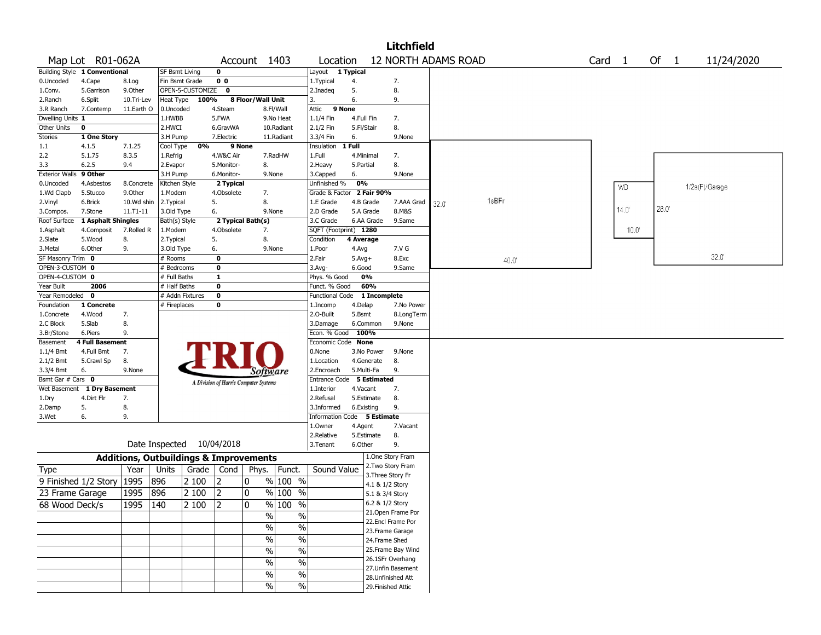|                       |                               |                                                   |                 |                  |                                       |                   |                                |                             |              |                                    | <b>Litchfield</b>                      |                            |        |                |        |                |
|-----------------------|-------------------------------|---------------------------------------------------|-----------------|------------------|---------------------------------------|-------------------|--------------------------------|-----------------------------|--------------|------------------------------------|----------------------------------------|----------------------------|--------|----------------|--------|----------------|
|                       | Map Lot R01-062A              |                                                   |                 |                  |                                       | Account 1403      |                                | Location                    |              |                                    |                                        | <b>12 NORTH ADAMS ROAD</b> | Card 1 |                | Of $1$ | 11/24/2020     |
|                       | Building Style 1 Conventional |                                                   | SF Bsmt Living  |                  | 0                                     |                   |                                | Layout                      | 1 Typical    |                                    |                                        |                            |        |                |        |                |
| 0.Uncoded             | 4.Cape                        | 8.Log                                             | Fin Bsmt Grade  |                  | 0 <sub>0</sub>                        |                   |                                | 1.Typical                   | 4.           |                                    | 7.                                     |                            |        |                |        |                |
| 1.Conv.               | 5.Garrison                    | 9.0ther                                           |                 | OPEN-5-CUSTOMIZE | $\bf{0}$                              |                   |                                | 2.Inadeq                    | 5.           |                                    | 8.                                     |                            |        |                |        |                |
| 2.Ranch               | 6.Split                       | 10.Tri-Lev                                        | Heat Type       | 100%             |                                       | 8 Floor/Wall Unit |                                | 3.                          | 6.           |                                    | 9.                                     |                            |        |                |        |                |
| 3.R Ranch             | 7.Contemp                     | 11.Earth O                                        | 0.Uncoded       |                  | 4.Steam                               |                   | 8.Fl/Wall                      | Attic                       | 9 None       |                                    |                                        |                            |        |                |        |                |
| Dwelling Units 1      |                               |                                                   | 1.HWBB          |                  | 5.FWA                                 |                   | 9.No Heat                      | 1.1/4 Fin                   | 4.Full Fin   |                                    | 7.                                     |                            |        |                |        |                |
| Other Units           | $\mathbf 0$                   |                                                   | 2.HWCI          |                  | 6.GravWA                              |                   | 10.Radiant                     | 2.1/2 Fin                   | 5.Fl/Stair   |                                    | 8.                                     |                            |        |                |        |                |
| Stories               | 1 One Story                   |                                                   | 3.H Pump        |                  | 7.Electric                            |                   | 11.Radiant                     | 3.3/4 Fin                   | 6.           |                                    | 9.None                                 |                            |        |                |        |                |
| 1.1                   | 4.1.5                         | 7.1.25                                            | Cool Type       | 0%               |                                       | 9 None            |                                | Insulation                  | 1 Full       |                                    |                                        |                            |        |                |        |                |
| 2.2                   | 5.1.75                        | 8.3.5                                             | 1.Refrig        |                  | 4.W&C Air                             |                   | 7.RadHW                        | 1.Full                      | 4.Minimal    |                                    | 7.                                     |                            |        |                |        |                |
| 3.3                   | 6.2.5                         | 9.4                                               | 2.Evapor        |                  | 5.Monitor-                            | 8.                |                                | 2.Heavy                     | 5.Partial    |                                    | 8.                                     |                            |        |                |        |                |
| <b>Exterior Walls</b> | 9 Other                       |                                                   | 3.H Pump        |                  | 6.Monitor-                            |                   | 9.None                         | 3.Capped                    | 6.           |                                    | 9.None                                 |                            |        |                |        |                |
| 0.Uncoded             | 4.Asbestos                    | 8.Concrete                                        | Kitchen Style   |                  | 2 Typical                             |                   |                                | Unfinished %                | 0%           |                                    |                                        |                            |        | <b>WD</b>      |        | 1/2s(F)/Garage |
| 1.Wd Clapb            | 5.Stucco                      | 9.0ther                                           | 1.Modern        |                  | 4.Obsolete                            | 7.                |                                | Grade & Factor              |              | 2 Fair 90%                         |                                        |                            |        |                |        |                |
| 2.Vinyl               | 6.Brick                       | 10.Wd shin                                        | 2. Typical      |                  | 5.                                    | 8.                |                                | 1.E Grade                   |              | 4.B Grade                          | 7.AAA Grad                             | 1sBFr<br>32.0              |        |                |        |                |
| 3.Compos.             | 7.Stone                       | 11.T1-11                                          | 3.Old Type      |                  | 6.                                    |                   | 9.None                         | 2.D Grade                   |              | 5.A Grade                          | 8.M&S                                  |                            |        | 14.0           | 28.0   |                |
| Roof Surface          | 1 Asphalt Shingles            |                                                   | Bath(s) Style   |                  |                                       | 2 Typical Bath(s) |                                | 3.C Grade                   |              | 6.AA Grade                         | 9.Same                                 |                            |        |                |        |                |
| 1.Asphalt             | 4.Composit                    | 7.Rolled R                                        | 1.Modern        |                  | 4.Obsolete                            | 7.                |                                | SQFT (Footprint) 1280       |              |                                    |                                        |                            |        | $10.0^{\circ}$ |        |                |
| 2.Slate               | 5.Wood                        | 8.                                                | 2. Typical      |                  | 5.                                    | 8.                |                                | Condition                   | 4 Average    |                                    |                                        |                            |        |                |        |                |
| 3.Metal               | 6.Other                       | 9.                                                | 3.Old Type      |                  | 6.                                    |                   | 9.None                         | 1.Poor                      | 4.Avg        |                                    | 7.V G                                  |                            |        |                |        |                |
| SF Masonry Trim       | 0                             |                                                   | # Rooms         |                  | $\bf{0}$                              |                   |                                | 2.Fair                      | $5.$ Avg $+$ |                                    | 8.Exc                                  | 40.0                       |        |                |        | 32.0'          |
| OPEN-3-CUSTOM 0       |                               |                                                   | # Bedrooms      |                  | $\mathbf 0$                           |                   |                                | 3.Avg-                      | 6.Good       |                                    | 9.Same                                 |                            |        |                |        |                |
| OPEN-4-CUSTOM 0       |                               |                                                   | # Full Baths    |                  | $\mathbf{1}$                          |                   |                                | Phys. % Good                |              | 0%                                 |                                        |                            |        |                |        |                |
| Year Built            | 2006                          |                                                   | # Half Baths    |                  | $\mathbf 0$                           |                   |                                | Funct. % Good               |              | 60%                                |                                        |                            |        |                |        |                |
| Year Remodeled        | $\mathbf 0$                   |                                                   | # Addn Fixtures |                  | $\mathbf 0$                           |                   |                                | <b>Functional Code</b>      |              | 1 Incomplete                       |                                        |                            |        |                |        |                |
| Foundation            | 1 Concrete                    |                                                   | # Fireplaces    |                  | 0                                     |                   |                                | 1.Incomp                    | 4.Delap      |                                    | 7.No Power                             |                            |        |                |        |                |
| 1.Concrete            | 4.Wood                        | 7.                                                |                 |                  |                                       |                   |                                | 2.O-Built                   | 5.Bsmt       |                                    | 8.LongTerm                             |                            |        |                |        |                |
| 2.C Block             | 5.Slab                        | 8.                                                |                 |                  |                                       |                   |                                | 3.Damage                    |              | 6.Common                           | 9.None                                 |                            |        |                |        |                |
| 3.Br/Stone            | 6.Piers                       | 9.                                                |                 |                  |                                       |                   |                                | Econ. % Good                | 100%         |                                    |                                        |                            |        |                |        |                |
| Basement              | <b>4 Full Basement</b>        |                                                   |                 |                  |                                       |                   |                                | Economic Code None          |              |                                    |                                        |                            |        |                |        |                |
| 1.1/4 Bmt             | 4.Full Bmt                    | 7.                                                |                 |                  |                                       |                   |                                | 0.None                      |              | 3.No Power                         | 9.None                                 |                            |        |                |        |                |
| 2.1/2 Bmt             | 5.Crawl Sp                    | 8.                                                |                 |                  |                                       |                   |                                | 1.Location                  |              | 4.Generate                         | 8.                                     |                            |        |                |        |                |
| 3.3/4 Bmt             | 6.                            | 9.None                                            |                 |                  |                                       |                   | Software                       | 2.Encroach                  |              | 5.Multi-Fa                         | 9.                                     |                            |        |                |        |                |
| Bsmt Gar # Cars 0     |                               |                                                   |                 |                  |                                       |                   |                                | Entrance Code               |              | 5 Estimated                        |                                        |                            |        |                |        |                |
| Wet Basement          | 1 Dry Basement                |                                                   |                 |                  | A Division of Harris Computer Systems |                   |                                | 1.Interior                  | 4.Vacant     |                                    | 7.                                     |                            |        |                |        |                |
| 1.Dry                 | 4.Dirt Flr                    | 7.                                                |                 |                  |                                       |                   |                                | 2.Refusal                   |              | 5.Estimate                         | 8.                                     |                            |        |                |        |                |
| 2.Damp                | 5.                            | 8.                                                |                 |                  |                                       |                   |                                | 3.Informed                  |              | 6.Existing                         | 9.                                     |                            |        |                |        |                |
| 3.Wet                 | 6.                            | 9.                                                |                 |                  |                                       |                   |                                | Information Code 5 Estimate |              |                                    |                                        |                            |        |                |        |                |
|                       |                               |                                                   |                 |                  |                                       |                   |                                | 1.0wner                     | 4.Agent      |                                    | 7.Vacant                               |                            |        |                |        |                |
|                       |                               |                                                   |                 |                  |                                       |                   |                                | 2.Relative                  |              | 5.Estimate                         | 8.                                     |                            |        |                |        |                |
|                       |                               |                                                   | Date Inspected  |                  | 10/04/2018                            |                   |                                | 3.Tenant                    | 6.Other      |                                    | 9.                                     |                            |        |                |        |                |
|                       |                               |                                                   |                 |                  |                                       |                   |                                |                             |              |                                    |                                        |                            |        |                |        |                |
|                       |                               | <b>Additions, Outbuildings &amp; Improvements</b> |                 |                  |                                       |                   |                                |                             |              |                                    | 1.One Story Fram                       |                            |        |                |        |                |
| Type                  |                               | Year                                              | Units           | Grade            | Cond                                  | Phys.             | Funct.                         | Sound Value                 |              |                                    | 2. Two Story Fram<br>3. Three Story Fr |                            |        |                |        |                |
|                       | 9 Finished 1/2 Story          | 1995                                              | 896             | 2 100            | 2                                     | 0                 | % 100 %                        |                             |              |                                    |                                        |                            |        |                |        |                |
| 23 Frame Garage       |                               | 1995                                              | 896             | 2 100            | 2                                     | 0                 | % 100 %                        |                             |              | 4.1 & 1/2 Story<br>5.1 & 3/4 Story |                                        |                            |        |                |        |                |
|                       |                               |                                                   |                 |                  |                                       |                   |                                |                             |              |                                    |                                        |                            |        |                |        |                |
| 68 Wood Deck/s        |                               | 1995                                              | 140             | 2 100            | 2                                     | 0                 | % 100 %                        |                             |              | 6.2 & 1/2 Story                    |                                        |                            |        |                |        |                |
|                       |                               |                                                   |                 |                  |                                       |                   | $\frac{0}{0}$<br>$\frac{0}{0}$ |                             |              |                                    | 21. Open Frame Por                     |                            |        |                |        |                |
|                       |                               |                                                   |                 |                  |                                       |                   | $\frac{1}{2}$<br>$\%$          |                             |              |                                    | 22.Encl Frame Por                      |                            |        |                |        |                |
|                       |                               |                                                   |                 |                  |                                       |                   |                                |                             |              |                                    | 23. Frame Garage                       |                            |        |                |        |                |
|                       |                               |                                                   |                 |                  |                                       |                   | $\frac{1}{2}$<br>$\%$          |                             |              | 24.Frame Shed                      |                                        |                            |        |                |        |                |
|                       |                               |                                                   |                 |                  |                                       |                   | $\%$<br>$\frac{0}{0}$          |                             |              |                                    | 25. Frame Bay Wind                     |                            |        |                |        |                |
|                       |                               |                                                   |                 |                  |                                       |                   | $\frac{0}{0}$<br>$\%$          |                             |              |                                    | 26.1SFr Overhang                       |                            |        |                |        |                |
|                       |                               |                                                   |                 |                  |                                       |                   |                                |                             |              |                                    | 27. Unfin Basement                     |                            |        |                |        |                |
|                       |                               |                                                   |                 |                  |                                       |                   | $\%$<br>$\%$                   |                             |              |                                    | 28. Unfinished Att                     |                            |        |                |        |                |
|                       |                               |                                                   |                 |                  |                                       |                   | $\frac{0}{0}$<br>$\%$          |                             |              |                                    | 29. Finished Attic                     |                            |        |                |        |                |
|                       |                               |                                                   |                 |                  |                                       |                   |                                |                             |              |                                    |                                        |                            |        |                |        |                |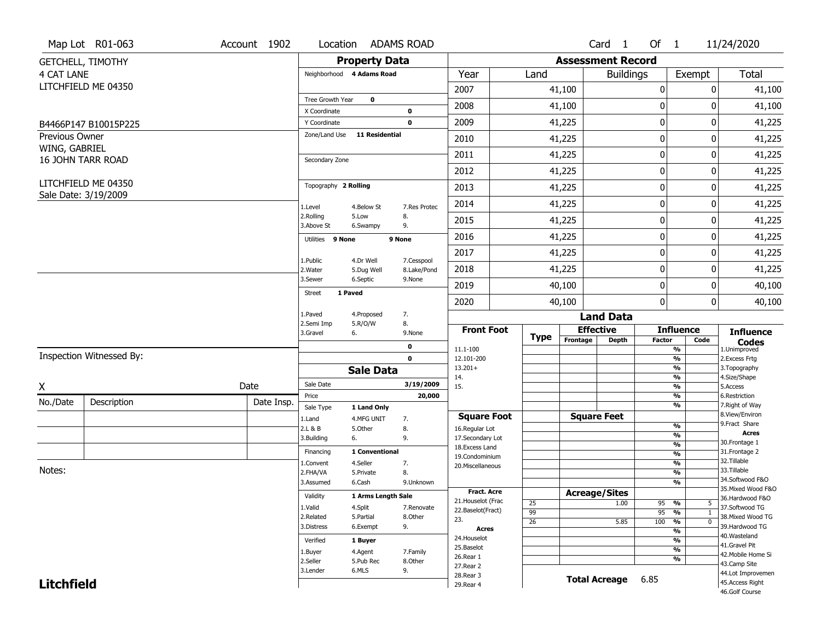|                   | Map Lot R01-063                             | Account 1902 | Location                     |                           | <b>ADAMS ROAD</b> |                          |             |                          | Card <sub>1</sub>    | Of 1                           |              | 11/24/2020                          |
|-------------------|---------------------------------------------|--------------|------------------------------|---------------------------|-------------------|--------------------------|-------------|--------------------------|----------------------|--------------------------------|--------------|-------------------------------------|
|                   | <b>GETCHELL, TIMOTHY</b>                    |              |                              | <b>Property Data</b>      |                   |                          |             | <b>Assessment Record</b> |                      |                                |              |                                     |
| <b>4 CAT LANE</b> |                                             |              | Neighborhood 4 Adams Road    |                           |                   | Year                     | Land        |                          | <b>Buildings</b>     |                                | Exempt       | <b>Total</b>                        |
|                   | LITCHFIELD ME 04350                         |              |                              |                           |                   | 2007                     |             | 41,100                   |                      | 0                              | 0            | 41,100                              |
|                   |                                             |              | Tree Growth Year             | $\mathbf 0$               |                   | 2008                     |             |                          |                      | 0                              | 0            | 41,100                              |
|                   |                                             |              | X Coordinate                 |                           | 0                 |                          |             | 41,100                   |                      |                                |              |                                     |
|                   | B4466P147 B10015P225                        |              | Y Coordinate                 |                           | $\mathbf 0$       | 2009                     |             | 41,225                   |                      | 0                              | 0            | 41,225                              |
| Previous Owner    |                                             |              | Zone/Land Use                | 11 Residential            |                   | 2010                     |             | 41,225                   |                      | 0                              | 0            | 41,225                              |
| WING, GABRIEL     | <b>16 JOHN TARR ROAD</b>                    |              | Secondary Zone               |                           |                   | 2011                     |             | 41,225                   |                      | 0                              | 0            | 41,225                              |
|                   |                                             |              |                              |                           |                   | 2012                     |             | 41,225                   |                      | 0                              | 0            | 41,225                              |
|                   | LITCHFIELD ME 04350<br>Sale Date: 3/19/2009 |              | Topography 2 Rolling         |                           |                   | 2013                     |             | 41,225                   |                      | 0                              | 0            | 41,225                              |
|                   |                                             |              | 1.Level                      | 4.Below St                | 7.Res Protec      | 2014                     |             | 41,225                   |                      | 0                              | 0            | 41,225                              |
|                   |                                             |              | 2.Rolling<br>3.Above St      | 5.Low<br>6.Swampy         | 8.<br>9.          | 2015                     |             | 41,225                   |                      | 0                              | 0            | 41,225                              |
|                   |                                             |              | Utilities 9 None             |                           | 9 None            | 2016                     |             | 41,225                   |                      | 0                              | 0            | 41,225                              |
|                   |                                             |              | 1.Public                     | 4.Dr Well                 | 7.Cesspool        | 2017                     |             | 41,225                   |                      | 0                              | 0            | 41,225                              |
|                   |                                             |              | 2. Water                     | 5.Dug Well                | 8.Lake/Pond       | 2018                     |             | 41,225                   |                      | 0                              | 0            | 41,225                              |
|                   |                                             |              | 3.Sewer                      | 6.Septic                  | 9.None            | 2019                     |             | 40,100                   |                      | 0                              | 0            | 40,100                              |
|                   |                                             |              | 1 Paved<br>Street            |                           |                   | 2020                     |             | 40,100                   |                      | 0                              | 0            | 40,100                              |
|                   |                                             |              | 1.Paved                      | 4.Proposed                | 7.                |                          |             |                          | <b>Land Data</b>     |                                |              |                                     |
|                   |                                             |              | 2.Semi Imp<br>3.Gravel<br>6. | 5.R/O/W                   | 8.<br>9.None      | <b>Front Foot</b>        | <b>Type</b> |                          | <b>Effective</b>     | <b>Influence</b>               |              | <b>Influence</b>                    |
|                   |                                             |              |                              |                           | 0                 | 11.1-100                 |             | Frontage                 | <b>Depth</b>         | <b>Factor</b><br>%             | Code         | <b>Codes</b><br>1.Unimproved        |
|                   | Inspection Witnessed By:                    |              |                              |                           | $\mathbf 0$       | 12.101-200               |             |                          |                      | $\frac{9}{6}$                  |              | 2.Excess Frtg                       |
|                   |                                             |              |                              | <b>Sale Data</b>          |                   | $13.201+$<br>14.         |             |                          |                      | %<br>%                         |              | 3. Topography<br>4.Size/Shape       |
| X                 |                                             | Date         | Sale Date                    |                           | 3/19/2009         | 15.                      |             |                          |                      | $\frac{9}{6}$                  |              | 5.Access                            |
| No./Date          | Description                                 | Date Insp.   | Price                        |                           | 20,000            |                          |             |                          |                      | $\frac{9}{6}$                  |              | 6.Restriction                       |
|                   |                                             |              | Sale Type                    | 1 Land Only               |                   | <b>Square Foot</b>       |             |                          | <b>Square Feet</b>   | %                              |              | 7. Right of Way<br>8.View/Environ   |
|                   |                                             |              | 1.Land<br>2.L & B            | 4.MFG UNIT<br>5.Other     | 7.<br>8.          | 16.Regular Lot           |             |                          |                      | $\frac{9}{6}$                  |              | 9. Fract Share                      |
|                   |                                             |              | 3.Building<br>6.             |                           | 9.                | 17.Secondary Lot         |             |                          |                      | $\frac{9}{6}$                  |              | <b>Acres</b>                        |
|                   |                                             |              | Financing                    | 1 Conventional            |                   | 18. Excess Land          |             |                          |                      | $\frac{9}{6}$                  |              | 30. Frontage 1<br>31. Frontage 2    |
|                   |                                             |              | 1.Convent                    | 4.Seller                  | 7.                | 19.Condominium           |             |                          |                      | $\frac{9}{6}$<br>$\frac{9}{6}$ |              | 32.Tillable                         |
| Notes:            |                                             |              | 2.FHA/VA                     | 5.Private                 | 8.                | 20.Miscellaneous         |             |                          |                      | $\frac{9}{6}$                  |              | 33.Tillable                         |
|                   |                                             |              | 3.Assumed                    | 6.Cash                    | 9.Unknown         |                          |             |                          |                      | $\overline{\frac{9}{6}}$       |              | 34.Softwood F&O                     |
|                   |                                             |              |                              | <b>1 Arms Lenath Sale</b> |                   | <b>Fract, Acre</b>       |             |                          | <b>Acreage/Sites</b> |                                |              | 35. Mixed Wood F&O                  |
|                   |                                             |              | Validity                     |                           |                   | 21. Houselot (Frac       | 25          |                          | 1.00                 | 95<br>%                        | 5            | 36.Hardwood F&O                     |
|                   |                                             |              | 1.Valid                      | 4.Split                   | 7.Renovate        | 22.Baselot(Fract)        | 99          |                          |                      | 95<br>$\frac{9}{6}$            | $\mathbf{1}$ | 37.Softwood TG                      |
|                   |                                             |              | 2.Related<br>3.Distress      | 5.Partial                 | 8.Other           | 23.                      | 26          |                          | 5.85                 | 100<br>$\frac{9}{6}$           | $\mathbf 0$  | 38. Mixed Wood TG<br>39.Hardwood TG |
|                   |                                             |              |                              | 6.Exempt                  | 9.                | <b>Acres</b>             |             |                          |                      | $\frac{9}{6}$                  |              | 40. Wasteland                       |
|                   |                                             |              | Verified                     | 1 Buyer                   |                   | 24. Houselot             |             |                          |                      | $\frac{9}{6}$                  |              | 41.Gravel Pit                       |
|                   |                                             |              |                              |                           |                   |                          |             |                          |                      |                                |              |                                     |
|                   |                                             |              | 1.Buyer                      | 4.Agent                   | 7.Family          | 25.Baselot               |             |                          |                      | $\frac{9}{6}$                  |              |                                     |
|                   |                                             |              | 2.Seller                     | 5.Pub Rec                 | 8.Other           | 26.Rear 1                |             |                          |                      | $\frac{9}{6}$                  |              | 42. Mobile Home Si<br>43.Camp Site  |
|                   |                                             |              | 3.Lender                     | 6.MLS                     | 9.                | 27.Rear 2                |             |                          |                      |                                |              | 44.Lot Improvemen                   |
| <b>Litchfield</b> |                                             |              |                              |                           |                   | 28. Rear 3<br>29. Rear 4 |             |                          | <b>Total Acreage</b> | 6.85                           |              | 45.Access Right<br>46.Golf Course   |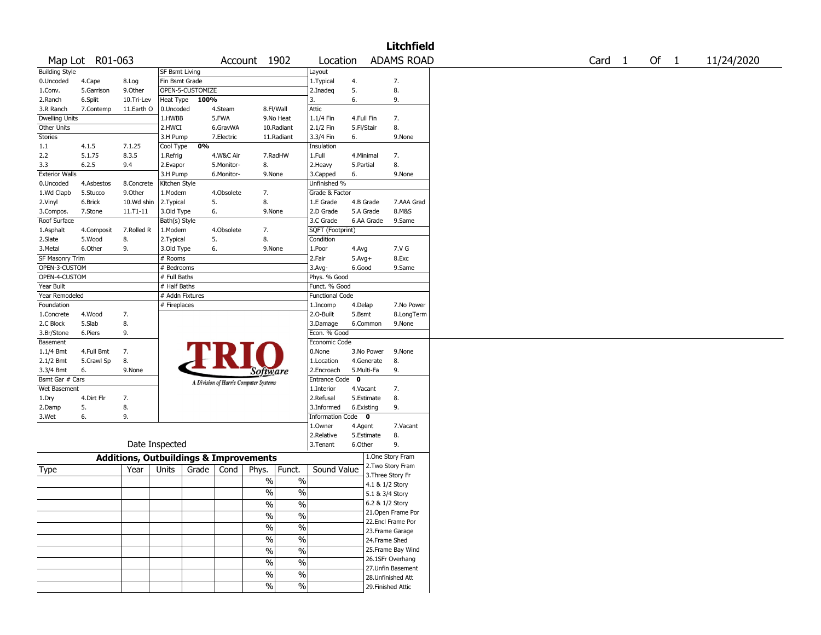|                       |                 |                                                   |                       |                  |            |                                       |               |                        |                          |                 | <b>Litchfield</b>  |        |      |            |
|-----------------------|-----------------|---------------------------------------------------|-----------------------|------------------|------------|---------------------------------------|---------------|------------------------|--------------------------|-----------------|--------------------|--------|------|------------|
|                       | Map Lot R01-063 |                                                   |                       |                  |            | Account 1902                          |               | Location               |                          |                 | <b>ADAMS ROAD</b>  | Card 1 | Of 1 | 11/24/2020 |
| <b>Building Style</b> |                 |                                                   | <b>SF Bsmt Living</b> |                  |            |                                       |               | Layout                 |                          |                 |                    |        |      |            |
| 0.Uncoded             | 4.Cape          | 8.Log                                             | Fin Bsmt Grade        |                  |            |                                       |               | 1. Typical             | 4.                       |                 | 7.                 |        |      |            |
| 1.Conv.               | 5.Garrison      | 9.0ther                                           |                       | OPEN-5-CUSTOMIZE |            |                                       |               | 2.Inadeq               | 5.                       |                 | 8.                 |        |      |            |
| 2.Ranch               | 6.Split         | 10.Tri-Lev                                        | Heat Type             | 100%             |            |                                       |               | 3.                     | 6.                       |                 | 9.                 |        |      |            |
| 3.R Ranch             | 7.Contemp       | 11.Earth O                                        | 0.Uncoded             |                  | 4.Steam    |                                       | 8.Fl/Wall     | Attic                  |                          |                 |                    |        |      |            |
| <b>Dwelling Units</b> |                 |                                                   | 1.HWBB                |                  | 5.FWA      |                                       | 9.No Heat     | 1.1/4 Fin              | 4.Full Fin               |                 | 7.                 |        |      |            |
| Other Units           |                 |                                                   | 2.HWCI                |                  | 6.GravWA   |                                       | 10.Radiant    | 2.1/2 Fin              | 5.Fl/Stair               |                 | 8.                 |        |      |            |
| <b>Stories</b>        |                 |                                                   | 3.H Pump              |                  | 7.Electric |                                       | 11.Radiant    | 3.3/4 Fin              | 6.                       |                 | 9.None             |        |      |            |
| 1.1                   | 4.1.5           | 7.1.25                                            | Cool Type             | 0%               |            |                                       |               | Insulation             |                          |                 |                    |        |      |            |
| 2.2                   | 5.1.75          | 8.3.5                                             | 1.Refrig              |                  | 4.W&C Air  |                                       | 7.RadHW       | 1.Full                 | 4.Minimal                |                 | 7.                 |        |      |            |
| 3.3                   | 6.2.5           | 9.4                                               | 2.Evapor              |                  | 5.Monitor- | 8.                                    |               | 2.Heavy                | 5.Partial                |                 | 8.                 |        |      |            |
| <b>Exterior Walls</b> |                 |                                                   | 3.H Pump              |                  | 6.Monitor- | 9.None                                |               | 3.Capped               | 6.                       |                 | 9.None             |        |      |            |
| 0.Uncoded             | 4.Asbestos      | 8.Concrete                                        | Kitchen Style         |                  |            |                                       |               | Unfinished %           |                          |                 |                    |        |      |            |
| 1.Wd Clapb            | 5.Stucco        | 9.Other                                           | 1.Modern              |                  | 4.Obsolete | 7.                                    |               | Grade & Factor         |                          |                 |                    |        |      |            |
| 2.Vinyl               | 6.Brick         | 10.Wd shin                                        | 2.Typical             |                  | 5.         | 8.                                    |               | 1.E Grade              | 4.B Grade                |                 | 7.AAA Grad         |        |      |            |
| 3.Compos.             | 7.Stone         | $11. T1 - 11$                                     | 3.Old Type            |                  | 6.         | 9.None                                |               | 2.D Grade              | 5.A Grade                |                 | 8.M&S              |        |      |            |
| Roof Surface          |                 |                                                   | Bath(s) Style         |                  |            |                                       |               | 3.C Grade              |                          | 6.AA Grade      | 9.Same             |        |      |            |
| 1.Asphalt             | 4.Composit      | 7.Rolled R                                        | 1.Modern              |                  | 4.Obsolete | 7.                                    |               | SQFT (Footprint)       |                          |                 |                    |        |      |            |
| 2.Slate               | 5.Wood          | 8.                                                | 2.Typical             |                  | 5.         | 8.                                    |               | Condition              |                          |                 |                    |        |      |            |
| 3.Metal               | 6.Other         | 9.                                                | 3.Old Type            |                  | 6.         | 9.None                                |               | 1.Poor                 | 4.Avg                    |                 | 7.V G              |        |      |            |
| SF Masonry Trim       |                 |                                                   | # Rooms               |                  |            |                                       |               | 2.Fair                 | $5.$ Avg $+$             |                 | 8.Exc              |        |      |            |
| OPEN-3-CUSTOM         |                 |                                                   | # Bedrooms            |                  |            |                                       |               | 3.Avg-                 | 6.Good                   |                 | 9.Same             |        |      |            |
| OPEN-4-CUSTOM         |                 |                                                   | # Full Baths          |                  |            |                                       |               | Phys. % Good           |                          |                 |                    |        |      |            |
| Year Built            |                 |                                                   | # Half Baths          |                  |            |                                       |               | Funct. % Good          |                          |                 |                    |        |      |            |
| Year Remodeled        |                 |                                                   | # Addn Fixtures       |                  |            |                                       |               | <b>Functional Code</b> |                          |                 |                    |        |      |            |
| Foundation            |                 |                                                   | # Fireplaces          |                  |            |                                       |               | 1.Incomp               | 4.Delap                  |                 | 7.No Power         |        |      |            |
| 1.Concrete            | 4.Wood          | 7.                                                |                       |                  |            |                                       |               | 2.0-Built              | 5.Bsmt                   |                 | 8.LongTerm         |        |      |            |
| 2.C Block             | 5.Slab          | 8.                                                |                       |                  |            |                                       |               | 3.Damage               | 6.Common                 |                 | 9.None             |        |      |            |
| 3.Br/Stone            | 6.Piers         | 9.                                                |                       |                  |            |                                       |               | Econ. % Good           |                          |                 |                    |        |      |            |
| Basement              |                 |                                                   |                       |                  |            |                                       |               | Economic Code          |                          |                 |                    |        |      |            |
|                       | 4.Full Bmt      |                                                   |                       |                  |            |                                       |               | 0.None                 |                          | 3.No Power      | 9.None             |        |      |            |
| 1.1/4 Bmt             |                 | 7.                                                |                       |                  |            |                                       |               |                        |                          |                 |                    |        |      |            |
| 2.1/2 Bmt             | 5.Crawl Sp      | 8.                                                |                       |                  |            |                                       |               | 1.Location             | 4.Generate<br>5.Multi-Fa |                 | 8.<br>9.           |        |      |            |
| 3.3/4 Bmt             | 6.              | 9.None                                            |                       |                  |            | Software                              |               | 2.Encroach             | $\mathbf 0$              |                 |                    |        |      |            |
| Bsmt Gar # Cars       |                 |                                                   |                       |                  |            | A Division of Harris Computer Systems |               | <b>Entrance Code</b>   |                          |                 |                    |        |      |            |
| Wet Basement          |                 |                                                   |                       |                  |            |                                       |               | 1.Interior             | 4.Vacant                 |                 | 7.                 |        |      |            |
| 1.Dry                 | 4.Dirt Flr      | 7.                                                |                       |                  |            |                                       |               | 2.Refusal              | 5.Estimate               |                 | 8.                 |        |      |            |
| 2.Damp                | 5.              | 8.                                                |                       |                  |            |                                       |               | 3.Informed             | 6.Existing               |                 | 9.                 |        |      |            |
| 3.Wet                 | 6.              | 9.                                                |                       |                  |            |                                       |               | Information Code 0     |                          |                 |                    |        |      |            |
|                       |                 |                                                   |                       |                  |            |                                       |               | 1.0wner                | 4.Agent                  |                 | 7.Vacant           |        |      |            |
|                       |                 |                                                   |                       |                  |            |                                       |               | 2.Relative             | 5.Estimate               |                 | 8.                 |        |      |            |
|                       |                 |                                                   | Date Inspected        |                  |            |                                       |               | 3.Tenant               | 6.Other                  |                 | 9.                 |        |      |            |
|                       |                 | <b>Additions, Outbuildings &amp; Improvements</b> |                       |                  |            |                                       |               |                        |                          |                 | 1.One Story Fram   |        |      |            |
| Type                  |                 | Year                                              | Units                 | Grade            | Cond       | Phys.                                 | Funct.        | Sound Value            |                          |                 | 2. Two Story Fram  |        |      |            |
|                       |                 |                                                   |                       |                  |            |                                       |               |                        |                          |                 | 3. Three Story Fr  |        |      |            |
|                       |                 |                                                   |                       |                  |            | $\%$                                  | $\%$          |                        |                          | 4.1 & 1/2 Story |                    |        |      |            |
|                       |                 |                                                   |                       |                  |            | $\%$                                  | $\frac{0}{0}$ |                        |                          | 5.1 & 3/4 Story |                    |        |      |            |
|                       |                 |                                                   |                       |                  |            | $\overline{\%}$                       | $\frac{0}{0}$ |                        |                          | 6.2 & 1/2 Story |                    |        |      |            |
|                       |                 |                                                   |                       |                  |            |                                       |               |                        |                          |                 | 21. Open Frame Por |        |      |            |
|                       |                 |                                                   |                       |                  |            | $\%$                                  | $\frac{1}{2}$ |                        |                          |                 | 22.Encl Frame Por  |        |      |            |
|                       |                 |                                                   |                       |                  |            | $\frac{1}{2}$                         | $\frac{0}{6}$ |                        |                          |                 | 23. Frame Garage   |        |      |            |
|                       |                 |                                                   |                       |                  |            | $\frac{1}{2}$                         | $\frac{0}{6}$ |                        |                          | 24.Frame Shed   |                    |        |      |            |
|                       |                 |                                                   |                       |                  |            | $\frac{1}{2}$                         | $\frac{0}{6}$ |                        |                          |                 | 25. Frame Bay Wind |        |      |            |
|                       |                 |                                                   |                       |                  |            |                                       |               |                        |                          |                 | 26.1SFr Overhang   |        |      |            |
|                       |                 |                                                   |                       |                  |            | $\frac{0}{0}$                         | $\frac{1}{2}$ |                        |                          |                 | 27.Unfin Basement  |        |      |            |
|                       |                 |                                                   |                       |                  |            | $\frac{1}{2}$                         | $\frac{1}{2}$ |                        |                          |                 | 28. Unfinished Att |        |      |            |
|                       |                 |                                                   |                       |                  |            | $\frac{1}{2}$                         | $\sqrt{6}$    |                        |                          |                 | 29. Finished Attic |        |      |            |
|                       |                 |                                                   |                       |                  |            |                                       |               |                        |                          |                 |                    |        |      |            |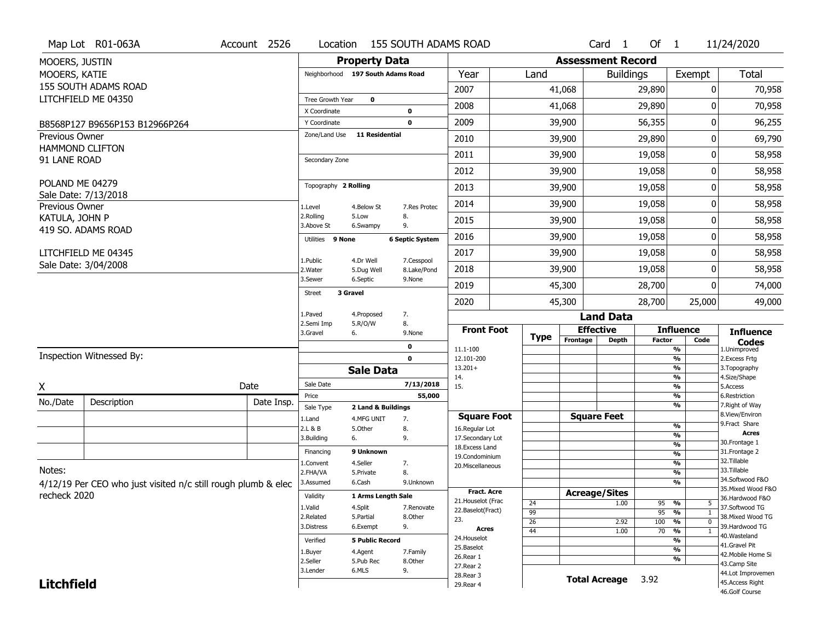|                       | Map Lot R01-063A                                              | Account 2526 | Location                |                                   | <b>155 SOUTH ADAMS ROAD</b> |                                         |             |                          | Card <sub>1</sub>    | Of $1$        |                                                      | 11/24/2020                            |
|-----------------------|---------------------------------------------------------------|--------------|-------------------------|-----------------------------------|-----------------------------|-----------------------------------------|-------------|--------------------------|----------------------|---------------|------------------------------------------------------|---------------------------------------|
| MOOERS, JUSTIN        |                                                               |              |                         | <b>Property Data</b>              |                             |                                         |             | <b>Assessment Record</b> |                      |               |                                                      |                                       |
| MOOERS, KATIE         |                                                               |              |                         | Neighborhood 197 South Adams Road |                             | Year                                    | Land        |                          | <b>Buildings</b>     |               | Exempt                                               | Total                                 |
|                       | 155 SOUTH ADAMS ROAD                                          |              |                         |                                   |                             | 2007                                    |             | 41,068                   |                      | 29,890        | 0                                                    | 70,958                                |
|                       | LITCHFIELD ME 04350                                           |              | Tree Growth Year        | $\mathbf 0$                       |                             | 2008                                    |             |                          |                      |               | O                                                    |                                       |
|                       |                                                               |              | X Coordinate            |                                   | 0                           |                                         |             | 41,068                   |                      | 29,890        |                                                      | 70,958                                |
|                       | B8568P127 B9656P153 B12966P264                                |              | Y Coordinate            |                                   | 0                           | 2009                                    |             | 39,900                   |                      | 56,355        | 0                                                    | 96,255                                |
| <b>Previous Owner</b> | <b>HAMMOND CLIFTON</b>                                        |              | Zone/Land Use           | 11 Residential                    |                             | 2010                                    |             | 39,900                   |                      | 29,890        | 0                                                    | 69,790                                |
| 91 LANE ROAD          |                                                               |              | Secondary Zone          |                                   |                             | 2011                                    |             | 39,900                   |                      | 19,058        | 0                                                    | 58,958                                |
|                       |                                                               |              |                         |                                   |                             | 2012                                    |             | 39,900                   |                      | 19,058        | 0                                                    | 58,958                                |
| POLAND ME 04279       | Sale Date: 7/13/2018                                          |              | Topography 2 Rolling    |                                   |                             | 2013                                    |             | 39,900                   |                      | 19,058        | 0                                                    | 58,958                                |
| Previous Owner        |                                                               |              | 1.Level                 | 4.Below St                        | 7.Res Protec                | 2014                                    |             | 39,900                   |                      | 19,058        | 0                                                    | 58,958                                |
| KATULA, JOHN P        |                                                               |              | 2.Rolling<br>3.Above St | 5.Low<br>6.Swampy                 | 8.<br>9.                    | 2015                                    |             | 39,900                   |                      | 19,058        | 0                                                    | 58,958                                |
|                       | 419 SO. ADAMS ROAD                                            |              | Utilities 9 None        |                                   | <b>6 Septic System</b>      | 2016                                    |             | 39,900                   |                      | 19,058        | 0                                                    | 58,958                                |
|                       | LITCHFIELD ME 04345                                           |              |                         |                                   |                             | 2017                                    |             | 39,900                   |                      | 19,058        | 0                                                    | 58,958                                |
|                       | Sale Date: 3/04/2008                                          |              | 1.Public<br>2. Water    | 4.Dr Well<br>5.Dug Well           | 7.Cesspool<br>8.Lake/Pond   | 2018                                    |             | 39,900                   |                      | 19,058        | 0                                                    | 58,958                                |
|                       |                                                               |              | 3.Sewer                 | 6.Septic                          | 9.None                      | 2019                                    |             | 45,300                   |                      | 28,700        | 0                                                    | 74,000                                |
|                       |                                                               |              | <b>Street</b>           | 3 Gravel                          |                             | 2020                                    |             | 45,300                   |                      | 28,700        | 25,000                                               | 49,000                                |
|                       |                                                               |              | 1.Paved                 | 4.Proposed                        | 7.                          |                                         |             |                          | <b>Land Data</b>     |               |                                                      |                                       |
|                       |                                                               |              | 2.Semi Imp<br>3.Gravel  | 5.R/O/W<br>6.                     | 8.<br>9.None                | <b>Front Foot</b>                       |             | <b>Effective</b>         |                      |               | <b>Influence</b>                                     | <b>Influence</b>                      |
|                       |                                                               |              |                         |                                   | 0                           | 11.1-100                                | <b>Type</b> | Frontage                 | <b>Depth</b>         | <b>Factor</b> | Code<br>%                                            | <b>Codes</b><br>1.Unimproved          |
|                       | Inspection Witnessed By:                                      |              |                         |                                   | 0                           | 12.101-200                              |             |                          |                      |               | $\overline{\frac{9}{6}}$                             | 2.Excess Frtg                         |
|                       |                                                               |              |                         | <b>Sale Data</b>                  |                             | $13.201+$                               |             |                          |                      |               | %<br>%                                               | 3. Topography<br>4.Size/Shape         |
| X                     |                                                               | Date         | Sale Date               |                                   | 7/13/2018                   | 14.<br>15.                              |             |                          |                      |               | %                                                    | 5.Access                              |
| No./Date              | Description                                                   | Date Insp.   | Price                   |                                   | 55,000                      |                                         |             |                          |                      |               | %                                                    | 6.Restriction                         |
|                       |                                                               |              | Sale Type               | 2 Land & Buildings                |                             | <b>Square Foot</b>                      |             |                          | <b>Square Feet</b>   |               | %                                                    | 7. Right of Way<br>8.View/Environ     |
|                       |                                                               |              | 1.Land<br>2.L & B       | 4.MFG UNIT<br>5.Other             | 7.<br>8.                    | 16.Regular Lot                          |             |                          |                      |               | %                                                    | 9.Fract Share                         |
|                       |                                                               |              | 3.Building              | 6.                                | 9.                          | 17.Secondary Lot                        |             |                          |                      |               | %                                                    | <b>Acres</b><br>30. Frontage 1        |
|                       |                                                               |              | Financing               | 9 Unknown                         |                             | 18.Excess Land                          |             |                          |                      |               | $\overline{\frac{9}{6}}$<br>$\overline{\frac{9}{6}}$ | 31. Frontage 2                        |
|                       |                                                               |              | 1.Convent               | 4.Seller                          | 7.                          | 19.Condominium<br>20.Miscellaneous      |             |                          |                      |               | $\frac{9}{6}$                                        | 32. Tillable                          |
| Notes:                |                                                               |              | 2.FHA/VA                | 5.Private                         | 8.                          |                                         |             |                          |                      |               | $\overline{\frac{9}{6}}$                             | 33.Tillable                           |
|                       | 4/12/19 Per CEO who just visited n/c still rough plumb & elec |              | 3.Assumed               | 6.Cash                            | 9.Unknown                   |                                         |             |                          |                      |               | $\overline{\frac{9}{6}}$                             | 34.Softwood F&O<br>35. Mixed Wood F&O |
| recheck 2020          |                                                               |              | Validity                | 1 Arms Length Sale                |                             | <b>Fract. Acre</b>                      |             | <b>Acreage/Sites</b>     |                      |               |                                                      | 36.Hardwood F&O                       |
|                       |                                                               |              | 1.Valid                 | 4.Split                           | 7.Renovate                  | 21. Houselot (Frac<br>22.Baselot(Fract) | 24          |                          | 1.00                 | 95            | %<br>5                                               | 37.Softwood TG                        |
|                       |                                                               |              | 2.Related               | 5.Partial                         | 8.0ther                     | 23.                                     | 99<br>26    |                          | 2.92                 | 95<br>100     | %<br>1<br>$\frac{9}{6}$<br>$\mathbf 0$               | 38. Mixed Wood TG                     |
|                       |                                                               |              | 3.Distress              | 6.Exempt                          | 9.                          | Acres                                   | 44          |                          | 1.00                 | 70            | $\frac{9}{6}$<br>$\mathbf{1}$                        | 39.Hardwood TG                        |
|                       |                                                               |              | Verified                | <b>5 Public Record</b>            |                             | 24. Houselot                            |             |                          |                      |               | $\overline{\frac{9}{6}}$                             | 40. Wasteland                         |
|                       |                                                               |              | 1.Buyer                 | 4.Agent                           | 7.Family                    | 25.Baselot                              |             |                          |                      |               | $\overline{\frac{9}{6}}$                             | 41.Gravel Pit<br>42. Mobile Home Si   |
|                       |                                                               |              | 2.Seller                | 5.Pub Rec                         | 8.Other                     | 26.Rear 1<br>27. Rear 2                 |             |                          |                      |               | $\overline{\frac{9}{6}}$                             | 43.Camp Site                          |
|                       |                                                               |              | 3.Lender                | 6.MLS                             | 9.                          | 28.Rear 3                               |             |                          |                      | 3.92          |                                                      | 44.Lot Improvemen                     |
| <b>Litchfield</b>     |                                                               |              |                         |                                   |                             | 29. Rear 4                              |             |                          | <b>Total Acreage</b> |               |                                                      | 45.Access Right<br>46.Golf Course     |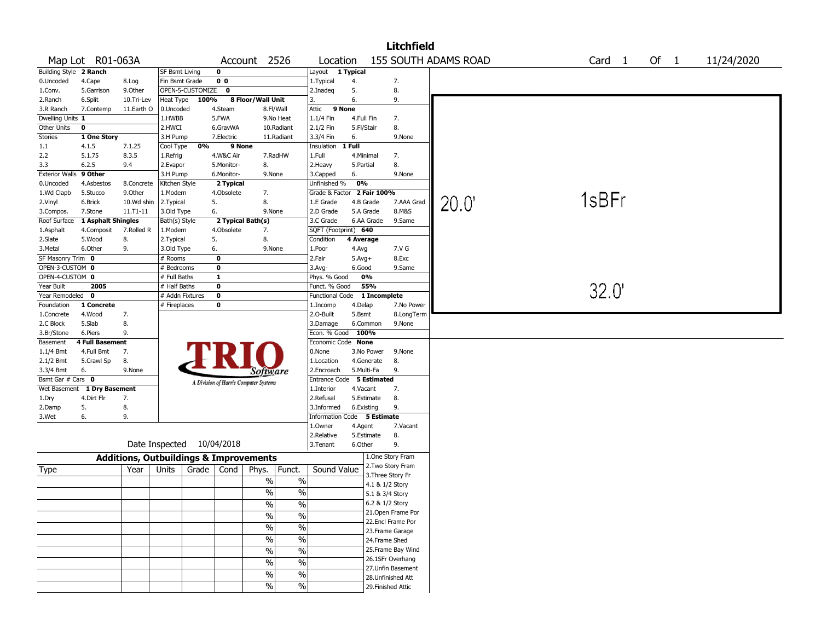|                       |                    |              |                                                   |                                       |                                           |                        |                             | <b>Litchfield</b>                      |                      |                   |      |            |
|-----------------------|--------------------|--------------|---------------------------------------------------|---------------------------------------|-------------------------------------------|------------------------|-----------------------------|----------------------------------------|----------------------|-------------------|------|------------|
|                       | Map Lot R01-063A   |              |                                                   |                                       | Account 2526                              | Location               |                             |                                        | 155 SOUTH ADAMS ROAD | Card <sub>1</sub> | Of 1 | 11/24/2020 |
| <b>Building Style</b> | 2 Ranch            |              | <b>SF Bsmt Living</b>                             | $\mathbf 0$                           |                                           | Layout                 | 1 Typical                   |                                        |                      |                   |      |            |
| 0.Uncoded             | 4.Cape             | 8.Log        | Fin Bsmt Grade                                    | 0 <sub>0</sub>                        |                                           | 1. Typical             | 4.                          | 7.                                     |                      |                   |      |            |
| 1.Conv.               | 5.Garrison         | 9.Other      | OPEN-5-CUSTOMIZE                                  | 0                                     |                                           | 2.Inadeg               | 5.                          | 8.                                     |                      |                   |      |            |
| 2.Ranch               | 6.Split            | 10.Tri-Lev   | Heat Type                                         | 100%                                  | 8 Floor/Wall Unit                         | 3.                     | 6.                          | 9.                                     |                      |                   |      |            |
| 3.R Ranch             | 7.Contemp          | 11.Earth O   | 0.Uncoded                                         | 4.Steam                               | 8.Fl/Wall                                 | 9 None<br>Attic        |                             |                                        |                      |                   |      |            |
| Dwelling Units 1      |                    |              | 1.HWBB                                            | 5.FWA                                 | 9.No Heat                                 | 1.1/4 Fin              | 4.Full Fin                  | 7.                                     |                      |                   |      |            |
| Other Units           | 0                  |              | 2.HWCI                                            | 6.GravWA                              | 10.Radiant                                | 2.1/2 Fin              | 5.Fl/Stair                  | 8.                                     |                      |                   |      |            |
| Stories               | 1 One Story        |              | 3.H Pump                                          | 7.Electric                            | 11.Radiant                                | 3.3/4 Fin              | 6.                          | 9.None                                 |                      |                   |      |            |
| 1.1                   | 4.1.5              | 7.1.25       | Cool Type                                         | 0%                                    | 9 None                                    | Insulation             | 1 Full                      |                                        |                      |                   |      |            |
| 2.2                   | 5.1.75             | 8.3.5        | 1.Refrig                                          | 4.W&C Air                             | 7.RadHW                                   | 1.Full                 | 4.Minimal                   | 7.                                     |                      |                   |      |            |
| 3.3                   | 6.2.5              | 9.4          | 2.Evapor                                          | 5.Monitor-                            | 8.                                        | 2.Heavy                | 5.Partial                   | 8.                                     |                      |                   |      |            |
| <b>Exterior Walls</b> | 9 Other            |              | 3.H Pump                                          | 6.Monitor-                            | 9.None                                    | 3.Capped               | 6.                          | 9.None                                 |                      |                   |      |            |
| 0.Uncoded             | 4.Asbestos         | 8.Concrete   | Kitchen Style                                     | 2 Typical                             |                                           | Unfinished %           | 0%                          |                                        |                      |                   |      |            |
| 1.Wd Clapb            | 5.Stucco           | 9.0ther      | 1.Modern                                          | 4.Obsolete                            | 7.                                        | Grade & Factor         | 2 Fair 100%                 |                                        |                      |                   |      |            |
| 2.Vinyl               | 6.Brick            | 10.Wd shin   | 2.Typical                                         | 5.                                    | 8.                                        | 1.E Grade              | 4.B Grade                   | 7.AAA Grad                             | 20.0                 | 1sBFr             |      |            |
| 3.Compos.             | 7.Stone            | $11.71 - 11$ | 3.Old Type                                        | 6.                                    | 9.None                                    | 2.D Grade              | 5.A Grade                   | 8.M&S                                  |                      |                   |      |            |
| Roof Surface          | 1 Asphalt Shingles |              | Bath(s) Style                                     |                                       | 2 Typical Bath(s)                         | 3.C Grade              | 6.AA Grade                  | 9.Same                                 |                      |                   |      |            |
| 1.Asphalt             | 4.Composit         | 7.Rolled R   | 1.Modern                                          | 4.Obsolete                            | 7.                                        | SQFT (Footprint) 640   |                             |                                        |                      |                   |      |            |
| 2.Slate               | 5.Wood             | 8.           | 2. Typical                                        | 5.                                    | 8.                                        | Condition              | 4 Average                   |                                        |                      |                   |      |            |
| 3.Metal               | 6.Other            | 9.           | 3.Old Type                                        | 6.                                    | 9.None                                    | 1.Poor                 | 4.Avg                       | 7.V G                                  |                      |                   |      |            |
| SF Masonry Trim 0     |                    |              | $#$ Rooms                                         | $\mathbf 0$                           |                                           | 2.Fair                 | $5.Avg+$                    | 8.Exc                                  |                      |                   |      |            |
| OPEN-3-CUSTOM 0       |                    |              | # Bedrooms                                        | 0                                     |                                           | 3.Avg-                 | 6.Good                      | 9.Same                                 |                      |                   |      |            |
| OPEN-4-CUSTOM 0       |                    |              | # Full Baths                                      | $\mathbf{1}$                          |                                           | Phys. % Good           | 0%                          |                                        |                      |                   |      |            |
| Year Built            | 2005               |              | # Half Baths                                      | $\mathbf 0$                           |                                           | Funct. % Good          | 55%                         |                                        |                      | 32.0'             |      |            |
| Year Remodeled        | 0                  |              | # Addn Fixtures                                   | $\mathbf 0$                           |                                           | <b>Functional Code</b> | 1 Incomplete                |                                        |                      |                   |      |            |
| Foundation            | 1 Concrete         |              | # Fireplaces                                      | 0                                     |                                           | 1.Incomp               | 4.Delap                     | 7.No Power                             |                      |                   |      |            |
| 1.Concrete            | 4.Wood             | 7.           |                                                   |                                       |                                           | 2.O-Built              | 5.Bsmt                      | 8.LongTerm                             |                      |                   |      |            |
| 2.C Block             | 5.Slab             | 8.           |                                                   |                                       |                                           | 3.Damage               | 6.Common                    | 9.None                                 |                      |                   |      |            |
| 3.Br/Stone            | 6.Piers            | 9.           |                                                   |                                       |                                           | Econ. % Good           | 100%                        |                                        |                      |                   |      |            |
| Basement              | 4 Full Basement    |              |                                                   |                                       |                                           | Economic Code None     |                             |                                        |                      |                   |      |            |
| $1.1/4$ Bmt           | 4.Full Bmt         | 7.           |                                                   |                                       |                                           | 0.None                 | 3.No Power                  | 9.None                                 |                      |                   |      |            |
| 2.1/2 Bmt             | 5.Crawl Sp         | 8.           |                                                   |                                       |                                           | 1.Location             | 4.Generate                  | 8.                                     |                      |                   |      |            |
| 3.3/4 Bmt             | 6.                 | 9.None       |                                                   |                                       | Software                                  | 2.Encroach             | 5.Multi-Fa                  | 9.                                     |                      |                   |      |            |
| Bsmt Gar # Cars 0     |                    |              |                                                   | A Division of Harris Computer Systems |                                           | Entrance Code          | 5 Estimated                 |                                        |                      |                   |      |            |
| Wet Basement          | 1 Dry Basement     |              |                                                   |                                       |                                           | 1.Interior             | 4.Vacant                    | 7.                                     |                      |                   |      |            |
| 1.Dry                 | 4.Dirt Flr         | 7.           |                                                   |                                       |                                           | 2.Refusal              | 5.Estimate                  | 8.                                     |                      |                   |      |            |
| 2.Damp                | 5.                 | 8.           |                                                   |                                       |                                           | 3.Informed             | 6.Existing                  | 9.                                     |                      |                   |      |            |
| 3.Wet                 | 6.                 | 9.           |                                                   |                                       |                                           |                        | Information Code 5 Estimate |                                        |                      |                   |      |            |
|                       |                    |              |                                                   |                                       |                                           | 1.Owner                | 4.Agent                     | 7.Vacant                               |                      |                   |      |            |
|                       |                    |              |                                                   |                                       |                                           | 2.Relative             | 5.Estimate                  | 8.                                     |                      |                   |      |            |
|                       |                    |              | Date Inspected                                    | 10/04/2018                            |                                           | 3.Tenant               | 6.Other                     | 9.                                     |                      |                   |      |            |
|                       |                    |              |                                                   |                                       |                                           |                        |                             | 1.One Story Fram                       |                      |                   |      |            |
|                       |                    |              | <b>Additions, Outbuildings &amp; Improvements</b> |                                       |                                           |                        |                             | 2. Two Story Fram                      |                      |                   |      |            |
| Type                  |                    | Year         | Units<br>Grade                                    | Cond                                  | Phys.<br>Funct.                           | Sound Value            |                             | 3. Three Story Fr                      |                      |                   |      |            |
|                       |                    |              |                                                   |                                       | $\frac{0}{0}$<br>$\%$                     |                        |                             | 4.1 & 1/2 Story                        |                      |                   |      |            |
|                       |                    |              |                                                   |                                       | $\overline{\frac{9}{0}}$<br>$\frac{0}{0}$ |                        |                             | 5.1 & 3/4 Story                        |                      |                   |      |            |
|                       |                    |              |                                                   |                                       |                                           |                        |                             | 6.2 & 1/2 Story                        |                      |                   |      |            |
|                       |                    |              |                                                   |                                       | $\frac{0}{0}$<br>$\%$                     |                        |                             | 21. Open Frame Por                     |                      |                   |      |            |
|                       |                    |              |                                                   |                                       | $\frac{0}{0}$<br>$\%$                     |                        |                             | 22.Encl Frame Por                      |                      |                   |      |            |
|                       |                    |              |                                                   |                                       | $\frac{0}{6}$<br>$\%$                     |                        |                             | 23. Frame Garage                       |                      |                   |      |            |
|                       |                    |              |                                                   |                                       | $\frac{1}{2}$<br>$\%$                     |                        |                             | 24.Frame Shed                          |                      |                   |      |            |
|                       |                    |              |                                                   |                                       |                                           |                        |                             |                                        |                      |                   |      |            |
|                       |                    |              |                                                   |                                       | $\%$<br>$\frac{0}{0}$                     |                        |                             | 25. Frame Bay Wind<br>26.1SFr Overhang |                      |                   |      |            |
|                       |                    |              |                                                   |                                       | $\frac{0}{0}$<br>$\%$                     |                        |                             | 27.Unfin Basement                      |                      |                   |      |            |
|                       |                    |              |                                                   |                                       | $\frac{0}{0}$<br>$\%$                     |                        |                             | 28. Unfinished Att                     |                      |                   |      |            |
|                       |                    |              |                                                   |                                       | $\frac{0}{0}$<br>$\%$                     |                        |                             |                                        |                      |                   |      |            |
|                       |                    |              |                                                   |                                       |                                           |                        |                             | 29. Finished Attic                     |                      |                   |      |            |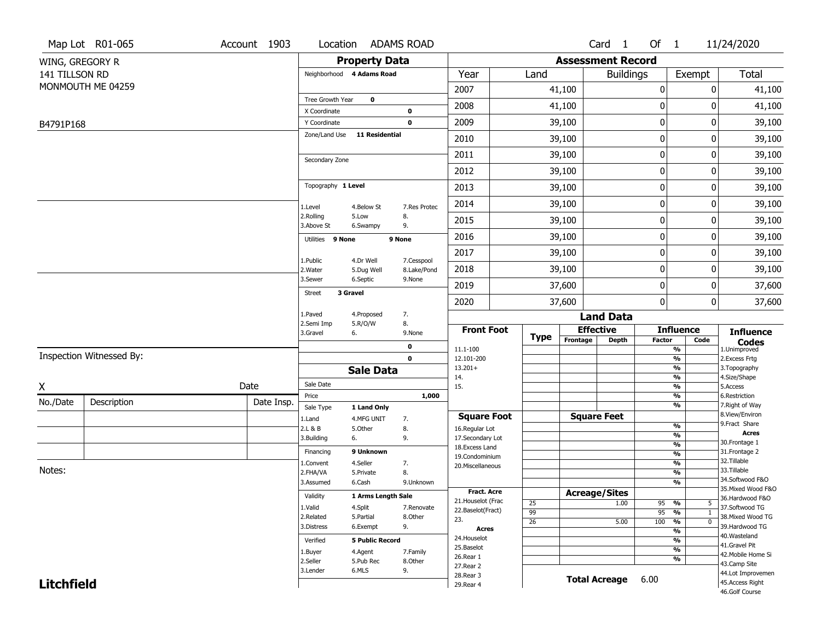|                   | Map Lot R01-065          | Account 1903 |                               | Location ADAMS ROAD    |              |                                         |                 |          | Card 1                   | Of $1$          |                                               | 11/24/2020                            |
|-------------------|--------------------------|--------------|-------------------------------|------------------------|--------------|-----------------------------------------|-----------------|----------|--------------------------|-----------------|-----------------------------------------------|---------------------------------------|
| WING, GREGORY R   |                          |              |                               | <b>Property Data</b>   |              |                                         |                 |          | <b>Assessment Record</b> |                 |                                               |                                       |
| 141 TILLSON RD    |                          |              | Neighborhood 4 Adams Road     |                        |              | Year                                    | Land            |          | <b>Buildings</b>         |                 | Exempt                                        | <b>Total</b>                          |
|                   | MONMOUTH ME 04259        |              |                               |                        |              | 2007                                    |                 | 41,100   |                          | 0               | 0                                             | 41,100                                |
|                   |                          |              | Tree Growth Year              | $\mathbf 0$            |              | 2008                                    |                 | 41,100   |                          | 0               | 0                                             | 41,100                                |
|                   |                          |              | X Coordinate                  |                        | $\pmb{0}$    |                                         |                 |          |                          |                 |                                               |                                       |
| B4791P168         |                          |              | Y Coordinate<br>Zone/Land Use | <b>11 Residential</b>  | $\mathbf 0$  | 2009                                    |                 | 39,100   |                          | 0               | 0                                             | 39,100                                |
|                   |                          |              |                               |                        |              | 2010                                    |                 | 39,100   |                          | 0               | 0                                             | 39,100                                |
|                   |                          |              | Secondary Zone                |                        |              | 2011                                    |                 | 39,100   |                          | 0               | 0                                             | 39,100                                |
|                   |                          |              |                               |                        |              | 2012                                    |                 | 39,100   |                          | 0               | 0                                             | 39,100                                |
|                   |                          |              | Topography 1 Level            |                        |              | 2013                                    |                 | 39,100   |                          | 0               | 0                                             | 39,100                                |
|                   |                          |              | 1.Level                       | 4.Below St             | 7.Res Protec | 2014                                    |                 | 39,100   |                          | 0               | 0                                             | 39,100                                |
|                   |                          |              | 2.Rolling<br>3.Above St       | 5.Low<br>6.Swampy      | 8.<br>9.     | 2015                                    |                 | 39,100   |                          | 0               | 0                                             | 39,100                                |
|                   |                          |              | Utilities 9 None              |                        | 9 None       | 2016                                    |                 | 39,100   |                          | 0               | 0                                             | 39,100                                |
|                   |                          |              | 1.Public                      | 4.Dr Well              | 7.Cesspool   | 2017                                    |                 | 39,100   |                          | 0               | 0                                             | 39,100                                |
|                   |                          |              | 2. Water                      | 5.Dug Well             | 8.Lake/Pond  | 2018                                    |                 | 39,100   |                          | 0               | 0                                             | 39,100                                |
|                   |                          |              | 3.Sewer                       | 6.Septic               | 9.None       | 2019                                    |                 | 37,600   |                          | 0               | 0                                             | 37,600                                |
|                   |                          |              | 3 Gravel<br><b>Street</b>     |                        |              | 2020                                    |                 | 37,600   |                          | 0               | 0                                             | 37,600                                |
|                   |                          |              | 1.Paved                       | 4.Proposed             | 7.           |                                         |                 |          | <b>Land Data</b>         |                 |                                               |                                       |
|                   |                          |              | 2.Semi Imp<br>3.Gravel        | 5.R/O/W<br>6.          | 8.<br>9.None | <b>Front Foot</b>                       |                 |          | <b>Effective</b>         |                 | <b>Influence</b>                              | <b>Influence</b>                      |
|                   |                          |              |                               |                        | 0            | 11.1-100                                | <b>Type</b>     | Frontage | Depth                    | <b>Factor</b>   | Code<br>$\frac{9}{6}$                         | <b>Codes</b><br>1.Unimproved          |
|                   | Inspection Witnessed By: |              |                               |                        | $\mathbf 0$  | 12.101-200                              |                 |          |                          |                 | $\frac{9}{6}$                                 | 2.Excess Frtg                         |
|                   |                          |              |                               | <b>Sale Data</b>       |              | $13.201+$<br>14.                        |                 |          |                          |                 | %<br>$\frac{9}{6}$                            | 3. Topography<br>4.Size/Shape         |
| X                 |                          | Date         | Sale Date                     |                        |              | 15.                                     |                 |          |                          |                 | $\frac{9}{6}$                                 | 5.Access                              |
| No./Date          | Description              | Date Insp.   | Price                         |                        | 1,000        |                                         |                 |          |                          |                 | %                                             | 6.Restriction                         |
|                   |                          |              | Sale Type                     | 1 Land Only            |              | <b>Square Foot</b>                      |                 |          | <b>Square Feet</b>       |                 | %                                             | 7. Right of Way<br>8.View/Environ     |
|                   |                          |              | 1.Land<br>2.L & B             | 4.MFG UNIT<br>5.0ther  | 7.<br>8.     | 16.Regular Lot                          |                 |          |                          |                 | %                                             | 9.Fract Share                         |
|                   |                          |              | 3.Building                    | 6.                     | 9.           | 17.Secondary Lot                        |                 |          |                          |                 | %                                             | <b>Acres</b><br>30. Frontage 1        |
|                   |                          |              | Financing                     | 9 Unknown              |              | 18.Excess Land                          |                 |          |                          |                 | $\frac{9}{6}$<br>$\frac{9}{6}$                | 31. Frontage 2                        |
|                   |                          |              | 1.Convent                     | 4.Seller               | 7.           | 19.Condominium<br>20.Miscellaneous      |                 |          |                          |                 | $\frac{9}{6}$                                 | 32.Tillable                           |
| Notes:            |                          |              | 2.FHA/VA                      | 5.Private              | 8.           |                                         |                 |          |                          |                 | $\frac{9}{6}$                                 | 33.Tillable                           |
|                   |                          |              | 3.Assumed                     | 6.Cash                 | 9.Unknown    |                                         |                 |          |                          |                 | $\frac{9}{6}$                                 | 34.Softwood F&O                       |
|                   |                          |              | Validity                      | 1 Arms Length Sale     |              | <b>Fract. Acre</b>                      |                 |          | <b>Acreage/Sites</b>     |                 |                                               | 35. Mixed Wood F&O<br>36.Hardwood F&O |
|                   |                          |              | 1.Valid                       | 4.Split                | 7.Renovate   | 21. Houselot (Frac<br>22.Baselot(Fract) | 25              |          | 1.00                     | 95              | %<br>5                                        | 37.Softwood TG                        |
|                   |                          |              | 2.Related                     | 5.Partial              | 8.Other      | 23.                                     | $\overline{99}$ |          |                          | $\overline{95}$ | %<br>1                                        | 38. Mixed Wood TG                     |
|                   |                          |              | 3.Distress                    | 6.Exempt               | 9.           | <b>Acres</b>                            | $\overline{26}$ |          | 5.00                     | 100             | $\frac{9}{6}$<br>$\mathbf 0$<br>$\frac{9}{6}$ | 39.Hardwood TG                        |
|                   |                          |              | Verified                      | <b>5 Public Record</b> |              | 24. Houselot                            |                 |          |                          |                 | $\frac{9}{6}$                                 | 40. Wasteland                         |
|                   |                          |              | 1.Buyer                       | 4.Agent                | 7.Family     | 25.Baselot                              |                 |          |                          |                 | $\frac{9}{6}$                                 | 41.Gravel Pit                         |
|                   |                          |              | 2.Seller                      | 5.Pub Rec              | 8.Other      | 26.Rear 1                               |                 |          |                          |                 | $\frac{9}{6}$                                 | 42. Mobile Home Si<br>43.Camp Site    |
|                   |                          |              | 3.Lender                      | 6.MLS                  | 9.           | 27. Rear 2                              |                 |          |                          |                 |                                               | 44.Lot Improvemen                     |
| <b>Litchfield</b> |                          |              |                               |                        |              | 28. Rear 3<br>29. Rear 4                |                 |          | <b>Total Acreage</b>     | 6.00            |                                               | 45.Access Right                       |
|                   |                          |              |                               |                        |              |                                         |                 |          |                          |                 |                                               | 46.Golf Course                        |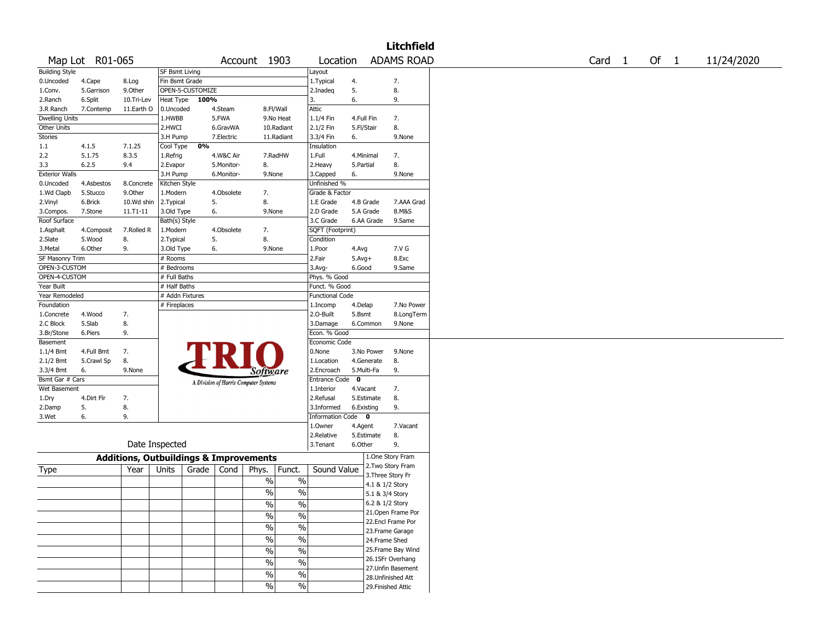|                       |                 |                                                   |                       |                  |            |                                       |               |                        |            |                 | <b>Litchfield</b>  |        |        |            |
|-----------------------|-----------------|---------------------------------------------------|-----------------------|------------------|------------|---------------------------------------|---------------|------------------------|------------|-----------------|--------------------|--------|--------|------------|
|                       | Map Lot R01-065 |                                                   |                       |                  |            | Account 1903                          |               | Location               |            |                 | <b>ADAMS ROAD</b>  | Card 1 | Of $1$ | 11/24/2020 |
| <b>Building Style</b> |                 |                                                   | <b>SF Bsmt Living</b> |                  |            |                                       |               | Layout                 |            |                 |                    |        |        |            |
| 0.Uncoded             | 4.Cape          | 8.Log                                             | Fin Bsmt Grade        |                  |            |                                       |               | 1. Typical             | 4.         |                 | 7.                 |        |        |            |
| 1.Conv.               | 5.Garrison      | 9.0ther                                           |                       | OPEN-5-CUSTOMIZE |            |                                       |               | 2.Inadeq               | 5.         |                 | 8.                 |        |        |            |
| 2.Ranch               | 6.Split         | 10.Tri-Lev                                        | Heat Type             | 100%             |            |                                       |               | 3.                     | 6.         |                 | 9.                 |        |        |            |
| 3.R Ranch             | 7.Contemp       | 11.Earth O                                        | 0.Uncoded             |                  | 4.Steam    | 8.Fl/Wall                             |               | Attic                  |            |                 |                    |        |        |            |
| <b>Dwelling Units</b> |                 |                                                   | 1.HWBB                |                  | 5.FWA      |                                       | 9.No Heat     | 1.1/4 Fin              | 4.Full Fin |                 | 7.                 |        |        |            |
| Other Units           |                 |                                                   | 2.HWCI                |                  | 6.GravWA   |                                       | 10.Radiant    | 2.1/2 Fin              | 5.Fl/Stair |                 | 8.                 |        |        |            |
| Stories               |                 |                                                   | 3.H Pump              |                  | 7.Electric |                                       | 11.Radiant    | 3.3/4 Fin              | 6.         |                 | 9.None             |        |        |            |
| 1.1                   | 4.1.5           | 7.1.25                                            | Cool Type             | 0%               |            |                                       |               | Insulation             |            |                 |                    |        |        |            |
| 2.2                   | 5.1.75          | 8.3.5                                             | 1.Refrig              |                  | 4.W&C Air  |                                       | 7.RadHW       | 1.Full                 | 4.Minimal  |                 | 7.                 |        |        |            |
| 3.3                   | 6.2.5           | 9.4                                               | 2.Evapor              |                  | 5.Monitor- | 8.                                    |               | 2.Heavy                | 5.Partial  |                 | 8.                 |        |        |            |
| <b>Exterior Walls</b> |                 |                                                   | 3.H Pump              |                  | 6.Monitor- | 9.None                                |               | 3.Capped               | 6.         |                 | 9.None             |        |        |            |
| 0.Uncoded             | 4.Asbestos      | 8.Concrete                                        | Kitchen Style         |                  |            |                                       |               | Unfinished %           |            |                 |                    |        |        |            |
| 1.Wd Clapb            | 5.Stucco        | 9.0ther                                           | 1.Modern              |                  | 4.Obsolete | 7.                                    |               | Grade & Factor         |            |                 |                    |        |        |            |
| 2.Vinyl               | 6.Brick         | 10.Wd shin                                        | 2.Typical             |                  | 5.         | 8.                                    |               | 1.E Grade              | 4.B Grade  |                 | 7.AAA Grad         |        |        |            |
| 3.Compos.             | 7.Stone         | 11.T1-11                                          | 3.Old Type            |                  | 6.         | 9.None                                |               | 2.D Grade              |            | 5.A Grade       | 8.M&S              |        |        |            |
| Roof Surface          |                 |                                                   | Bath(s) Style         |                  |            |                                       |               | 3.C Grade              |            | 6.AA Grade      | 9.Same             |        |        |            |
| 1.Asphalt             | 4.Composit      | 7.Rolled R                                        | 1.Modern              |                  | 4.Obsolete | 7.                                    |               | SQFT (Footprint)       |            |                 |                    |        |        |            |
| 2.Slate               | 5.Wood          | 8.                                                | 2. Typical            |                  | 5.         | 8.                                    |               | Condition              |            |                 |                    |        |        |            |
| 3.Metal               | 6.Other         | 9.                                                | 3.Old Type            |                  | 6.         | 9.None                                |               | 1.Poor                 | 4.Avg      |                 | 7.V G              |        |        |            |
| SF Masonry Trim       |                 |                                                   | # Rooms               |                  |            |                                       |               | 2.Fair                 | $5.Avg+$   |                 | 8.Exc              |        |        |            |
| OPEN-3-CUSTOM         |                 |                                                   | # Bedrooms            |                  |            |                                       |               | 3.Avg-                 | 6.Good     |                 | 9.Same             |        |        |            |
| OPEN-4-CUSTOM         |                 |                                                   | # Full Baths          |                  |            |                                       |               | Phys. % Good           |            |                 |                    |        |        |            |
| Year Built            |                 |                                                   | # Half Baths          |                  |            |                                       |               | Funct. % Good          |            |                 |                    |        |        |            |
| Year Remodeled        |                 |                                                   | # Addn Fixtures       |                  |            |                                       |               | <b>Functional Code</b> |            |                 |                    |        |        |            |
| Foundation            |                 |                                                   | # Fireplaces          |                  |            |                                       |               | 1.Incomp               | 4.Delap    |                 | 7.No Power         |        |        |            |
| 1.Concrete            | 4.Wood          | 7.                                                |                       |                  |            |                                       |               | 2.0-Built              | 5.Bsmt     |                 | 8.LongTerm         |        |        |            |
| 2.C Block             | 5.Slab          | 8.                                                |                       |                  |            |                                       |               | 3.Damage               |            | 6.Common        | 9.None             |        |        |            |
| 3.Br/Stone            | 6.Piers         | 9.                                                |                       |                  |            |                                       |               | Econ. % Good           |            |                 |                    |        |        |            |
| Basement              |                 |                                                   |                       |                  |            |                                       |               | Economic Code          |            |                 |                    |        |        |            |
| 1.1/4 Bmt             | 4.Full Bmt      | 7.                                                |                       |                  |            |                                       |               | 0.None                 |            | 3.No Power      | 9.None             |        |        |            |
| 2.1/2 Bmt             | 5.Crawl Sp      | 8.                                                |                       |                  |            |                                       |               | 1.Location             |            | 4.Generate      | 8.                 |        |        |            |
| 3.3/4 Bmt             | 6.              | 9.None                                            |                       |                  |            | Software                              |               | 2.Encroach             | 5.Multi-Fa |                 | 9.                 |        |        |            |
| Bsmt Gar # Cars       |                 |                                                   |                       |                  |            |                                       |               | Entrance Code 0        |            |                 |                    |        |        |            |
| Wet Basement          |                 |                                                   |                       |                  |            | A Division of Harris Computer Systems |               | 1.Interior             | 4.Vacant   |                 | 7.                 |        |        |            |
| 1.Dry                 | 4.Dirt Flr      | 7.                                                |                       |                  |            |                                       |               | 2.Refusal              |            | 5.Estimate      | 8.                 |        |        |            |
| 2.Damp                | 5.              | 8.                                                |                       |                  |            |                                       |               | 3.Informed             | 6.Existing |                 | 9.                 |        |        |            |
| 3.Wet                 | 6.              | 9.                                                |                       |                  |            |                                       |               | Information Code 0     |            |                 |                    |        |        |            |
|                       |                 |                                                   |                       |                  |            |                                       |               | 1.Owner                | 4.Agent    |                 | 7.Vacant           |        |        |            |
|                       |                 |                                                   |                       |                  |            |                                       |               | 2.Relative             |            | 5.Estimate      | 8.                 |        |        |            |
|                       |                 | Date Inspected                                    |                       |                  |            |                                       |               | 3. Tenant              | 6.Other    |                 | 9.                 |        |        |            |
|                       |                 |                                                   |                       |                  |            |                                       |               |                        |            |                 |                    |        |        |            |
|                       |                 | <b>Additions, Outbuildings &amp; Improvements</b> |                       |                  |            |                                       |               |                        |            |                 | 1.One Story Fram   |        |        |            |
| <b>Type</b>           |                 | Year                                              | Units                 | Grade            | Cond       | Phys.                                 | Funct.        | Sound Value            |            |                 | 2. Two Story Fram  |        |        |            |
|                       |                 |                                                   |                       |                  |            | $\%$                                  | $\%$          |                        |            |                 | 3. Three Story Fr  |        |        |            |
|                       |                 |                                                   |                       |                  |            |                                       |               |                        |            | 4.1 & 1/2 Story |                    |        |        |            |
|                       |                 |                                                   |                       |                  |            | $\frac{1}{2}$                         | $\frac{0}{0}$ |                        |            | 5.1 & 3/4 Story |                    |        |        |            |
|                       |                 |                                                   |                       |                  |            | %                                     | %             |                        |            | 6.2 & 1/2 Story |                    |        |        |            |
|                       |                 |                                                   |                       |                  |            | $\frac{0}{6}$                         | $\sqrt{20}$   |                        |            |                 | 21. Open Frame Por |        |        |            |
|                       |                 |                                                   |                       |                  |            | $\frac{1}{2}$                         | $\frac{0}{6}$ |                        |            |                 | 22.Encl Frame Por  |        |        |            |
|                       |                 |                                                   |                       |                  |            |                                       |               |                        |            |                 | 23. Frame Garage   |        |        |            |
|                       |                 |                                                   |                       |                  |            | $\frac{1}{2}$                         | $\frac{9}{6}$ |                        |            | 24.Frame Shed   |                    |        |        |            |
|                       |                 |                                                   |                       |                  |            | $\frac{1}{2}$                         | $\frac{0}{6}$ |                        |            |                 | 25. Frame Bay Wind |        |        |            |
|                       |                 |                                                   |                       |                  |            | $\frac{0}{0}$                         | $\frac{1}{2}$ |                        |            |                 | 26.1SFr Overhang   |        |        |            |
|                       |                 |                                                   |                       |                  |            |                                       |               |                        |            |                 | 27. Unfin Basement |        |        |            |
|                       |                 |                                                   |                       |                  |            | $\%$                                  | $\frac{1}{2}$ |                        |            |                 | 28. Unfinished Att |        |        |            |
|                       |                 |                                                   |                       |                  |            | $\frac{9}{6}$                         | $\sqrt{6}$    |                        |            |                 | 29. Finished Attic |        |        |            |
|                       |                 |                                                   |                       |                  |            |                                       |               |                        |            |                 |                    |        |        |            |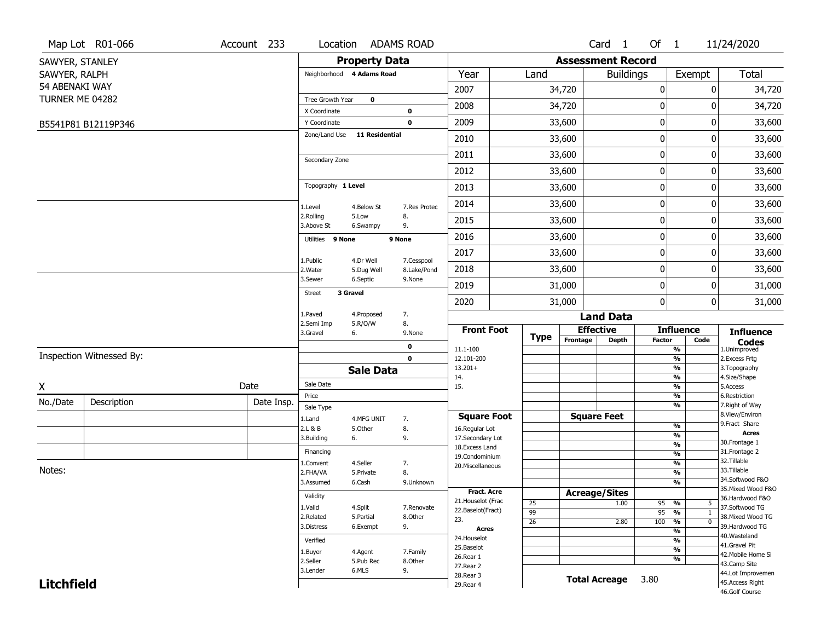|                   | Map Lot R01-066          | Account 233 | Location                     |                         | <b>ADAMS ROAD</b>         |                                     |                 |                          | Card <sub>1</sub>    | Of $1$           |                                           | 11/24/2020                           |
|-------------------|--------------------------|-------------|------------------------------|-------------------------|---------------------------|-------------------------------------|-----------------|--------------------------|----------------------|------------------|-------------------------------------------|--------------------------------------|
| SAWYER, STANLEY   |                          |             |                              | <b>Property Data</b>    |                           |                                     |                 | <b>Assessment Record</b> |                      |                  |                                           |                                      |
| SAWYER, RALPH     |                          |             | Neighborhood 4 Adams Road    |                         |                           | Year                                | Land            |                          | <b>Buildings</b>     |                  | Exempt                                    | Total                                |
| 54 ABENAKI WAY    |                          |             |                              |                         |                           | 2007                                |                 | 34,720                   |                      | $\boldsymbol{0}$ | 0                                         | 34,720                               |
| TURNER ME 04282   |                          |             | Tree Growth Year             | $\mathbf 0$             |                           | 2008                                |                 | 34,720                   |                      | 0                | 0                                         | 34,720                               |
|                   |                          |             | X Coordinate<br>Y Coordinate |                         | 0<br>$\mathbf 0$          | 2009                                |                 | 33,600                   |                      | $\mathbf 0$      | 0                                         | 33,600                               |
|                   | B5541P81 B12119P346      |             | Zone/Land Use 11 Residential |                         |                           |                                     |                 |                          |                      |                  |                                           |                                      |
|                   |                          |             |                              |                         |                           | 2010                                |                 | 33,600                   |                      | $\mathbf 0$      | 0                                         | 33,600                               |
|                   |                          |             | Secondary Zone               |                         |                           | 2011                                |                 | 33,600                   |                      | $\mathbf 0$      | 0                                         | 33,600                               |
|                   |                          |             |                              |                         |                           | 2012                                |                 | 33,600                   |                      | $\mathbf 0$      | 0                                         | 33,600                               |
|                   |                          |             | Topography 1 Level           |                         |                           | 2013                                |                 | 33,600                   |                      | $\mathbf 0$      | 0                                         | 33,600                               |
|                   |                          |             | 1.Level                      | 4.Below St              | 7.Res Protec              | 2014                                |                 | 33,600                   |                      | $\mathbf 0$      | 0                                         | 33,600                               |
|                   |                          |             | 2.Rolling<br>3.Above St      | 5.Low<br>6.Swampy       | 8.<br>9.                  | 2015                                |                 | 33,600                   |                      | 0                | 0                                         | 33,600                               |
|                   |                          |             | Utilities 9 None             |                         | 9 None                    | 2016                                |                 | 33,600                   |                      | $\mathbf 0$      | 0                                         | 33,600                               |
|                   |                          |             |                              |                         |                           | 2017                                |                 | 33,600                   |                      | $\mathbf 0$      | 0                                         | 33,600                               |
|                   |                          |             | 1.Public<br>2. Water         | 4.Dr Well<br>5.Dug Well | 7.Cesspool<br>8.Lake/Pond | 2018                                |                 | 33,600                   |                      | $\mathbf 0$      | 0                                         | 33,600                               |
|                   |                          |             | 3.Sewer                      | 6.Septic                | 9.None                    | 2019                                |                 | 31,000                   |                      | 0                | 0                                         | 31,000                               |
|                   |                          |             | <b>Street</b>                | 3 Gravel                |                           | 2020                                |                 | 31,000                   |                      | $\mathbf{0}$     | 0                                         | 31,000                               |
|                   |                          |             | 1.Paved                      | 4.Proposed              | 7.                        |                                     |                 |                          | <b>Land Data</b>     |                  |                                           |                                      |
|                   |                          |             | 2.Semi Imp<br>3.Gravel       | 5.R/O/W<br>6.           | 8.<br>9.None              | <b>Front Foot</b>                   |                 |                          | <b>Effective</b>     |                  | <b>Influence</b>                          | <b>Influence</b>                     |
|                   |                          |             |                              |                         | 0                         | 11.1-100                            | <b>Type</b>     | Frontage                 | <b>Depth</b>         | <b>Factor</b>    | Code<br>$\overline{\frac{9}{6}}$          | <b>Codes</b><br>1.Unimproved         |
|                   | Inspection Witnessed By: |             |                              |                         | $\mathbf 0$               | 12.101-200                          |                 |                          |                      |                  | $\frac{9}{6}$                             | 2.Excess Frtg                        |
|                   |                          |             |                              | <b>Sale Data</b>        |                           | $13.201+$<br>14.                    |                 |                          |                      |                  | $\overline{\frac{9}{6}}$<br>$\frac{9}{6}$ | 3. Topography<br>4.Size/Shape        |
| X                 |                          | Date        | Sale Date                    |                         |                           | 15.                                 |                 |                          |                      |                  | $\overline{\frac{9}{6}}$                  | 5.Access                             |
| No./Date          | Description              | Date Insp.  | Price<br>Sale Type           |                         |                           |                                     |                 |                          |                      |                  | $\frac{9}{6}$<br>$\overline{\frac{9}{6}}$ | 6.Restriction<br>7. Right of Way     |
|                   |                          |             | 1.Land                       | 4.MFG UNIT              | 7.                        | <b>Square Foot</b>                  |                 |                          | <b>Square Feet</b>   |                  |                                           | 8.View/Environ                       |
|                   |                          |             | 2.L & B                      | 5.Other                 | 8.                        | 16.Regular Lot                      |                 |                          |                      |                  | $\frac{9}{6}$                             | 9.Fract Share<br><b>Acres</b>        |
|                   |                          |             | 3.Building                   | 6.                      | 9.                        | 17.Secondary Lot<br>18. Excess Land |                 |                          |                      |                  | $\frac{9}{6}$<br>$\frac{9}{6}$            | 30. Frontage 1                       |
|                   |                          |             | Financing                    |                         |                           | 19.Condominium                      |                 |                          |                      |                  | $\frac{9}{6}$                             | 31. Frontage 2                       |
| Notes:            |                          |             | 1.Convent                    | 4.Seller                | 7.                        | 20.Miscellaneous                    |                 |                          |                      |                  | $\frac{9}{6}$                             | 32.Tillable<br>33.Tillable           |
|                   |                          |             | 2.FHA/VA<br>3.Assumed        | 5.Private<br>6.Cash     | 8.<br>9.Unknown           |                                     |                 |                          |                      |                  | $\frac{9}{6}$<br>$\frac{9}{6}$            | 34.Softwood F&O                      |
|                   |                          |             |                              |                         |                           | <b>Fract. Acre</b>                  |                 |                          | <b>Acreage/Sites</b> |                  |                                           | 35. Mixed Wood F&O                   |
|                   |                          |             | Validity                     |                         |                           | 21. Houselot (Frac                  | 25              |                          | 1.00                 | 95               | %<br>5                                    | 36.Hardwood F&O                      |
|                   |                          |             | 1.Valid                      | 4.Split                 | 7.Renovate                | 22.Baselot(Fract)                   | $\overline{99}$ |                          |                      | $95 - 96$        | $\mathbf{1}$                              | 37.Softwood TG                       |
|                   |                          |             | 2.Related<br>3.Distress      | 5.Partial<br>6.Exempt   | 8.Other<br>9.             | 23.                                 | $\overline{26}$ |                          | 2.80                 | 100              | $\frac{9}{6}$<br>$\overline{0}$           | 38. Mixed Wood TG<br>39.Hardwood TG  |
|                   |                          |             |                              |                         |                           | <b>Acres</b>                        |                 |                          |                      |                  | $\overline{\frac{9}{6}}$                  | 40. Wasteland                        |
|                   |                          |             | Verified                     |                         |                           | 24. Houselot<br>25.Baselot          |                 |                          |                      |                  | %                                         | 41.Gravel Pit                        |
|                   |                          |             | 1.Buyer                      | 4.Agent                 | 7.Family                  | 26.Rear 1                           |                 |                          |                      |                  | $\overline{\frac{9}{6}}$<br>%             | 42. Mobile Home Si                   |
|                   |                          |             | 2.Seller<br>3.Lender         | 5.Pub Rec<br>6.MLS      | 8.Other<br>9.             | 27. Rear 2                          |                 |                          |                      |                  |                                           | 43.Camp Site                         |
| <b>Litchfield</b> |                          |             |                              |                         |                           | 28. Rear 3                          |                 |                          | <b>Total Acreage</b> | 3.80             |                                           | 44.Lot Improvemen<br>45.Access Right |
|                   |                          |             |                              |                         |                           | 29. Rear 4                          |                 |                          |                      |                  |                                           | 46.Golf Course                       |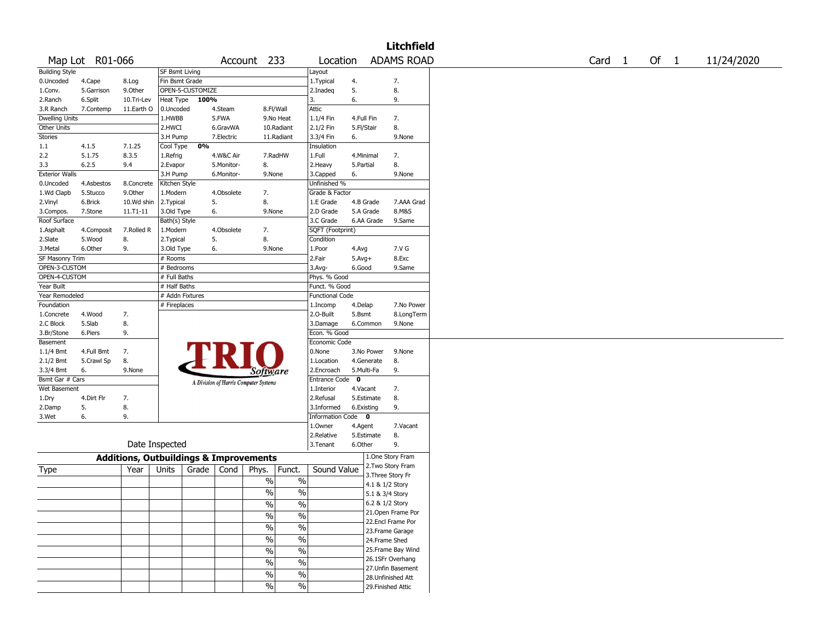|                       |                 |                                                   |                       |                  |            |                                       |               |                        |            |                 | <b>Litchfield</b>  |        |        |            |
|-----------------------|-----------------|---------------------------------------------------|-----------------------|------------------|------------|---------------------------------------|---------------|------------------------|------------|-----------------|--------------------|--------|--------|------------|
|                       | Map Lot R01-066 |                                                   |                       |                  |            | Account 233                           |               | Location               |            |                 | <b>ADAMS ROAD</b>  | Card 1 | Of $1$ | 11/24/2020 |
| <b>Building Style</b> |                 |                                                   | <b>SF Bsmt Living</b> |                  |            |                                       |               | Layout                 |            |                 |                    |        |        |            |
| 0.Uncoded             | 4.Cape          | 8.Log                                             | Fin Bsmt Grade        |                  |            |                                       |               | 1. Typical             | 4.         |                 | 7.                 |        |        |            |
| 1.Conv.               | 5.Garrison      | 9.0ther                                           |                       | OPEN-5-CUSTOMIZE |            |                                       |               | 2.Inadeq               | 5.         |                 | 8.                 |        |        |            |
| 2.Ranch               | 6.Split         | 10.Tri-Lev                                        | Heat Type             | 100%             |            |                                       |               | 3.                     | 6.         |                 | 9.                 |        |        |            |
| 3.R Ranch             | 7.Contemp       | 11.Earth O                                        | 0.Uncoded             |                  | 4.Steam    | 8.Fl/Wall                             |               | Attic                  |            |                 |                    |        |        |            |
| <b>Dwelling Units</b> |                 |                                                   | 1.HWBB                |                  | 5.FWA      |                                       | 9.No Heat     | 1.1/4 Fin              | 4.Full Fin |                 | 7.                 |        |        |            |
| Other Units           |                 |                                                   | 2.HWCI                |                  | 6.GravWA   |                                       | 10.Radiant    | 2.1/2 Fin              | 5.Fl/Stair |                 | 8.                 |        |        |            |
| Stories               |                 |                                                   | 3.H Pump              |                  | 7.Electric |                                       | 11.Radiant    | 3.3/4 Fin              | 6.         |                 | 9.None             |        |        |            |
| 1.1                   | 4.1.5           | 7.1.25                                            | Cool Type             | 0%               |            |                                       |               | Insulation             |            |                 |                    |        |        |            |
| 2.2                   | 5.1.75          | 8.3.5                                             | 1.Refrig              |                  | 4.W&C Air  |                                       | 7.RadHW       | 1.Full                 | 4.Minimal  |                 | 7.                 |        |        |            |
| 3.3                   | 6.2.5           | 9.4                                               | 2.Evapor              |                  | 5.Monitor- | 8.                                    |               | 2.Heavy                | 5.Partial  |                 | 8.                 |        |        |            |
| <b>Exterior Walls</b> |                 |                                                   | 3.H Pump              |                  | 6.Monitor- | 9.None                                |               | 3.Capped               | 6.         |                 | 9.None             |        |        |            |
| 0.Uncoded             | 4.Asbestos      | 8.Concrete                                        | Kitchen Style         |                  |            |                                       |               | Unfinished %           |            |                 |                    |        |        |            |
| 1.Wd Clapb            | 5.Stucco        | 9.0ther                                           | 1.Modern              |                  | 4.Obsolete | 7.                                    |               | Grade & Factor         |            |                 |                    |        |        |            |
| 2.Vinyl               | 6.Brick         | 10.Wd shin                                        | 2.Typical             |                  | 5.         | 8.                                    |               | 1.E Grade              | 4.B Grade  |                 | 7.AAA Grad         |        |        |            |
| 3.Compos.             | 7.Stone         | 11.T1-11                                          | 3.Old Type            |                  | 6.         | 9.None                                |               | 2.D Grade              | 5.A Grade  |                 | 8.M&S              |        |        |            |
| Roof Surface          |                 |                                                   | Bath(s) Style         |                  |            |                                       |               | 3.C Grade              |            | 6.AA Grade      | 9.Same             |        |        |            |
| 1.Asphalt             | 4.Composit      | 7.Rolled R                                        | 1.Modern              |                  | 4.Obsolete | 7.                                    |               | SQFT (Footprint)       |            |                 |                    |        |        |            |
| 2.Slate               | 5.Wood          | 8.                                                | 2. Typical            |                  | 5.         | 8.                                    |               | Condition              |            |                 |                    |        |        |            |
| 3.Metal               | 6.Other         | 9.                                                | 3.Old Type            |                  | 6.         | 9.None                                |               | 1.Poor                 | 4.Avg      |                 | 7.V G              |        |        |            |
| SF Masonry Trim       |                 |                                                   | # Rooms               |                  |            |                                       |               | 2.Fair                 | $5.Avg+$   |                 | 8.Exc              |        |        |            |
| OPEN-3-CUSTOM         |                 |                                                   | # Bedrooms            |                  |            |                                       |               | 3.Avg-                 | 6.Good     |                 | 9.Same             |        |        |            |
| OPEN-4-CUSTOM         |                 |                                                   | # Full Baths          |                  |            |                                       |               | Phys. % Good           |            |                 |                    |        |        |            |
|                       |                 |                                                   | # Half Baths          |                  |            |                                       |               | Funct. % Good          |            |                 |                    |        |        |            |
| Year Built            |                 |                                                   |                       |                  |            |                                       |               |                        |            |                 |                    |        |        |            |
| Year Remodeled        |                 |                                                   | # Addn Fixtures       |                  |            |                                       |               | <b>Functional Code</b> |            |                 |                    |        |        |            |
| Foundation            |                 |                                                   | # Fireplaces          |                  |            |                                       |               | 1.Incomp               | 4.Delap    |                 | 7.No Power         |        |        |            |
| 1.Concrete            | 4.Wood          | 7.                                                |                       |                  |            |                                       |               | 2.0-Built              | 5.Bsmt     |                 | 8.LongTerm         |        |        |            |
| 2.C Block             | 5.Slab          | 8.                                                |                       |                  |            |                                       |               | 3.Damage               | 6.Common   |                 | 9.None             |        |        |            |
| 3.Br/Stone            | 6.Piers         | 9.                                                |                       |                  |            |                                       |               | Econ. % Good           |            |                 |                    |        |        |            |
| Basement              |                 |                                                   |                       |                  |            |                                       |               | Economic Code          |            |                 |                    |        |        |            |
| 1.1/4 Bmt             | 4.Full Bmt      | 7.                                                |                       |                  |            |                                       |               | 0.None                 |            | 3.No Power      | 9.None             |        |        |            |
| 2.1/2 Bmt             | 5.Crawl Sp      | 8.                                                |                       |                  |            |                                       |               | 1.Location             | 4.Generate |                 | 8.                 |        |        |            |
| 3.3/4 Bmt             | 6.              | 9.None                                            |                       |                  |            | <i>Software</i>                       |               | 2.Encroach             | 5.Multi-Fa |                 | 9.                 |        |        |            |
| Bsmt Gar # Cars       |                 |                                                   |                       |                  |            | A Division of Harris Computer Systems |               | Entrance Code 0        |            |                 |                    |        |        |            |
| Wet Basement          |                 |                                                   |                       |                  |            |                                       |               | 1.Interior             | 4.Vacant   |                 | 7.                 |        |        |            |
| 1.Dry                 | 4.Dirt Flr      | 7.                                                |                       |                  |            |                                       |               | 2.Refusal              | 5.Estimate |                 | 8.                 |        |        |            |
| 2.Damp                | 5.              | 8.                                                |                       |                  |            |                                       |               | 3.Informed             | 6.Existing |                 | 9.                 |        |        |            |
| 3.Wet                 | 6.              | 9.                                                |                       |                  |            |                                       |               | Information Code 0     |            |                 |                    |        |        |            |
|                       |                 |                                                   |                       |                  |            |                                       |               | 1.Owner                | 4.Agent    |                 | 7.Vacant           |        |        |            |
|                       |                 |                                                   |                       |                  |            |                                       |               | 2.Relative             | 5.Estimate |                 | 8.                 |        |        |            |
|                       |                 | Date Inspected                                    |                       |                  |            |                                       |               | 3. Tenant              | 6.Other    |                 | 9.                 |        |        |            |
|                       |                 |                                                   |                       |                  |            |                                       |               |                        |            |                 | 1.One Story Fram   |        |        |            |
|                       |                 | <b>Additions, Outbuildings &amp; Improvements</b> |                       |                  |            |                                       |               |                        |            |                 | 2. Two Story Fram  |        |        |            |
| <b>Type</b>           |                 | Year                                              | Units                 | Grade            | Cond       | Phys.                                 | Funct.        | Sound Value            |            |                 | 3. Three Story Fr  |        |        |            |
|                       |                 |                                                   |                       |                  |            | $\%$                                  | $\%$          |                        |            | 4.1 & 1/2 Story |                    |        |        |            |
|                       |                 |                                                   |                       |                  |            | $\frac{1}{2}$                         | $\frac{0}{0}$ |                        |            | 5.1 & 3/4 Story |                    |        |        |            |
|                       |                 |                                                   |                       |                  |            |                                       |               |                        |            |                 |                    |        |        |            |
|                       |                 |                                                   |                       |                  |            | %                                     | %             |                        |            | 6.2 & 1/2 Story | 21. Open Frame Por |        |        |            |
|                       |                 |                                                   |                       |                  |            | $\frac{0}{6}$                         | $\sqrt{20}$   |                        |            |                 | 22.Encl Frame Por  |        |        |            |
|                       |                 |                                                   |                       |                  |            | $\frac{1}{2}$                         | $\frac{0}{6}$ |                        |            |                 |                    |        |        |            |
|                       |                 |                                                   |                       |                  |            |                                       |               |                        |            |                 | 23. Frame Garage   |        |        |            |
|                       |                 |                                                   |                       |                  |            | $\frac{1}{2}$                         | $\frac{9}{6}$ |                        |            | 24.Frame Shed   |                    |        |        |            |
|                       |                 |                                                   |                       |                  |            | $\frac{1}{2}$                         | $\frac{0}{6}$ |                        |            |                 | 25. Frame Bay Wind |        |        |            |
|                       |                 |                                                   |                       |                  |            | $\frac{0}{0}$                         | $\frac{1}{2}$ |                        |            |                 | 26.1SFr Overhang   |        |        |            |
|                       |                 |                                                   |                       |                  |            |                                       | $\frac{1}{2}$ |                        |            |                 | 27. Unfin Basement |        |        |            |
|                       |                 |                                                   |                       |                  |            | $\%$                                  |               |                        |            |                 | 28. Unfinished Att |        |        |            |
|                       |                 |                                                   |                       |                  |            | $\frac{9}{6}$                         | $\frac{0}{6}$ |                        |            |                 | 29. Finished Attic |        |        |            |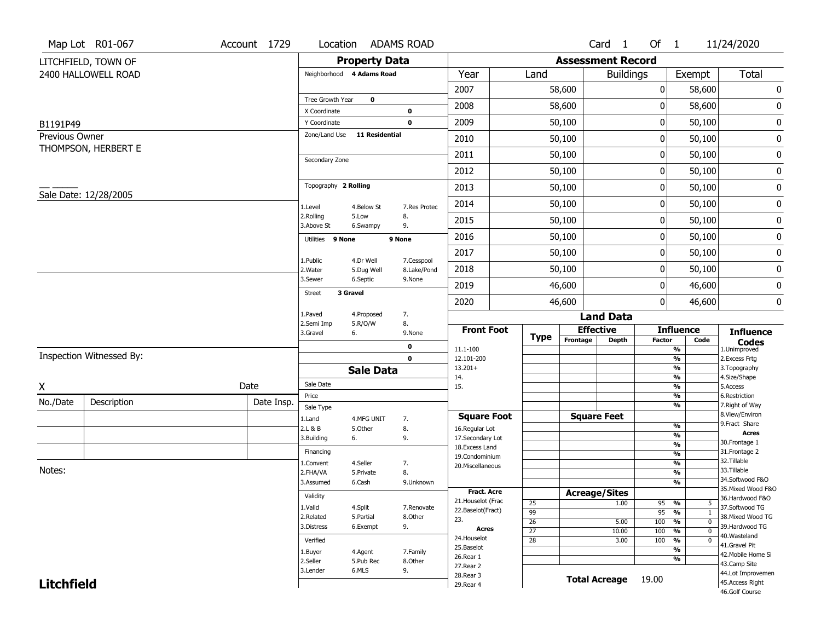|                   | Map Lot R01-067          | Account 1729 |                               | Location ADAMS ROAD     |               |                                    |                       |                          | Card 1               | Of 1            |                                                              | 11/24/2020                            |
|-------------------|--------------------------|--------------|-------------------------------|-------------------------|---------------|------------------------------------|-----------------------|--------------------------|----------------------|-----------------|--------------------------------------------------------------|---------------------------------------|
|                   | LITCHFIELD, TOWN OF      |              |                               | <b>Property Data</b>    |               |                                    |                       | <b>Assessment Record</b> |                      |                 |                                                              |                                       |
|                   | 2400 HALLOWELL ROAD      |              | Neighborhood 4 Adams Road     |                         |               | Year                               | Land                  |                          | <b>Buildings</b>     |                 | Exempt                                                       | <b>Total</b>                          |
|                   |                          |              |                               |                         |               | 2007                               |                       | 58,600                   |                      | 0               | 58,600                                                       | $\pmb{0}$                             |
|                   |                          |              | Tree Growth Year              | $\bf{0}$                |               | 2008                               |                       | 58,600                   |                      | 0               | 58,600                                                       | 0                                     |
|                   |                          |              | X Coordinate                  |                         | $\mathbf 0$   |                                    |                       |                          |                      |                 |                                                              |                                       |
| B1191P49          |                          |              | Y Coordinate<br>Zone/Land Use | <b>11 Residential</b>   | $\mathbf 0$   | 2009                               |                       | 50,100                   |                      | 0               | 50,100                                                       | $\pmb{0}$                             |
| Previous Owner    | THOMPSON, HERBERT E      |              |                               |                         |               | 2010                               |                       | 50,100                   |                      | 0               | 50,100                                                       | 0                                     |
|                   |                          |              | Secondary Zone                |                         |               | 2011                               |                       | 50,100                   |                      | 0               | 50,100                                                       | 0                                     |
|                   |                          |              |                               |                         |               | 2012                               |                       | 50,100                   |                      | 0               | 50,100                                                       | 0                                     |
|                   | Sale Date: 12/28/2005    |              | Topography 2 Rolling          |                         |               | 2013                               |                       | 50,100                   |                      | 0               | 50,100                                                       | $\pmb{0}$                             |
|                   |                          |              | 1.Level                       | 4.Below St              | 7.Res Protec  | 2014                               |                       | 50,100                   |                      | 0               | 50,100                                                       | 0                                     |
|                   |                          |              | 2.Rolling<br>3.Above St       | 5.Low<br>6.Swampy       | 8.<br>9.      | 2015                               |                       | 50,100                   |                      | 0               | 50,100                                                       | $\pmb{0}$                             |
|                   |                          |              | Utilities 9 None              |                         | 9 None        | 2016                               |                       | 50,100                   |                      | 0               | 50,100                                                       | 0                                     |
|                   |                          |              |                               |                         | 7.Cesspool    | 2017                               |                       | 50,100                   |                      | 0               | 50,100                                                       | $\pmb{0}$                             |
|                   |                          |              | 1.Public<br>2. Water          | 4.Dr Well<br>5.Dug Well | 8.Lake/Pond   | 2018                               |                       | 50,100                   |                      | 0               | 50,100                                                       | 0                                     |
|                   |                          |              | 3.Sewer                       | 6.Septic                | 9.None        | 2019                               |                       | 46,600                   |                      | 0               | 46,600                                                       | $\pmb{0}$                             |
|                   |                          |              | <b>Street</b>                 | 3 Gravel                |               | 2020                               |                       | 46,600                   |                      | 0               | 46,600                                                       | 0                                     |
|                   |                          |              | 1.Paved                       | 4.Proposed              | 7.            |                                    |                       |                          | <b>Land Data</b>     |                 |                                                              |                                       |
|                   |                          |              | 2.Semi Imp<br>3.Gravel        | 5.R/O/W<br>6.           | 8.<br>9.None  | <b>Front Foot</b>                  |                       | <b>Effective</b>         |                      |                 | <b>Influence</b>                                             | <b>Influence</b>                      |
|                   |                          |              |                               |                         | 0             | 11.1-100                           | <b>Type</b>           | Frontage                 | <b>Depth</b>         | <b>Factor</b>   | Code<br>%                                                    | <b>Codes</b><br>1.Unimproved          |
|                   | Inspection Witnessed By: |              |                               |                         | $\mathbf 0$   | 12.101-200                         |                       |                          |                      |                 | $\frac{9}{6}$                                                | 2. Excess Frtg                        |
|                   |                          |              |                               | <b>Sale Data</b>        |               | $13.201+$                          |                       |                          |                      |                 | %<br>$\frac{9}{6}$                                           | 3. Topography<br>4.Size/Shape         |
| X                 |                          | Date         | Sale Date                     |                         |               | 14.<br>15.                         |                       |                          |                      |                 | $\frac{9}{6}$                                                | 5.Access                              |
| No./Date          | Description              | Date Insp.   | Price                         |                         |               |                                    |                       |                          |                      |                 | %                                                            | 6.Restriction                         |
|                   |                          |              | Sale Type                     |                         |               | <b>Square Foot</b>                 |                       |                          | <b>Square Feet</b>   |                 | %                                                            | 7. Right of Way<br>8.View/Environ     |
|                   |                          |              | 1.Land<br>2.L & B             | 4.MFG UNIT<br>5.Other   | 7.<br>8.      | 16.Regular Lot                     |                       |                          |                      |                 | %                                                            | 9.Fract Share                         |
|                   |                          |              | 3.Building                    | 6.                      | 9.            | 17.Secondary Lot                   |                       |                          |                      |                 | %                                                            | <b>Acres</b>                          |
|                   |                          |              | Financing                     |                         |               | 18.Excess Land                     |                       |                          |                      |                 | $\frac{9}{6}$<br>%                                           | 30. Frontage 1<br>31. Frontage 2      |
|                   |                          |              | 1.Convent                     | 4.Seller                | 7.            | 19.Condominium<br>20.Miscellaneous |                       |                          |                      |                 | $\frac{9}{6}$                                                | 32.Tillable                           |
| Notes:            |                          |              | 2.FHA/VA                      | 5.Private               | 8.            |                                    |                       |                          |                      |                 | %                                                            | 33.Tillable                           |
|                   |                          |              | 3.Assumed                     | 6.Cash                  | 9.Unknown     |                                    |                       |                          |                      |                 | $\frac{9}{6}$                                                | 34.Softwood F&O                       |
|                   |                          |              | Validity                      |                         |               | Fract. Acre                        |                       | <b>Acreage/Sites</b>     |                      |                 |                                                              | 35. Mixed Wood F&O<br>36.Hardwood F&O |
|                   |                          |              | 1.Valid                       | 4.Split                 | 7.Renovate    | 21. Houselot (Frac                 | 25                    |                          | 1.00                 | 95              | %<br>5                                                       | 37.Softwood TG                        |
|                   |                          |              | 2.Related                     | 5.Partial               | 8.Other       | 22.Baselot(Fract)<br>23.           | $\overline{99}$       |                          |                      | $\overline{95}$ | %<br>1                                                       | 38. Mixed Wood TG                     |
|                   |                          |              | 3.Distress                    | 6.Exempt                | 9.            | Acres                              | 26<br>$\overline{27}$ |                          | 5.00                 | 100<br>100      | $\frac{9}{6}$<br>$\mathbf 0$<br>$\frac{9}{6}$<br>$\mathbf 0$ | 39.Hardwood TG                        |
|                   |                          |              | Verified                      |                         |               | 24. Houselot                       | $\overline{28}$       |                          | 10.00<br>3.00        | 100             | %<br>0                                                       | 40.Wasteland                          |
|                   |                          |              |                               |                         |               |                                    |                       |                          |                      |                 |                                                              | 41.Gravel Pit                         |
|                   |                          |              |                               |                         |               | 25.Baselot                         |                       |                          |                      |                 | %                                                            |                                       |
|                   |                          |              | 1.Buyer                       | 4.Agent                 | 7.Family      | 26.Rear 1                          |                       |                          |                      |                 | %                                                            | 42. Mobile Home Si                    |
|                   |                          |              | 2.Seller<br>3.Lender          | 5.Pub Rec<br>6.MLS      | 8.Other<br>9. | 27. Rear 2                         |                       |                          |                      |                 |                                                              | 43.Camp Site                          |
| <b>Litchfield</b> |                          |              |                               |                         |               | 28. Rear 3<br>29. Rear 4           |                       |                          | <b>Total Acreage</b> | 19.00           |                                                              | 44.Lot Improvemen<br>45.Access Right  |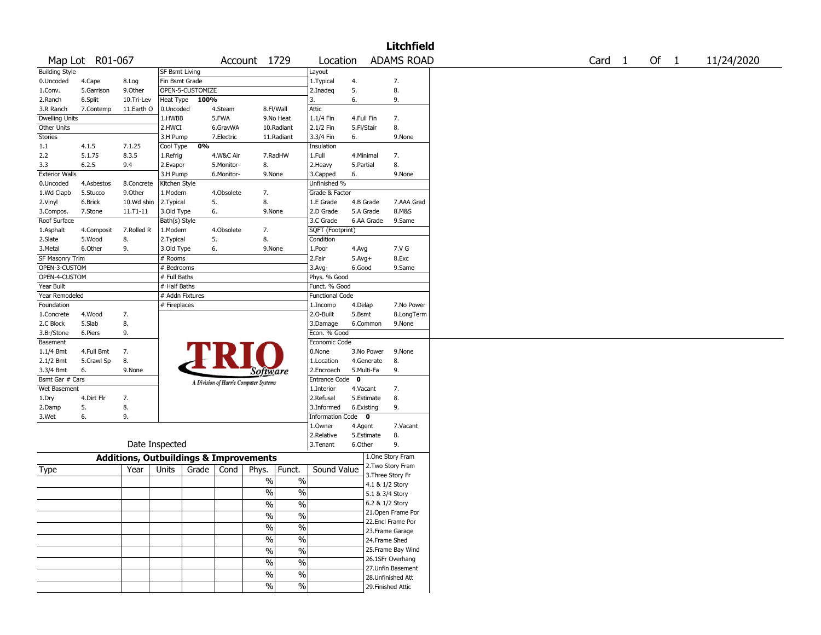|                       |                 |                                                   |                       |                  |            |                                       |               |                        |              |                 | <b>Litchfield</b>  |        |        |            |
|-----------------------|-----------------|---------------------------------------------------|-----------------------|------------------|------------|---------------------------------------|---------------|------------------------|--------------|-----------------|--------------------|--------|--------|------------|
|                       | Map Lot R01-067 |                                                   |                       |                  |            | Account 1729                          |               | Location               |              |                 | <b>ADAMS ROAD</b>  | Card 1 | Of $1$ | 11/24/2020 |
| <b>Building Style</b> |                 |                                                   | <b>SF Bsmt Living</b> |                  |            |                                       |               | Layout                 |              |                 |                    |        |        |            |
| 0.Uncoded             | 4.Cape          | 8.Log                                             | Fin Bsmt Grade        |                  |            |                                       |               | 1.Typical              | 4.           |                 | 7.                 |        |        |            |
| 1.Conv.               | 5.Garrison      | 9.0ther                                           |                       | OPEN-5-CUSTOMIZE |            |                                       |               | 2.Inadeq               | 5.           |                 | 8.                 |        |        |            |
| 2.Ranch               | 6.Split         | 10.Tri-Lev                                        | Heat Type             | 100%             |            |                                       |               | 3.                     | 6.           |                 | 9.                 |        |        |            |
| 3.R Ranch             | 7.Contemp       | 11.Earth O                                        | 0.Uncoded             |                  | 4.Steam    |                                       | 8.Fl/Wall     | Attic                  |              |                 |                    |        |        |            |
| <b>Dwelling Units</b> |                 |                                                   | 1.HWBB                |                  | 5.FWA      |                                       | 9.No Heat     | 1.1/4 Fin              |              | 4.Full Fin      | 7.                 |        |        |            |
| Other Units           |                 |                                                   | 2.HWCI                |                  | 6.GravWA   |                                       | 10.Radiant    | 2.1/2 Fin              | 5.Fl/Stair   |                 | 8.                 |        |        |            |
| Stories               |                 |                                                   | 3.H Pump              |                  | 7.Electric |                                       | 11.Radiant    | 3.3/4 Fin              | 6.           |                 | 9.None             |        |        |            |
| 1.1                   | 4.1.5           | 7.1.25                                            | Cool Type             | 0%               |            |                                       |               | Insulation             |              |                 |                    |        |        |            |
| 2.2                   | 5.1.75          | 8.3.5                                             | 1.Refrig              |                  | 4.W&C Air  |                                       | 7.RadHW       | 1.Full                 |              | 4.Minimal       | 7.                 |        |        |            |
| 3.3                   | 6.2.5           | 9.4                                               | 2.Evapor              |                  | 5.Monitor- | 8.                                    |               | 2. Heavy               | 5.Partial    |                 | 8.                 |        |        |            |
| <b>Exterior Walls</b> |                 |                                                   | 3.H Pump              |                  | 6.Monitor- | 9.None                                |               | 3.Capped               | 6.           |                 | 9.None             |        |        |            |
| 0.Uncoded             | 4.Asbestos      | 8.Concrete                                        | Kitchen Style         |                  |            |                                       |               | Unfinished %           |              |                 |                    |        |        |            |
| 1.Wd Clapb            | 5.Stucco        | 9.0ther                                           | 1.Modern              |                  | 4.Obsolete | 7.                                    |               | Grade & Factor         |              |                 |                    |        |        |            |
|                       |                 |                                                   |                       |                  |            |                                       |               |                        |              |                 |                    |        |        |            |
| 2.Vinyl               | 6.Brick         | 10.Wd shin                                        | 2.Typical             |                  | 5.         | 8.                                    |               | 1.E Grade              |              | 4.B Grade       | 7.AAA Grad         |        |        |            |
| 3.Compos.             | 7.Stone         | 11.T1-11                                          | 3.Old Type            |                  | 6.         | 9.None                                |               | 2.D Grade              |              | 5.A Grade       | 8.M&S              |        |        |            |
| Roof Surface          |                 |                                                   | Bath(s) Style         |                  |            |                                       |               | 3.C Grade              |              | 6.AA Grade      | 9.Same             |        |        |            |
| 1.Asphalt             | 4.Composit      | 7.Rolled R                                        | 1.Modern              |                  | 4.Obsolete | 7.                                    |               | SQFT (Footprint)       |              |                 |                    |        |        |            |
| 2.Slate               | 5.Wood          | 8.                                                | 2. Typical            |                  | 5.         | 8.                                    |               | Condition              |              |                 |                    |        |        |            |
| 3.Metal               | 6.Other         | 9.                                                | 3.Old Type            |                  | 6.         | 9.None                                |               | 1.Poor                 | 4.Avg        |                 | 7.V G              |        |        |            |
| SF Masonry Trim       |                 |                                                   | # Rooms               |                  |            |                                       |               | 2.Fair                 | $5.$ Avg $+$ |                 | 8.Exc              |        |        |            |
| OPEN-3-CUSTOM         |                 |                                                   | # Bedrooms            |                  |            |                                       |               | 3.Avg-                 | 6.Good       |                 | 9.Same             |        |        |            |
| OPEN-4-CUSTOM         |                 |                                                   | # Full Baths          |                  |            |                                       |               | Phys. % Good           |              |                 |                    |        |        |            |
| Year Built            |                 |                                                   | # Half Baths          |                  |            |                                       |               | Funct. % Good          |              |                 |                    |        |        |            |
| Year Remodeled        |                 |                                                   | # Addn Fixtures       |                  |            |                                       |               | <b>Functional Code</b> |              |                 |                    |        |        |            |
| Foundation            |                 |                                                   | # Fireplaces          |                  |            |                                       |               | 1.Incomp               | 4.Delap      |                 | 7.No Power         |        |        |            |
| 1.Concrete            | 4.Wood          | 7.                                                |                       |                  |            |                                       |               | 2.O-Built              | 5.Bsmt       |                 | 8.LongTerm         |        |        |            |
| 2.C Block             | 5.Slab          | 8.                                                |                       |                  |            |                                       |               | 3.Damage               |              | 6.Common        | 9.None             |        |        |            |
| 3.Br/Stone            | 6.Piers         | 9.                                                |                       |                  |            |                                       |               | Econ. % Good           |              |                 |                    |        |        |            |
| Basement              |                 |                                                   |                       |                  |            |                                       |               | Economic Code          |              |                 |                    |        |        |            |
| 1.1/4 Bmt             | 4.Full Bmt      | 7.                                                |                       |                  |            |                                       |               | 0.None                 |              | 3.No Power      | 9.None             |        |        |            |
| 2.1/2 Bmt             | 5.Crawl Sp      | 8.                                                |                       |                  |            |                                       |               | 1.Location             |              | 4.Generate      | 8.                 |        |        |            |
| 3.3/4 Bmt             | 6.              | 9.None                                            |                       |                  |            | Software                              |               | 2.Encroach             |              | 5.Multi-Fa      | 9.                 |        |        |            |
| Bsmt Gar # Cars       |                 |                                                   |                       |                  |            | A Division of Harris Computer Systems |               | Entrance Code 0        |              |                 |                    |        |        |            |
| Wet Basement          |                 |                                                   |                       |                  |            |                                       |               | 1.Interior             | 4.Vacant     |                 | 7.                 |        |        |            |
| 1.Dry                 | 4.Dirt Flr      | 7.                                                |                       |                  |            |                                       |               | 2.Refusal              |              | 5.Estimate      | 8.                 |        |        |            |
| 2.Damp                | 5.              | 8.                                                |                       |                  |            |                                       |               | 3.Informed             |              | 6.Existing      | 9.                 |        |        |            |
| 3.Wet                 | 6.              | 9.                                                |                       |                  |            |                                       |               | Information Code 0     |              |                 |                    |        |        |            |
|                       |                 |                                                   |                       |                  |            |                                       |               | 1.0wner                | 4.Agent      |                 | 7.Vacant           |        |        |            |
|                       |                 |                                                   |                       |                  |            |                                       |               | 2.Relative             |              | 5.Estimate      | 8.                 |        |        |            |
|                       |                 | Date Inspected                                    |                       |                  |            |                                       |               | 3. Tenant              | 6.Other      |                 | 9.                 |        |        |            |
|                       |                 |                                                   |                       |                  |            |                                       |               |                        |              |                 |                    |        |        |            |
|                       |                 | <b>Additions, Outbuildings &amp; Improvements</b> |                       |                  |            |                                       |               |                        |              |                 | 1.One Story Fram   |        |        |            |
| Type                  |                 | Year                                              | Units                 | Grade            | Cond       | Phys.                                 | Funct.        | Sound Value            |              |                 | 2. Two Story Fram  |        |        |            |
|                       |                 |                                                   |                       |                  |            | %                                     | %             |                        |              |                 | 3. Three Story Fr  |        |        |            |
|                       |                 |                                                   |                       |                  |            |                                       |               |                        |              | 4.1 & 1/2 Story |                    |        |        |            |
|                       |                 |                                                   |                       |                  |            | $\%$                                  | $\%$          |                        |              | 5.1 & 3/4 Story |                    |        |        |            |
|                       |                 |                                                   |                       |                  |            | %                                     | %             |                        |              | 6.2 & 1/2 Story |                    |        |        |            |
|                       |                 |                                                   |                       |                  |            | $\frac{0}{6}$                         | $\sqrt{20}$   |                        |              |                 | 21. Open Frame Por |        |        |            |
|                       |                 |                                                   |                       |                  |            | $\sqrt{6}$                            | $\frac{9}{6}$ |                        |              |                 | 22.Encl Frame Por  |        |        |            |
|                       |                 |                                                   |                       |                  |            |                                       |               |                        |              |                 | 23. Frame Garage   |        |        |            |
|                       |                 |                                                   |                       |                  |            | $\frac{0}{6}$                         | $\frac{0}{6}$ |                        |              | 24.Frame Shed   |                    |        |        |            |
|                       |                 |                                                   |                       |                  |            | $\sqrt{6}$                            | $\frac{0}{6}$ |                        |              |                 | 25. Frame Bay Wind |        |        |            |
|                       |                 |                                                   |                       |                  |            | $\sqrt{6}$                            | $\sqrt{20}$   |                        |              |                 | 26.1SFr Overhang   |        |        |            |
|                       |                 |                                                   |                       |                  |            |                                       |               |                        |              |                 | 27.Unfin Basement  |        |        |            |
|                       |                 |                                                   |                       |                  |            | $\sqrt{6}$                            | $\sqrt{6}$    |                        |              |                 | 28. Unfinished Att |        |        |            |
|                       |                 |                                                   |                       |                  |            | $\sqrt{20}$                           | $\frac{1}{2}$ |                        |              |                 | 29. Finished Attic |        |        |            |
|                       |                 |                                                   |                       |                  |            |                                       |               |                        |              |                 |                    |        |        |            |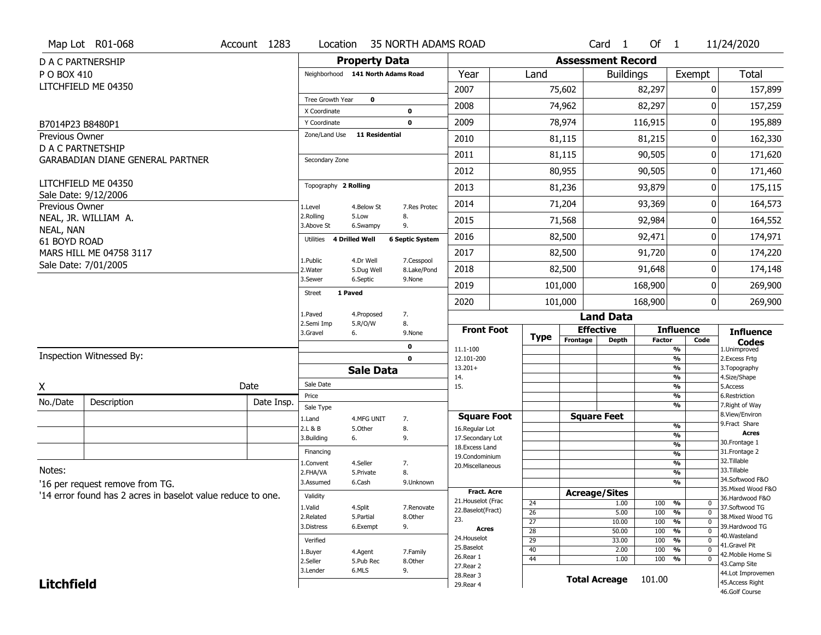|                           | Map Lot R01-068                                             | Account 1283 | Location                          |                         | <b>35 NORTH ADAMS ROAD</b> |                                     |                                    |          | Card <sub>1</sub>        | Of $1$        |                                                                 | 11/24/2020                           |
|---------------------------|-------------------------------------------------------------|--------------|-----------------------------------|-------------------------|----------------------------|-------------------------------------|------------------------------------|----------|--------------------------|---------------|-----------------------------------------------------------------|--------------------------------------|
|                           | D A C PARTNERSHIP                                           |              |                                   | <b>Property Data</b>    |                            |                                     |                                    |          | <b>Assessment Record</b> |               |                                                                 |                                      |
| P O BOX 410               |                                                             |              | Neighborhood 141 North Adams Road |                         |                            | Year                                | Land                               |          | <b>Buildings</b>         |               | Exempt                                                          | Total                                |
|                           | LITCHFIELD ME 04350                                         |              |                                   |                         |                            | 2007                                |                                    | 75,602   |                          | 82,297        | 0                                                               | 157,899                              |
|                           |                                                             |              | Tree Growth Year                  | $\mathbf 0$             |                            | 2008                                |                                    | 74,962   |                          | 82,297        | 0                                                               | 157,259                              |
| B7014P23 B8480P1          |                                                             |              | X Coordinate<br>Y Coordinate      |                         | 0<br>$\mathbf 0$           | 2009                                |                                    | 78,974   |                          | 116,915       | $\overline{0}$                                                  | 195,889                              |
| <b>Previous Owner</b>     |                                                             |              | Zone/Land Use                     | 11 Residential          |                            | 2010                                |                                    |          |                          |               | 0                                                               |                                      |
|                           | D A C PARTNETSHIP                                           |              |                                   |                         |                            |                                     |                                    | 81,115   |                          | 81,215        |                                                                 | 162,330                              |
|                           | GARABADIAN DIANE GENERAL PARTNER                            |              | Secondary Zone                    |                         |                            | 2011                                |                                    | 81,115   |                          | 90,505        | 0                                                               | 171,620                              |
|                           |                                                             |              |                                   |                         |                            | 2012                                |                                    | 80,955   |                          | 90,505        | $\overline{0}$                                                  | 171,460                              |
|                           | LITCHFIELD ME 04350<br>Sale Date: 9/12/2006                 |              | Topography 2 Rolling              |                         |                            | 2013                                |                                    | 81,236   |                          | 93,879        | 0                                                               | 175,115                              |
| Previous Owner            |                                                             |              | 1.Level                           | 4.Below St              | 7.Res Protec               | 2014                                |                                    | 71,204   |                          | 93,369        | 0                                                               | 164,573                              |
|                           | NEAL, JR. WILLIAM A.                                        |              | 2.Rolling<br>3.Above St           | 5.Low<br>6.Swampy       | 8.<br>9.                   | 2015                                |                                    | 71,568   |                          | 92,984        | $\overline{0}$                                                  | 164,552                              |
| NEAL, NAN<br>61 BOYD ROAD |                                                             |              | Utilities                         | 4 Drilled Well          | <b>6 Septic System</b>     | 2016                                |                                    | 82,500   |                          | 92,471        | 0                                                               | 174,971                              |
|                           | MARS HILL ME 04758 3117                                     |              |                                   |                         |                            | 2017                                |                                    | 82,500   |                          | 91,720        | $\overline{0}$                                                  | 174,220                              |
|                           | Sale Date: 7/01/2005                                        |              | 1.Public<br>2. Water              | 4.Dr Well<br>5.Dug Well | 7.Cesspool<br>8.Lake/Pond  | 2018                                |                                    | 82,500   |                          | 91,648        | 0                                                               | 174,148                              |
|                           |                                                             |              | 3.Sewer                           | 6.Septic                | 9.None                     | 2019                                |                                    | 101,000  |                          | 168,900       | $\overline{0}$                                                  | 269,900                              |
|                           |                                                             |              | <b>Street</b>                     | 1 Paved                 |                            | 2020                                |                                    | 101,000  |                          | 168,900       | 0                                                               | 269,900                              |
|                           |                                                             |              | 1.Paved                           | 4.Proposed              | 7.                         |                                     |                                    |          | <b>Land Data</b>         |               |                                                                 |                                      |
|                           |                                                             |              | 2.Semi Imp<br>3.Gravel            | 5.R/O/W<br>6.           | 8.<br>9.None               | <b>Front Foot</b>                   |                                    |          | <b>Effective</b>         |               | <b>Influence</b>                                                | <b>Influence</b>                     |
|                           |                                                             |              |                                   |                         | 0                          | 11.1-100                            | <b>Type</b>                        | Frontage | <b>Depth</b>             | <b>Factor</b> | Code<br>$\frac{9}{6}$                                           | <b>Codes</b><br>1.Unimproved         |
|                           | Inspection Witnessed By:                                    |              |                                   |                         |                            |                                     |                                    |          |                          |               | $\frac{9}{6}$                                                   | 2. Excess Frtg                       |
|                           |                                                             |              |                                   |                         | $\mathbf 0$                | 12.101-200                          |                                    |          |                          |               |                                                                 |                                      |
|                           |                                                             |              |                                   | <b>Sale Data</b>        |                            | $13.201+$                           |                                    |          |                          |               | %<br>$\frac{9}{6}$                                              | 3. Topography                        |
| X.                        |                                                             | Date         | Sale Date                         |                         |                            | 14.<br>15.                          |                                    |          |                          |               | %                                                               | 4.Size/Shape<br>5.Access             |
| No./Date                  | Description                                                 | Date Insp.   | Price                             |                         |                            |                                     |                                    |          |                          |               | %<br>%                                                          | 6.Restriction<br>7. Right of Way     |
|                           |                                                             |              | Sale Type<br>1.Land               | 4.MFG UNIT              | 7.                         | <b>Square Foot</b>                  |                                    |          | <b>Square Feet</b>       |               |                                                                 | 8.View/Environ                       |
|                           |                                                             |              | 2.L & B                           | 5.0ther                 | 8.                         | 16.Regular Lot                      |                                    |          |                          |               | %                                                               | 9. Fract Share<br><b>Acres</b>       |
|                           |                                                             |              | 3.Building                        | 6.                      | 9.                         | 17.Secondary Lot<br>18. Excess Land |                                    |          |                          |               | %<br>$\frac{9}{6}$                                              | 30. Frontage 1                       |
|                           |                                                             |              | Financing                         |                         |                            | 19.Condominium                      |                                    |          |                          |               | $\frac{9}{6}$                                                   | 31. Frontage 2                       |
| Notes:                    |                                                             |              | 1.Convent<br>2.FHA/VA             | 4.Seller<br>5.Private   | 7.<br>8.                   | 20.Miscellaneous                    |                                    |          |                          |               | %<br>%                                                          | 32. Tillable<br>33.Tillable          |
|                           | '16 per request remove from TG.                             |              | 3.Assumed                         | 6.Cash                  | 9.Unknown                  |                                     |                                    |          |                          |               | $\frac{9}{6}$                                                   | 34.Softwood F&O                      |
|                           | '14 error found has 2 acres in baselot value reduce to one. |              | Validity                          |                         |                            | <b>Fract. Acre</b>                  |                                    |          | <b>Acreage/Sites</b>     |               |                                                                 | 35. Mixed Wood F&O                   |
|                           |                                                             |              | 1.Valid                           | 4.Split                 | 7.Renovate                 | 21. Houselot (Frac                  | 24                                 |          | 1.00                     | 100           | %<br>0                                                          | 36.Hardwood F&O<br>37.Softwood TG    |
|                           |                                                             |              | 2.Related                         | 5.Partial               | 8.Other                    | 22.Baselot(Fract)<br>23.            | $\overline{26}$                    |          | 5.00                     | 100           | $\overline{0}$<br>%                                             | 38. Mixed Wood TG                    |
|                           |                                                             |              | 3.Distress                        | 6.Exempt                | 9.                         | <b>Acres</b>                        | $\overline{27}$<br>$\overline{28}$ |          | 10.00<br>50.00           | 100<br>100    | $\frac{9}{6}$<br>$\mathbf 0$<br>$\frac{9}{6}$<br>$\overline{0}$ | 39.Hardwood TG                       |
|                           |                                                             |              | Verified                          |                         |                            | 24. Houselot                        | $\overline{29}$                    |          | 33.00                    | 100           | %<br>$\mathbf 0$                                                | 40. Wasteland                        |
|                           |                                                             |              | 1.Buyer                           | 4.Agent                 | 7.Family                   | 25.Baselot                          | $\overline{40}$                    |          | 2.00                     | 100           | $\overline{0}$<br>%                                             | 41.Gravel Pit<br>42. Mobile Home Si  |
|                           |                                                             |              | 2.Seller                          | 5.Pub Rec               | 8.Other                    | 26.Rear 1<br>27. Rear 2             | $\overline{44}$                    |          | 1.00                     | 100           | $\frac{9}{6}$<br>$\mathbf 0$                                    | 43.Camp Site                         |
| <b>Litchfield</b>         |                                                             |              | 3.Lender                          | 6.MLS                   | 9.                         | 28. Rear 3<br>29. Rear 4            |                                    |          | <b>Total Acreage</b>     | 101.00        |                                                                 | 44.Lot Improvemen<br>45.Access Right |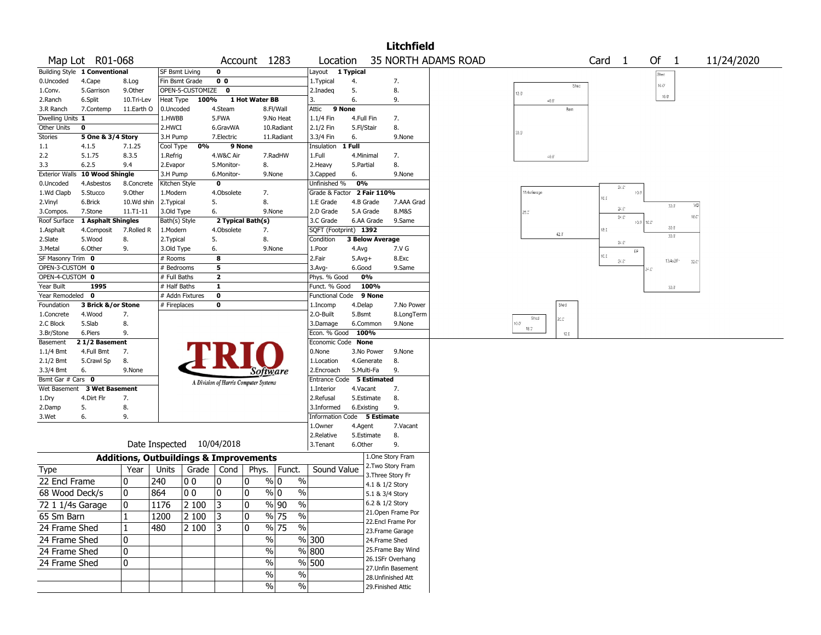|                                  |                             |                             |                                                   |          |                  |                                       |                                   |                                            |            |                        | <b>Litchfield</b>  |                            |               |      |                   |                                |                 |              |            |  |
|----------------------------------|-----------------------------|-----------------------------|---------------------------------------------------|----------|------------------|---------------------------------------|-----------------------------------|--------------------------------------------|------------|------------------------|--------------------|----------------------------|---------------|------|-------------------|--------------------------------|-----------------|--------------|------------|--|
|                                  | Map Lot R01-068             |                             |                                                   |          |                  | Account 1283                          |                                   | Location                                   |            |                        |                    | <b>35 NORTH ADAMS ROAD</b> |               |      | Card <sub>1</sub> |                                | Of              | $\mathbf{1}$ | 11/24/2020 |  |
| <b>Building Style</b>            | 1 Conventional              |                             | <b>SF Bsmt Living</b>                             |          | 0                |                                       |                                   | Layout                                     | 1 Typical  |                        |                    |                            |               |      |                   |                                | Shee            |              |            |  |
| 0.Uncoded                        | 4.Cape                      | 8.Log                       | Fin Bsmt Grade                                    |          | 0 <sub>0</sub>   |                                       |                                   | 1. Typical                                 | 4.         |                        | 7.                 |                            |               | Shec |                   |                                | $16.0^\circ$    |              |            |  |
| 1.Conv.                          | 5.Garrison                  | 9.Other                     | OPEN-5-CUSTOMIZE                                  |          | $\mathbf 0$      |                                       |                                   | 2.Inadeq                                   | 5.         |                        | 8.                 |                            | 12.0          |      |                   |                                |                 |              |            |  |
| 2.Ranch                          | 6.Split                     | 10.Tri-Lev                  | Heat Type                                         | 100%     |                  | 1 Hot Water BB                        |                                   | 13.                                        | 6.         |                        | 9.                 |                            | $40.0^\circ$  |      |                   |                                | $10.0^\circ$    |              |            |  |
| 3.R Ranch                        | 7.Contemp                   | 11.Earth O                  | 0.Uncoded                                         |          | 4.Steam          |                                       | 8.Fl/Wall                         | 9 None<br>Attic                            |            |                        |                    |                            |               | Barn |                   |                                |                 |              |            |  |
| Dwelling Units 1                 |                             |                             | 1.HWBB                                            |          | 5.FWA            |                                       | 9.No Heat                         | 1.1/4 Fin                                  | 4.Full Fin |                        | 7.                 |                            |               |      |                   |                                |                 |              |            |  |
| Other Units                      | 0                           |                             | 2.HWCI                                            |          | 6.GravWA         |                                       | 10.Radiant                        | 2.1/2 Fin                                  | 5.Fl/Stair |                        | 8.                 |                            | 30.0          |      |                   |                                |                 |              |            |  |
| Stories                          | 5 One & 3/4 Story           |                             | 3.H Pump                                          |          | 7.Electric       |                                       | 11.Radiant                        | 3.3/4 Fin                                  | 6.         |                        | 9.None             |                            |               |      |                   |                                |                 |              |            |  |
| $1.1\,$                          | 4.1.5                       | 7.1.25                      | Cool Type                                         | 0%       |                  | 9 None                                |                                   | Insulation                                 | 1 Full     |                        |                    |                            |               |      |                   |                                |                 |              |            |  |
| 2.2                              | 5.1.75                      | 8.3.5                       | 1.Refrig                                          |          | 4.W&C Air        |                                       | 7.RadHW                           | 1.Full                                     | 4.Minimal  |                        | 7.                 |                            | $40.0$        |      |                   |                                |                 |              |            |  |
| 3.3                              | 6.2.5                       | 9.4                         | 2.Evapor                                          |          | 5.Monitor-       | 8.                                    |                                   | 2. Heavy                                   | 5.Partial  |                        | 8.                 |                            |               |      |                   |                                |                 |              |            |  |
| <b>Exterior Walls</b>            | 10 Wood Shingle             |                             | 3.H Pump                                          |          | 6.Monitor-       |                                       | 9.None                            | 3.Capped                                   | 6.         |                        | 9.None             |                            |               |      |                   |                                |                 |              |            |  |
| 0.Uncoded                        | 4.Asbestos                  | 8.Concrete                  | Kitchen Style                                     |          | $\mathbf 0$      |                                       |                                   | Unfinished %<br>Grade & Factor 2 Fair 110% | 0%         |                        |                    |                            | 11/4sGarage   |      |                   | $24.0^{\circ}$<br>19.0         |                 |              |            |  |
| 1.Wd Clapb                       | 5.Stucco<br>6.Brick         | 9.Other                     | 1.Modern                                          |          | 4.Obsolete<br>5. | 7.<br>8.                              |                                   |                                            | 4.B Grade  |                        | 7.AAA Grad         |                            |               |      | 16.C              |                                |                 |              |            |  |
| 2.Vinyl<br>3.Compos.             | 7.Stone                     | 10.Wd shin<br>$11. T1 - 11$ | 2.Typical<br>3.Old Type                           |          | 6.               |                                       | 9.None                            | 1.E Grade<br>2.D Grade                     | 5.A Grade  |                        | 8.M&S              |                            | 28.0          |      |                   | $24.0^{\circ}$                 | $30.0^\circ$    | 7/D          |            |  |
| Roof Surface                     | 1 Asphalt Shingles          |                             | Bath(s) Style                                     |          |                  | 2 Typical Bath(s)                     |                                   | 3.C Grade                                  |            | 6.AA Grade             | 9.Same             |                            |               |      |                   | $24.0^{\circ}$<br>$19.0^\circ$ |                 | 18.0         |            |  |
| 1.Asphalt                        | 4.Composit                  | 7.Rolled R                  | 1.Modern                                          |          | 4.Obsolete       | 7.                                    |                                   | SQFT (Footprint) 1392                      |            |                        |                    |                            |               |      | 18.0              |                                | 10.0°<br>$30.0$ |              |            |  |
| 2.Slate                          | 5.Wood                      | 8.                          | 2. Typical                                        |          | 5.               | 8.                                    |                                   | Condition                                  |            | <b>3 Below Average</b> |                    |                            |               | 42.0 |                   |                                | $30.0^\circ$    |              |            |  |
| 3.Metal                          | 6.Other                     | 9.                          | 3.Old Type                                        |          | 6.               |                                       | 9.None                            | 1.Poor                                     | 4.Avg      |                        | 7.V G              |                            |               |      |                   | $24.0^{\circ}$<br>EP           |                 |              |            |  |
| SF Masonry Trim 0                |                             |                             | # Rooms                                           |          | 8                |                                       |                                   | 2.Fair                                     | $5.Avg+$   |                        | 8.Exc              |                            |               |      | 10.01             |                                | 13/4sBF*        |              |            |  |
| OPEN-3-CUSTOM 0                  |                             |                             | # Bedrooms                                        |          | $\overline{5}$   |                                       |                                   | 3.Avg-                                     | 6.Good     |                        | 9.Same             |                            |               |      |                   | $24.0^{\circ}$                 |                 | 32.0         |            |  |
| OPEN-4-CUSTOM 0                  |                             |                             | # Full Baths                                      |          | $\mathbf{2}$     |                                       |                                   | Phys. % Good                               | 0%         |                        |                    |                            |               |      |                   |                                |                 |              |            |  |
| Year Built                       | 1995                        |                             | # Half Baths                                      |          | 1                |                                       |                                   | Funct. % Good                              |            | 100%                   |                    |                            |               |      |                   |                                | $30.0^\circ$    |              |            |  |
| Year Remodeled 0                 |                             |                             | # Addn Fixtures                                   |          | $\pmb{0}$        |                                       |                                   | <b>Functional Code</b>                     |            | 9 None                 |                    |                            |               |      |                   |                                |                 |              |            |  |
| Foundation                       | 3 Brick &/or Stone          |                             | # Fireplaces                                      |          | 0                |                                       |                                   | 1.Incomp                                   | 4.Delap    |                        | 7.No Power         |                            |               | Shed |                   |                                |                 |              |            |  |
| 1.Concrete                       | 4.Wood                      | 7.                          |                                                   |          |                  |                                       |                                   | 2.O-Built                                  | 5.Bsmt     |                        | 8.LongTerm         |                            | Shed          | C.C. |                   |                                |                 |              |            |  |
| 2.C Block                        | 5.Slab                      | 8.                          |                                                   |          |                  |                                       |                                   | 3.Damage                                   | 6.Common   |                        | 9.None             |                            | 10.0<br>18.01 |      |                   |                                |                 |              |            |  |
| 3.Br/Stone                       | 6.Piers                     | 9.                          |                                                   |          |                  |                                       |                                   | Econ. % Good                               | 100%       |                        |                    |                            |               | 12.0 |                   |                                |                 |              |            |  |
| Basement                         | 21/2 Basement               |                             |                                                   |          |                  |                                       |                                   | Economic Code None                         |            |                        |                    |                            |               |      |                   |                                |                 |              |            |  |
| $1.1/4$ Bmt                      | 4.Full Bmt                  | 7.                          |                                                   |          |                  |                                       |                                   | 0.None                                     |            | 3.No Power             | 9.None             |                            |               |      |                   |                                |                 |              |            |  |
| $2.1/2$ Bmt                      | 5.Crawl Sp                  | 8.                          |                                                   |          |                  |                                       |                                   | 1.Location                                 |            | 4.Generate             | 8.                 |                            |               |      |                   |                                |                 |              |            |  |
| 3.3/4 Bmt                        | 6.                          | 9.None                      |                                                   |          |                  | Software                              |                                   | 2.Encroach                                 | 5.Multi-Fa |                        | 9.                 |                            |               |      |                   |                                |                 |              |            |  |
| Bsmt Gar $#$ Cars $\overline{0}$ |                             |                             |                                                   |          |                  | A Division of Harris Computer Systems |                                   | Entrance Code 5 Estimated                  |            |                        |                    |                            |               |      |                   |                                |                 |              |            |  |
|                                  | Wet Basement 3 Wet Basement |                             |                                                   |          |                  |                                       |                                   | 1.Interior                                 | 4.Vacant   |                        | 7.                 |                            |               |      |                   |                                |                 |              |            |  |
| 1.Dry                            | 4.Dirt Flr                  | 7.                          |                                                   |          |                  |                                       |                                   | 2.Refusal                                  |            | 5.Estimate             | 8.                 |                            |               |      |                   |                                |                 |              |            |  |
| 2.Damp                           | 5.                          | 8.                          |                                                   |          |                  |                                       |                                   | 3.Informed                                 | 6.Existing |                        | 9.                 |                            |               |      |                   |                                |                 |              |            |  |
| 3.Wet                            | 6.                          | 9.                          |                                                   |          |                  |                                       |                                   | Information Code 5 Estimate                |            |                        | 7.Vacant           |                            |               |      |                   |                                |                 |              |            |  |
|                                  |                             |                             |                                                   |          |                  |                                       |                                   | 1.0wner<br>2.Relative                      | 4.Agent    | 5.Estimate             | 8.                 |                            |               |      |                   |                                |                 |              |            |  |
|                                  |                             |                             | Date Inspected 10/04/2018                         |          |                  |                                       |                                   | 3.Tenant                                   | 6.Other    |                        | 9.                 |                            |               |      |                   |                                |                 |              |            |  |
|                                  |                             |                             |                                                   |          |                  |                                       |                                   |                                            |            |                        | 1.One Story Fram   |                            |               |      |                   |                                |                 |              |            |  |
|                                  |                             |                             | <b>Additions, Outbuildings &amp; Improvements</b> |          |                  |                                       |                                   |                                            |            |                        | 2. Two Story Fram  |                            |               |      |                   |                                |                 |              |            |  |
| Type                             |                             | Year                        | Units                                             | Grade    | Cond             | Phys.                                 | Funct.                            | Sound Value                                |            |                        | 3. Three Story Fr  |                            |               |      |                   |                                |                 |              |            |  |
| 22 Encl Frame                    |                             | 0                           | 240<br>00                                         |          | 10               | 10                                    | % 0<br>$\%$                       |                                            |            | 4.1 & 1/2 Story        |                    |                            |               |      |                   |                                |                 |              |            |  |
| 68 Wood Deck/s                   |                             | 0                           | 864<br>00                                         |          | 10               | 0                                     | $\frac{9}{0}$ 0<br>$\%$           |                                            |            | 5.1 & 3/4 Story        |                    |                            |               |      |                   |                                |                 |              |            |  |
| 72 1 1/4s Garage                 |                             | 0                           | 1176                                              | $2100$ 3 |                  | 0                                     | $\sqrt{90}$<br>$\frac{1}{2}$      |                                            |            |                        | 6.2 & 1/2 Story    |                            |               |      |                   |                                |                 |              |            |  |
|                                  |                             | $\mathbf{1}$                | 1200                                              | 2 100    | $ 3\rangle$      | 0                                     | $\frac{9}{6}$<br>$\frac{9}{6}$ 75 |                                            |            |                        | 21. Open Frame Por |                            |               |      |                   |                                |                 |              |            |  |
| 65 Sm Barn                       |                             |                             |                                                   |          |                  |                                       |                                   |                                            |            |                        | 22.Encl Frame Por  |                            |               |      |                   |                                |                 |              |            |  |
| 24 Frame Shed                    |                             | 1                           | 480                                               | 2 100    | 3                | 0                                     | % 75<br>$\%$                      |                                            |            |                        | 23. Frame Garage   |                            |               |      |                   |                                |                 |              |            |  |
| 24 Frame Shed                    |                             | 0                           |                                                   |          |                  | $\%$                                  |                                   | %300                                       |            |                        | 24.Frame Shed      |                            |               |      |                   |                                |                 |              |            |  |
| 24 Frame Shed                    |                             | 0                           |                                                   |          |                  | $\%$                                  |                                   | % 800                                      |            |                        | 25. Frame Bay Wind |                            |               |      |                   |                                |                 |              |            |  |
| 24 Frame Shed                    |                             | 0                           |                                                   |          |                  | $\%$                                  |                                   | % 500                                      |            |                        | 26.1SFr Overhang   |                            |               |      |                   |                                |                 |              |            |  |
|                                  |                             |                             |                                                   |          |                  | $\%$                                  | %                                 |                                            |            |                        | 27.Unfin Basement  |                            |               |      |                   |                                |                 |              |            |  |
|                                  |                             |                             |                                                   |          |                  |                                       |                                   |                                            |            |                        | 28. Unfinished Att |                            |               |      |                   |                                |                 |              |            |  |
|                                  |                             |                             |                                                   |          |                  | $\%$                                  | $\sqrt{6}$                        |                                            |            |                        | 29. Finished Attic |                            |               |      |                   |                                |                 |              |            |  |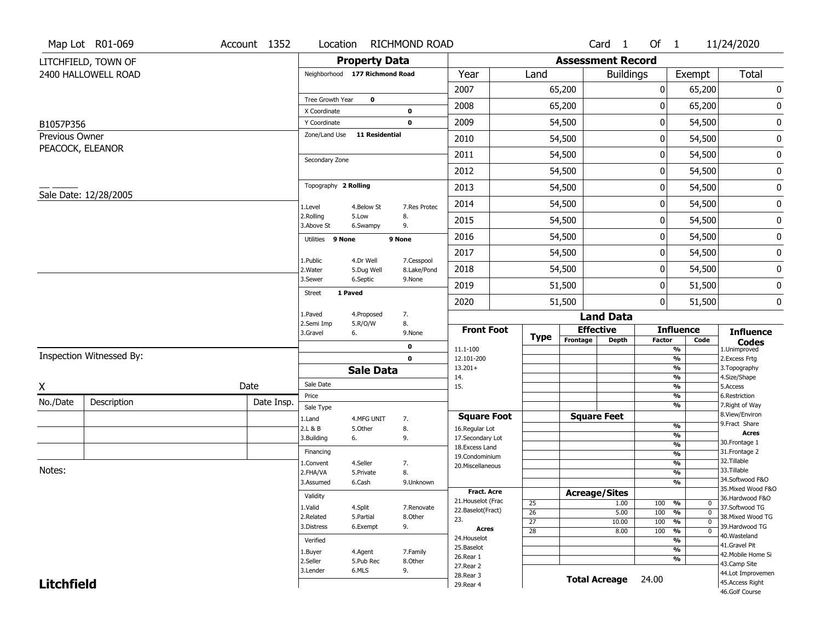| <b>Total</b>                          |
|---------------------------------------|
|                                       |
|                                       |
| 0                                     |
| 0                                     |
| 0                                     |
|                                       |
| 0                                     |
| 0                                     |
| 0                                     |
| 0                                     |
| 0                                     |
| 0                                     |
| 0                                     |
| 0                                     |
| 0                                     |
| 0                                     |
| 0                                     |
|                                       |
| <b>Influence</b>                      |
| <b>Codes</b><br>1.Unimproved          |
| 2. Excess Frtg                        |
| 3. Topography<br>4.Size/Shape         |
| 5.Access                              |
| 6.Restriction                         |
| 7. Right of Way<br>8.View/Environ     |
| 9.Fract Share                         |
| <b>Acres</b><br>30.Frontage 1         |
| 31. Frontage 2                        |
| 32.Tillable                           |
| 33.Tillable                           |
| 34.Softwood F&O<br>35. Mixed Wood F&O |
| 36.Hardwood F&O                       |
| 37.Softwood TG                        |
| 38. Mixed Wood TG                     |
| 39.Hardwood TG                        |
| 40.Wasteland<br>41.Gravel Pit         |
| 42. Mobile Home Si                    |
| 43.Camp Site                          |
| 44.Lot Improvemen                     |
| 45.Access Right<br>46.Golf Course     |
|                                       |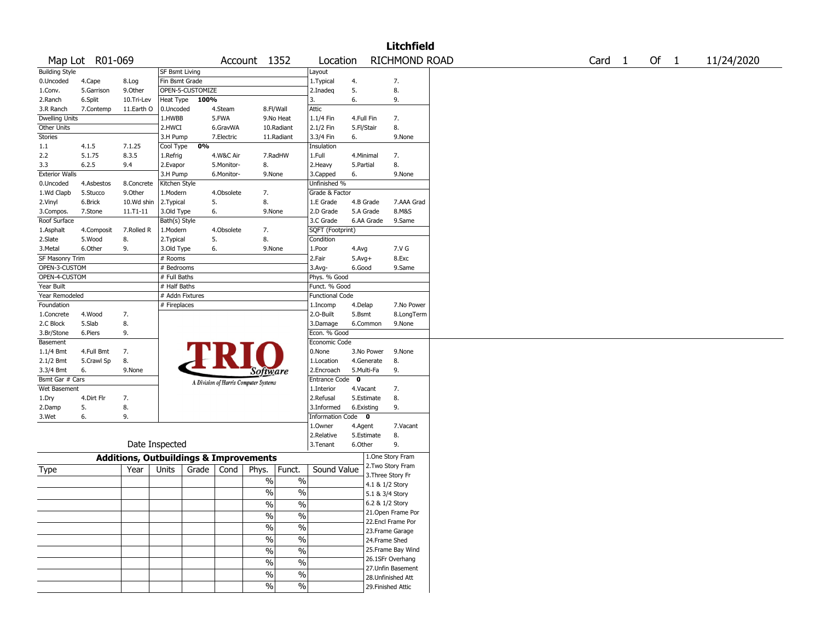|                       |                 |                                                   |                 |                  |            |                                       |               |                        |             |            | <b>Litchfield</b>  |                   |      |            |
|-----------------------|-----------------|---------------------------------------------------|-----------------|------------------|------------|---------------------------------------|---------------|------------------------|-------------|------------|--------------------|-------------------|------|------------|
|                       | Map Lot R01-069 |                                                   |                 |                  |            | Account 1352                          |               | Location               |             |            | RICHMOND ROAD      | Card <sub>1</sub> | Of 1 | 11/24/2020 |
| <b>Building Style</b> |                 |                                                   | SF Bsmt Living  |                  |            |                                       |               | Layout                 |             |            |                    |                   |      |            |
| 0.Uncoded             | 4.Cape          | 8.Log                                             | Fin Bsmt Grade  |                  |            |                                       |               | 1.Typical              | 4.          |            | 7.                 |                   |      |            |
| 1.Conv.               | 5.Garrison      | 9.0ther                                           |                 | OPEN-5-CUSTOMIZE |            |                                       |               | 2.Inadeq               | 5.          |            | 8.                 |                   |      |            |
| 2.Ranch               | 6.Split         | 10.Tri-Lev                                        | Heat Type       | 100%             |            |                                       |               | 3.                     | 6.          |            | 9.                 |                   |      |            |
| 3.R Ranch             | 7.Contemp       | 11.Earth O                                        | 0.Uncoded       |                  | 4.Steam    | 8.Fl/Wall                             |               | Attic                  |             |            |                    |                   |      |            |
| <b>Dwelling Units</b> |                 |                                                   | 1.HWBB          |                  | 5.FWA      |                                       | 9.No Heat     | 1.1/4 Fin              | 4.Full Fin  |            | 7.                 |                   |      |            |
| Other Units           |                 |                                                   | 2.HWCI          |                  | 6.GravWA   |                                       | 10.Radiant    | 2.1/2 Fin              | 5.Fl/Stair  |            | 8.                 |                   |      |            |
| <b>Stories</b>        |                 |                                                   | 3.H Pump        |                  | 7.Electric |                                       | 11.Radiant    | 3.3/4 Fin              | 6.          |            | 9.None             |                   |      |            |
| 1.1                   | 4.1.5           | 7.1.25                                            | Cool Type       | 0%               |            |                                       |               | Insulation             |             |            |                    |                   |      |            |
| 2.2                   | 5.1.75          | 8.3.5                                             | 1.Refrig        |                  | 4.W&C Air  | 7.RadHW                               |               | 1.Full                 | 4.Minimal   |            | 7.                 |                   |      |            |
| 3.3                   | 6.2.5           | 9.4                                               | 2.Evapor        |                  | 5.Monitor- | 8.                                    |               | 2. Heavy               | 5.Partial   |            | 8.                 |                   |      |            |
| <b>Exterior Walls</b> |                 |                                                   | 3.H Pump        |                  | 6.Monitor- | 9.None                                |               | 3.Capped               | 6.          |            | 9.None             |                   |      |            |
| 0.Uncoded             | 4.Asbestos      | 8.Concrete                                        | Kitchen Style   |                  |            |                                       |               | Unfinished %           |             |            |                    |                   |      |            |
| 1.Wd Clapb            | 5.Stucco        | 9.Other                                           | 1.Modern        |                  | 4.Obsolete | 7.                                    |               | Grade & Factor         |             |            |                    |                   |      |            |
|                       |                 |                                                   |                 |                  |            |                                       |               |                        |             |            |                    |                   |      |            |
| 2.Vinyl               | 6.Brick         | 10.Wd shin                                        | 2. Typical      |                  | 5.         | 8.                                    |               | 1.E Grade              | 4.B Grade   |            | 7.AAA Grad         |                   |      |            |
| 3.Compos.             | 7.Stone         | $11. T1 - 11$                                     | 3.Old Type      |                  | 6.         | 9.None                                |               | 2.D Grade              | 5.A Grade   |            | 8.M&S              |                   |      |            |
| Roof Surface          |                 |                                                   | Bath(s) Style   |                  |            |                                       |               | 3.C Grade              |             | 6.AA Grade | 9.Same             |                   |      |            |
| 1.Asphalt             | 4.Composit      | 7.Rolled R                                        | 1.Modern        |                  | 4.Obsolete | 7.                                    |               | SQFT (Footprint)       |             |            |                    |                   |      |            |
| 2.Slate               | 5.Wood          | 8.                                                | 2. Typical      |                  | 5.         | 8.                                    |               | Condition              |             |            |                    |                   |      |            |
| 3.Metal               | 6.Other         | 9.                                                | 3.Old Type      | 6.               |            | 9.None                                |               | 1.Poor                 | 4.Avg       |            | 7.V G              |                   |      |            |
| SF Masonry Trim       |                 |                                                   | # Rooms         |                  |            |                                       |               | 2.Fair                 | $5.Avg+$    |            | 8.Exc              |                   |      |            |
| OPEN-3-CUSTOM         |                 |                                                   | # Bedrooms      |                  |            |                                       |               | 3.Avg-                 | 6.Good      |            | 9.Same             |                   |      |            |
| OPEN-4-CUSTOM         |                 |                                                   | # Full Baths    |                  |            |                                       |               | Phys. % Good           |             |            |                    |                   |      |            |
| Year Built            |                 |                                                   | # Half Baths    |                  |            |                                       |               | Funct. % Good          |             |            |                    |                   |      |            |
| Year Remodeled        |                 |                                                   | # Addn Fixtures |                  |            |                                       |               | <b>Functional Code</b> |             |            |                    |                   |      |            |
| Foundation            |                 |                                                   | # Fireplaces    |                  |            |                                       |               | 1.Incomp               | 4.Delap     |            | 7.No Power         |                   |      |            |
| 1.Concrete            | 4.Wood          | 7.                                                |                 |                  |            |                                       |               | 2.0-Built              | 5.Bsmt      |            | 8.LongTerm         |                   |      |            |
| 2.C Block             | 5.Slab          | 8.                                                |                 |                  |            |                                       |               | 3.Damage               |             | 6.Common   | 9.None             |                   |      |            |
| 3.Br/Stone            | 6.Piers         | 9.                                                |                 |                  |            |                                       |               | Econ. % Good           |             |            |                    |                   |      |            |
| Basement              |                 |                                                   |                 |                  |            |                                       |               | Economic Code          |             |            |                    |                   |      |            |
|                       |                 |                                                   |                 |                  |            |                                       |               | 0.None                 |             |            |                    |                   |      |            |
| $1.1/4$ Bmt           | 4.Full Bmt      | 7.                                                |                 |                  |            |                                       |               |                        |             | 3.No Power | 9.None             |                   |      |            |
| 2.1/2 Bmt             | 5.Crawl Sp      | 8.                                                |                 |                  |            |                                       |               | 1.Location             |             | 4.Generate | 8.                 |                   |      |            |
| 3.3/4 Bmt             | 6.              | 9.None                                            |                 |                  |            | <i>Software</i>                       |               | 2.Encroach             | 5.Multi-Fa  |            | 9.                 |                   |      |            |
| Bsmt Gar # Cars       |                 |                                                   |                 |                  |            | A Division of Harris Computer Systems |               | <b>Entrance Code</b>   | $\mathbf 0$ |            |                    |                   |      |            |
| Wet Basement          |                 |                                                   |                 |                  |            |                                       |               | 1.Interior             | 4.Vacant    |            | 7.                 |                   |      |            |
| 1.Dry                 | 4.Dirt Flr      | 7.                                                |                 |                  |            |                                       |               | 2.Refusal              | 5.Estimate  |            | 8.                 |                   |      |            |
| 2.Damp                | 5.              | 8.                                                |                 |                  |            |                                       |               | 3.Informed             | 6.Existing  |            | 9.                 |                   |      |            |
| 3.Wet                 | 6.              | 9.                                                |                 |                  |            |                                       |               | Information Code 0     |             |            |                    |                   |      |            |
|                       |                 |                                                   |                 |                  |            |                                       |               | 1.Owner                | 4.Agent     |            | 7.Vacant           |                   |      |            |
|                       |                 |                                                   |                 |                  |            |                                       |               | 2.Relative             | 5.Estimate  |            | 8.                 |                   |      |            |
|                       |                 | Date Inspected                                    |                 |                  |            |                                       |               | 3.Tenant               | 6.Other     |            | 9.                 |                   |      |            |
|                       |                 | <b>Additions, Outbuildings &amp; Improvements</b> |                 |                  |            |                                       |               |                        |             |            | 1.One Story Fram   |                   |      |            |
|                       |                 |                                                   |                 |                  |            |                                       |               |                        |             |            | 2. Two Story Fram  |                   |      |            |
| Type                  |                 | Year                                              | Units           | Grade            | Cond       | Phys.                                 | Funct.        | Sound Value            |             |            | 3. Three Story Fr  |                   |      |            |
|                       |                 |                                                   |                 |                  |            | $\%$                                  | $\%$          |                        |             |            |                    |                   |      |            |
|                       |                 |                                                   |                 |                  |            | %                                     | $\%$          |                        |             |            | 4.1 & 1/2 Story    |                   |      |            |
|                       |                 |                                                   |                 |                  |            |                                       |               |                        |             |            | 5.1 & 3/4 Story    |                   |      |            |
|                       |                 |                                                   |                 |                  |            | $\frac{1}{2}$                         | $\frac{0}{6}$ |                        |             |            | 6.2 & 1/2 Story    |                   |      |            |
|                       |                 |                                                   |                 |                  |            | %                                     | $\%$          |                        |             |            | 21. Open Frame Por |                   |      |            |
|                       |                 |                                                   |                 |                  |            | $\sqrt{6}$                            |               |                        |             |            | 22.Encl Frame Por  |                   |      |            |
|                       |                 |                                                   |                 |                  |            |                                       | $\%$          |                        |             |            | 23. Frame Garage   |                   |      |            |
|                       |                 |                                                   |                 |                  |            | $\%$                                  | $\%$          |                        |             |            | 24.Frame Shed      |                   |      |            |
|                       |                 |                                                   |                 |                  |            | $\%$                                  | $\%$          |                        |             |            | 25.Frame Bay Wind  |                   |      |            |
|                       |                 |                                                   |                 |                  |            |                                       |               |                        |             |            | 26.1SFr Overhang   |                   |      |            |
|                       |                 |                                                   |                 |                  |            | $\%$                                  | $\%$          |                        |             |            | 27.Unfin Basement  |                   |      |            |
|                       |                 |                                                   |                 |                  |            | $\%$                                  | $\%$          |                        |             |            | 28.Unfinished Att  |                   |      |            |
|                       |                 |                                                   |                 |                  |            | $\%$                                  | $\%$          |                        |             |            | 29. Finished Attic |                   |      |            |
|                       |                 |                                                   |                 |                  |            |                                       |               |                        |             |            |                    |                   |      |            |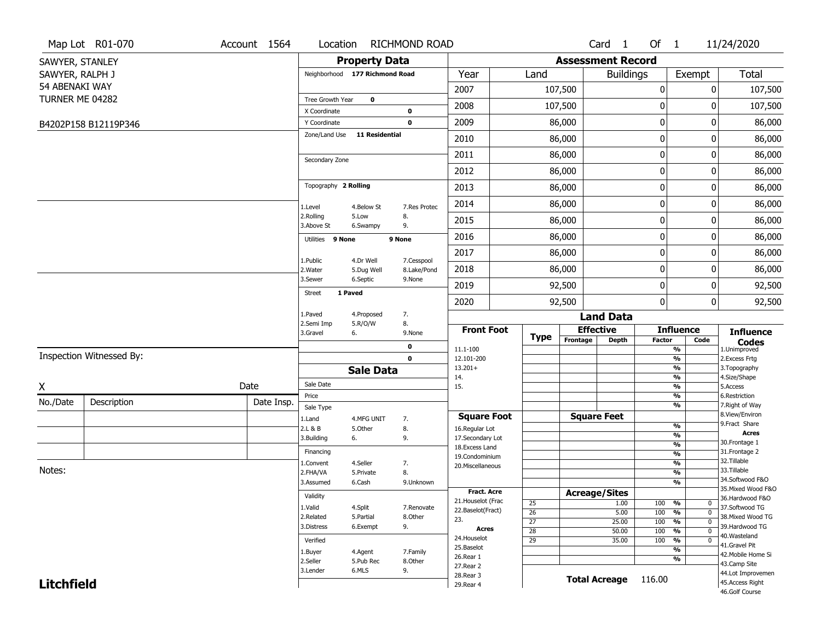|                   | Map Lot R01-070          | Account 1564 | Location                       |                       | <b>RICHMOND ROAD</b>  |                                     |                 |                          | Card <sub>1</sub>    | Of $1$               |                                  | 11/24/2020                                                  |
|-------------------|--------------------------|--------------|--------------------------------|-----------------------|-----------------------|-------------------------------------|-----------------|--------------------------|----------------------|----------------------|----------------------------------|-------------------------------------------------------------|
| SAWYER, STANLEY   |                          |              |                                | <b>Property Data</b>  |                       |                                     |                 | <b>Assessment Record</b> |                      |                      |                                  |                                                             |
| SAWYER, RALPH J   |                          |              | Neighborhood 177 Richmond Road |                       |                       | Year                                | Land            |                          | <b>Buildings</b>     |                      | Exempt                           | Total                                                       |
| 54 ABENAKI WAY    |                          |              |                                |                       |                       | 2007                                |                 | 107,500                  |                      | $\pmb{0}$            | 0                                | 107,500                                                     |
| TURNER ME 04282   |                          |              | Tree Growth Year               | $\mathbf 0$           |                       | 2008                                |                 | 107,500                  |                      | 0                    | 0                                | 107,500                                                     |
|                   |                          |              | X Coordinate                   |                       | 0<br>$\mathbf 0$      | 2009                                |                 | 86,000                   |                      | $\mathbf 0$          | 0                                |                                                             |
|                   | B4202P158 B12119P346     |              | Y Coordinate<br>Zone/Land Use  | <b>11 Residential</b> |                       |                                     |                 |                          |                      |                      |                                  | 86,000                                                      |
|                   |                          |              |                                |                       |                       | 2010                                |                 | 86,000                   |                      | $\mathbf 0$          | 0                                | 86,000                                                      |
|                   |                          |              | Secondary Zone                 |                       |                       | 2011                                |                 | 86,000                   |                      | $\boldsymbol{0}$     | 0                                | 86,000                                                      |
|                   |                          |              |                                |                       |                       | 2012                                |                 | 86,000                   |                      | $\mathbf 0$          | 0                                | 86,000                                                      |
|                   |                          |              | Topography 2 Rolling           |                       |                       | 2013                                |                 | 86,000                   |                      | $\mathbf 0$          | 0                                | 86,000                                                      |
|                   |                          |              | 1.Level                        | 4.Below St            | 7.Res Protec          | 2014                                |                 | 86,000                   |                      | $\mathbf 0$          | 0                                | 86,000                                                      |
|                   |                          |              | 2.Rolling<br>3.Above St        | 5.Low<br>6.Swampy     | 8.<br>9.              | 2015                                |                 | 86,000                   |                      | 0                    | 0                                | 86,000                                                      |
|                   |                          |              | Utilities 9 None               |                       | 9 None                | 2016                                |                 | 86,000                   |                      | $\mathbf 0$          | 0                                | 86,000                                                      |
|                   |                          |              | 1.Public                       | 4.Dr Well             | 7.Cesspool            | 2017                                |                 | 86,000                   |                      | $\mathbf 0$          | 0                                | 86,000                                                      |
|                   |                          |              | 2. Water                       | 5.Dug Well            | 8.Lake/Pond           | 2018                                |                 | 86,000                   |                      | $\mathbf 0$          | 0                                | 86,000                                                      |
|                   |                          |              | 3.Sewer                        | 6.Septic              | 9.None                | 2019                                |                 | 92,500                   |                      | 0                    | 0                                | 92,500                                                      |
|                   |                          |              | 1 Paved<br><b>Street</b>       |                       |                       | 2020                                |                 | 92,500                   |                      | $\mathbf{0}$         | 0                                | 92,500                                                      |
|                   |                          |              | 1.Paved                        | 4.Proposed            | 7.                    |                                     |                 |                          | <b>Land Data</b>     |                      |                                  |                                                             |
|                   |                          |              | 2.Semi Imp<br>3.Gravel<br>6.   | 5.R/O/W               | 8.<br>9.None          | <b>Front Foot</b>                   |                 |                          | <b>Effective</b>     |                      | <b>Influence</b>                 | <b>Influence</b>                                            |
|                   |                          |              |                                |                       | 0                     | 11.1-100                            | <b>Type</b>     | Frontage                 | <b>Depth</b>         | <b>Factor</b>        | Code<br>$\overline{\frac{9}{6}}$ | $\mathop{{\textbf{Codes}}}\limits_{\text{1.Uniformproved}}$ |
|                   | Inspection Witnessed By: |              |                                |                       | $\mathbf 0$           | 12.101-200                          |                 |                          |                      | $\frac{9}{6}$        |                                  | 2.Excess Frtg                                               |
|                   |                          |              |                                | <b>Sale Data</b>      |                       | $13.201+$<br>14.                    |                 |                          |                      | $\frac{9}{6}$        | $\overline{\frac{9}{6}}$         | 3. Topography<br>4.Size/Shape                               |
| X                 |                          | Date         | Sale Date                      |                       |                       | 15.                                 |                 |                          |                      |                      | $\overline{\frac{9}{6}}$         | 5.Access                                                    |
| No./Date          | Description              | Date Insp.   | Price<br>Sale Type             |                       |                       |                                     |                 |                          |                      | $\frac{9}{6}$        | $\overline{\frac{9}{6}}$         | 6.Restriction<br>7. Right of Way                            |
|                   |                          |              | 1.Land                         | 4.MFG UNIT            | 7.                    | <b>Square Foot</b>                  |                 |                          | <b>Square Feet</b>   |                      |                                  | 8.View/Environ                                              |
|                   |                          |              | 2.L & B                        | 5.Other               | 8.                    | 16.Regular Lot                      |                 |                          |                      | $\frac{9}{6}$        |                                  | 9.Fract Share<br><b>Acres</b>                               |
|                   |                          |              | 3.Building<br>6.               |                       | 9.                    | 17.Secondary Lot<br>18. Excess Land |                 |                          |                      | %<br>%               |                                  | 30. Frontage 1                                              |
|                   |                          |              | Financing                      |                       |                       | 19.Condominium                      |                 |                          |                      | $\frac{9}{6}$        |                                  | 31. Frontage 2                                              |
| Notes:            |                          |              | 1.Convent                      | 4.Seller              | 7.                    | 20.Miscellaneous                    |                 |                          |                      | $\frac{9}{6}$        |                                  | 32.Tillable<br>33.Tillable                                  |
|                   |                          |              | 2.FHA/VA<br>3.Assumed          | 5.Private<br>6.Cash   | 8.<br>9.Unknown       |                                     |                 |                          |                      | $\frac{9}{6}$        | %                                | 34.Softwood F&O                                             |
|                   |                          |              |                                |                       |                       | <b>Fract. Acre</b>                  |                 |                          | <b>Acreage/Sites</b> |                      |                                  | 35. Mixed Wood F&O                                          |
|                   |                          |              | Validity                       |                       |                       | 21. Houselot (Frac                  | 25              |                          | 1.00                 | 100<br>%             | $\mathbf{0}$                     | 36.Hardwood F&O                                             |
|                   |                          |              | 1.Valid<br>2.Related           | 4.Split<br>5.Partial  | 7.Renovate<br>8.Other | 22.Baselot(Fract)                   | $\overline{26}$ |                          | 5.00                 | 100<br>%             | $\overline{0}$                   | 37.Softwood TG<br>38. Mixed Wood TG                         |
|                   |                          |              | 3.Distress                     | 6.Exempt              | 9.                    | 23.                                 | $\overline{27}$ |                          | 25.00                | 100<br>$\frac{9}{6}$ | $\overline{0}$                   | 39.Hardwood TG                                              |
|                   |                          |              |                                |                       |                       | Acres<br>24. Houselot               | $\overline{28}$ |                          | 50.00                | 100<br>$\frac{9}{6}$ | $\overline{0}$                   | 40.Wasteland                                                |
|                   |                          |              | Verified                       |                       |                       | 25.Baselot                          | $\overline{29}$ |                          | 35.00                | 100<br>%             | $\mathbf 0$<br>%                 | 41.Gravel Pit                                               |
|                   |                          |              | 1.Buyer<br>2.Seller            | 4.Agent<br>5.Pub Rec  | 7.Family<br>8.Other   | 26.Rear 1                           |                 |                          |                      |                      | %                                | 42. Mobile Home Si                                          |
|                   |                          |              |                                |                       |                       |                                     |                 |                          |                      |                      |                                  |                                                             |
|                   |                          |              | 3.Lender                       | 6.MLS                 | 9.                    | 27.Rear 2                           |                 |                          |                      |                      |                                  | 43.Camp Site                                                |
| <b>Litchfield</b> |                          |              |                                |                       |                       | 28. Rear 3<br>29. Rear 4            |                 |                          | <b>Total Acreage</b> | 116.00               |                                  | 44.Lot Improvemen<br>45.Access Right                        |